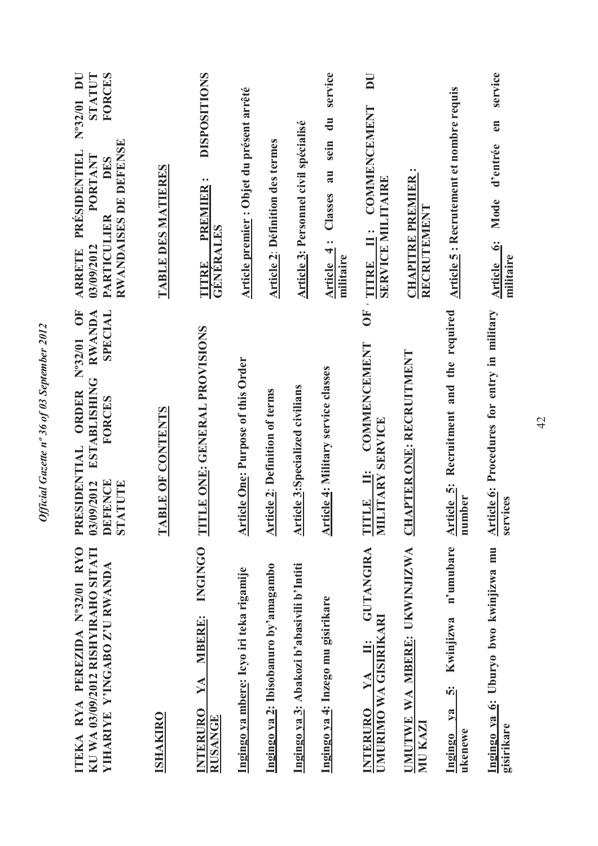| ITEKA RYA PEREZIDA N°32/01 RYO<br>KU WA 03/09/2012 RISHYIRAHO SITATI<br><b>YIHARIYE Y'INGABO Z'U RWANDA</b> | Nº32/01 OF<br>SPECIAL<br><b>RWANDA</b><br><b>ESTABLISHING</b><br>PRESIDENTIAL ORDER<br>FORCES<br><b>DEFENCE</b><br>03/09/2012<br>STATUTE | $N^{\circ}32/01$ DU<br><b>TATUTS</b><br>FORCES<br>RWANDAISES DE DEFENSE<br>ARRETE PRÉSIDENTIEL<br>PORTANT<br>DES<br><b>PARTICULIER</b><br>03/09/2012 |
|-------------------------------------------------------------------------------------------------------------|------------------------------------------------------------------------------------------------------------------------------------------|------------------------------------------------------------------------------------------------------------------------------------------------------|
| <b>ISHAKIRO</b>                                                                                             | TABLE OF CONTENTS                                                                                                                        | <b>TABLE DES MATIERES</b>                                                                                                                            |
| <b>INGINGO</b><br><b>MBERE:</b><br>YA<br><b>INTERURO</b><br><b>RUSANGE</b>                                  | TITLE ONE: GENERAL PROVISIONS                                                                                                            | <b>DISPOSITIONS</b><br>$\bullet\; \bullet$<br><b>PREMIER</b><br><b>GENERALES</b><br>THITRE                                                           |
| Ingingo ya mbere: Icyo iri teka rigamije                                                                    | <b>Article One: Purpose of this Order</b>                                                                                                | Article premier : Objet du présent arrêté                                                                                                            |
| Ingingo ya 2: Ibisobanuro by'amagambo                                                                       | <b>Article 2: Definition of terms</b>                                                                                                    | <b>Article 2: Définition des termes</b>                                                                                                              |
| Ingingo ya 3: Abakozi b'abasivili b'Intiti                                                                  | <b>Article 3:Specialized civilians</b>                                                                                                   | Article 3: Personnel civil spécialisé                                                                                                                |
| Ingingo ya 4: Inzego mu gisirikare                                                                          | <b>Article 4: Military service classes</b>                                                                                               | service<br>sein du<br>au<br>Classes<br>Article 4:<br>militaire                                                                                       |
| <b>GUTANGIRA</b><br>UMURIMO WA GISIRIKARI<br>Ë<br>YA<br><b>INTERURO</b>                                     | $\overline{O}$<br><b>COMMENCEMENT</b><br>MILITARY SERVICE<br><b>TITLE</b> II:                                                            | DU<br>II: COMMENCEMENT<br><b>SERVICE MILITAIRE</b><br>TITRE                                                                                          |
| UMUTWE WA MBERE: UKWINJIZWA<br>MU KAZI                                                                      | <b>CHAPTER ONE: RECRUITMENT</b>                                                                                                          | <b>CHAPITRE PREMIER:</b><br><b>RECRUTEMENT</b>                                                                                                       |
| n'umubare<br><b>Kwinjizwa</b><br><u>ທີ່</u><br>$ya$<br>ukenewe<br>Ingingo                                   | Article 5: Recruitment and the required<br>number                                                                                        | <b>Article 5: Recrutement et nombre requis</b>                                                                                                       |
| Ingingo ya 6: Uburyo bwo kwinjizwa mu<br>gisirikare                                                         | <b>Article 6:</b> Procedures for entry in military<br>services                                                                           | service<br>en<br>d'entrée<br>Mode<br>Article 6:<br>militaire                                                                                         |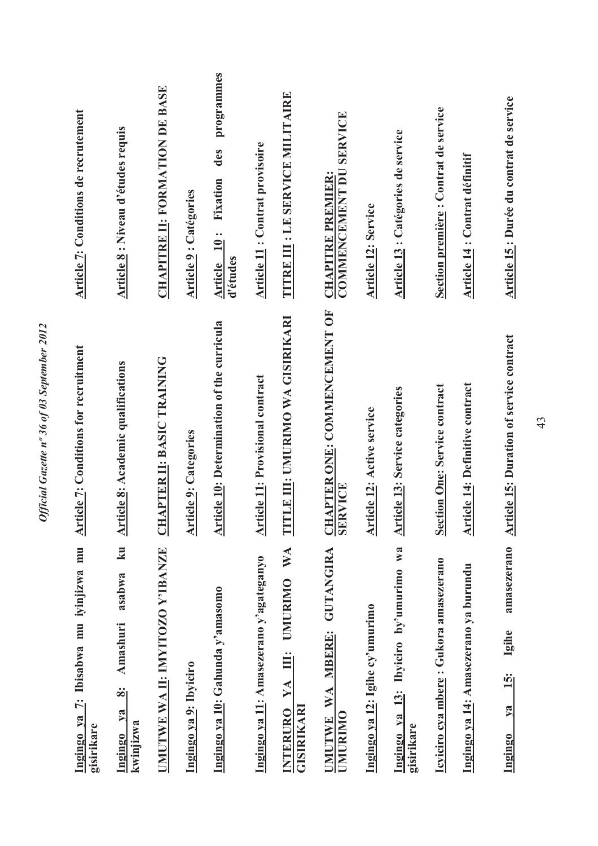| Ingingo ya 7: Ibisabwa mu iyinjizwa mu<br>gisirikare                  | <b>Article 7: Conditions for recruitment</b>               | Article 7: Conditions de recrutement                     |
|-----------------------------------------------------------------------|------------------------------------------------------------|----------------------------------------------------------|
| ku<br>asabwa<br><b>Amashuri</b><br>ထဲု<br>$Y$<br>kwinjizwa<br>Ingingo | <b>Article 8: Academic qualifications</b>                  | <b>Article 8: Niveau d'études requis</b>                 |
| UMUTWE WA II: IMYITOZO Y'IBANZE                                       | <b>CHAPTER II: BASIC TRAINING</b>                          | <b>CHAPITRE II: FORMATION DE BASE</b>                    |
| Ingingo ya 9: Ibyiciro                                                | <b>Article 9: Categories</b>                               | <b>Article 9: Catégories</b>                             |
| Ingingo ya 10: Gahunda y'amasomo                                      | Article 10: Determination of the curricula                 | programmes<br>des<br>Fixation<br>Article 10:<br>d'études |
| Ingingo ya 11: Amasezerano y'agateganyo                               | <b>Article 11: Provisional contract</b>                    | <b>Article 11: Contrat provisoire</b>                    |
| WA<br><b>UMURIMO</b><br>$\ddot{=}$<br>YA<br>GISIRIKARI<br>INTERURO    | TITLE III: UMURIMO WA GISIRIKARI                           | TITRE III : LE SERVICE MILITAIRE                         |
| UMUTWE WA MBERE: GUTANGIRA<br>UMURIMO                                 | <b>CHAPTER ONE: COMMENCEMENT OF</b><br>RVICE<br><b>SEI</b> | COMMENCEMENT DU SERVICE<br><b>CHAPITRE PREMIER:</b>      |
| Ingingo ya 12: Igihe cy'umurimo                                       | Article 12: Active service                                 | <b>Article 12: Service</b>                               |
| Ingingo ya 13: Ibyiciro by'umurimo wa<br>gisirikare                   | <b>Article 13: Service categories</b>                      | Article 13 : Catégories de service                       |
| Icyiciro cya mbere: Gukora amasezerano                                | <b>Section One: Service contract</b>                       | Section première : Contrat de service                    |
| Ingingo ya 14: Amasezerano ya burundu                                 | Article 14: Definitive contract                            | Article 14 : Contrat définitif                           |
| amasezerano<br>Igihe<br>$\frac{15}{1}$<br>$1$<br>Ingingo              | <b>Article 15: Duration of service contract</b>            | Article 15: Durée du contrat de service                  |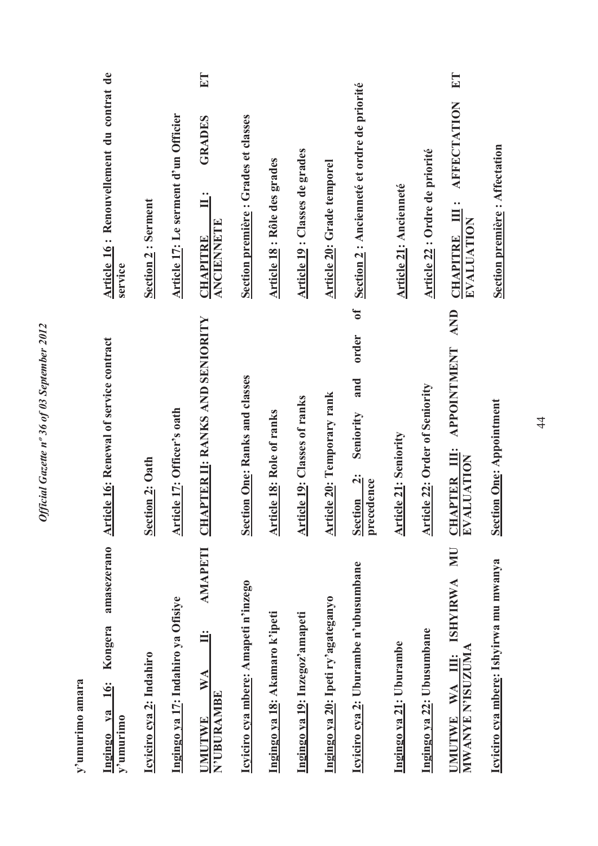| y umurino amara                                                               |                                                                       |                                                                         |
|-------------------------------------------------------------------------------|-----------------------------------------------------------------------|-------------------------------------------------------------------------|
| amasezerano<br>Kongera<br>$\frac{1}{6}$<br>$1$<br>$y'$ umurimo<br>Ingingo     | <b>Article 16: Renewal of service contract</b>                        | Article 16: Renouvellement du contrat de<br>service                     |
| Icyiciro cya 2: Indahiro                                                      | <b>Section 2: Oath</b>                                                | Section 2: Serment                                                      |
| Ingingo ya 17: Indahiro ya Ofisiye                                            | Article 17: Officer's oath                                            | Article 17: Le serment d'un Officier                                    |
| <b>AMAPETI</b><br>Ë<br>$\mathbf{W} \mathbf{A}$<br>N'UBURAMBE<br><b>UMUTWE</b> | <b>CHAPTER II: RANKS AND SENIORITY</b>                                | $E$ T<br>GRADES<br>$\ddot{\mathbf{u}}$<br>ANCIENNETE<br><b>CHAPITRE</b> |
| Icyiciro cya mbere: Amapeti n'inzego                                          | <b>Section One: Ranks and classes</b>                                 | Section première : Grades et classes                                    |
| Ingingo ya 18: Akamaro k'ipeti                                                | <b>Article 18: Role of ranks</b>                                      | Article 18 : Rôle des grades                                            |
| Ingingo ya 19: Inzegoz'amapeti                                                | <b>Article 19: Classes of ranks</b>                                   | <b>Article 19: Classes de grades</b>                                    |
| Ingingo ya 20: Ipeti ry'agateganyo                                            | <b>Article 20: Temporary rank</b>                                     | Article 20: Grade temporel                                              |
| <b>Icyiciro cya 2:</b> Uburambe n'ubusumbane                                  | $\mathbf{f}$<br>order<br>and<br>Seniority<br>Section 2:<br>precedence | Section 2 : Ancienneté et ordre de priorité                             |
| Ingingo ya 21: Uburambe                                                       | <b>Article 21: Seniority</b>                                          | <b>Article 21: Ancienneté</b>                                           |
| Ingingo ya 22: Ubusumbane                                                     | <b>Article 22: Order of Seniority</b>                                 | Article 22 : Ordre de priorité                                          |
| <b>NIV</b><br><b>ISHYIRWA</b><br>MWANYE N'ISUZUMA<br>UMUTWE WA III:           | <b>AND</b><br><b>APPOINTMENT</b><br><b>CHAPTER III:</b><br>EVALUATION | ET<br><b>AFFECTATION</b><br>CHAPITRE III:<br>EVALUATION                 |
| Icyiciro cya mbere: Ishyirwa mu mwanya                                        | <b>Section One: Appointment</b>                                       | <b>Section première: Affectation</b>                                    |

Official Gazette nº 36 of 03 September 2012 *Official Gazette nº 36 of 03 September 2012* 

> **y'umurimo amara**  J,  $\ddot{\phantom{0}}$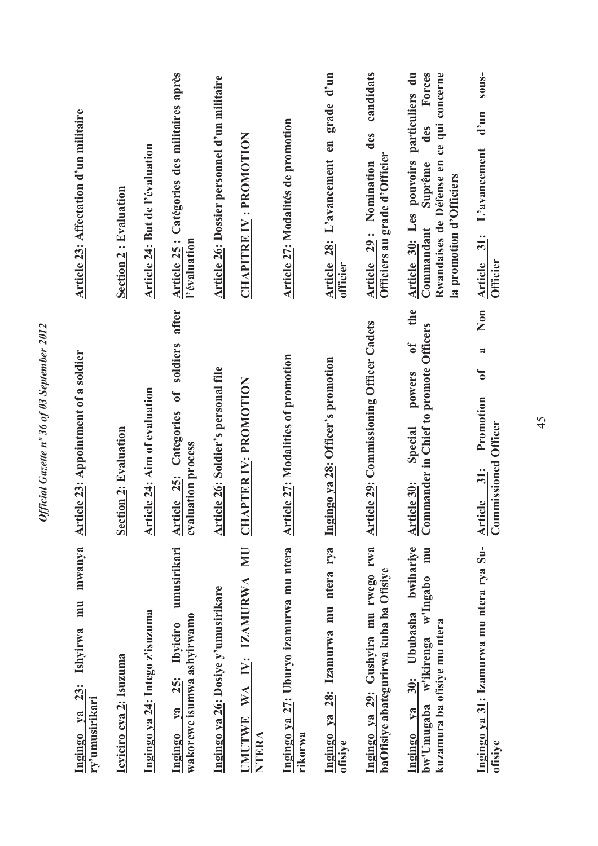| mwanya<br>mmu<br>Ishyirwa<br>Ingingo ya 23:<br>ry'umusirikari                                                      | <b>Article 23: Appointment of a soldier</b>                                                             | Article 23: Affectation d'un militaire                                                                                                                        |
|--------------------------------------------------------------------------------------------------------------------|---------------------------------------------------------------------------------------------------------|---------------------------------------------------------------------------------------------------------------------------------------------------------------|
| Icyiciro cya 2: Isuzuma                                                                                            | <b>Section 2: Evaluation</b>                                                                            | <b>Section 2: Evaluation</b>                                                                                                                                  |
| Ingingo ya 24: Intego z'isuzuma                                                                                    | <b>Article 24: Aim of evaluation</b>                                                                    | <b>Article 24: But de l'évaluation</b>                                                                                                                        |
| umusirikari<br>wakorewe isumwa ashyirwamo<br>Ibyiciro<br><b>25:</b><br>$ya$<br>Ingingo                             | after<br>of soldiers<br><b>Article 25: Categories</b><br>evaluation process                             | Article 25 : Catégories des militaires après<br>l'évaluation                                                                                                  |
| Ingingo ya 26: Dosiye y'umusirikare                                                                                | Article 26: Soldier's personal file                                                                     | Article 26: Dossier personnel d'un militaire                                                                                                                  |
| E<br><b>NN</b><br>IV: IZAMURWA<br>WA<br><b>UMUTWE</b><br>NTERA                                                     | <b>APTER IV: PROMOTION</b>                                                                              | <b>CHAPITRE IV : PROMOTION</b>                                                                                                                                |
| Ingingo ya 27: Uburyo izamurwa mu ntera<br>rikorwa                                                                 | <b>Article 27: Modalities of promotion</b>                                                              | Article 27: Modalités de promotion                                                                                                                            |
| Ingingo ya 28: Izamurwa mu ntera rya<br>ofisiye                                                                    | Ingingo ya 28: Officer's promotion                                                                      | $d'$ un<br>grade<br>Article 28: L'avancement en<br>officier                                                                                                   |
| Ingingo ya 29: Gushyira mu rwego rwa<br>baOfisiye abategurirwa kuba ba Ofisiye                                     | <b>Article 29: Commissioning Officer Cadets</b>                                                         | candidats<br>des<br>Officiers au grade d'Officier<br>Article 29: Nomination                                                                                   |
| bwihariye<br>mu<br>w'ikirenga w'Ingabo<br>30: Ububasha<br>kuzamura ba ofisiye mu ntera<br>bw'Umugaba<br>Ingingo ya | the<br>Commander in Chief to promote Officers<br>$\mathbf{d}$<br>powers<br>Special<br>Article 30:       | Rwandaises de Défense en ce qui concerne<br>particuliers du<br>Forces<br>des<br>Article 30: Les pouvoirs<br>Suprême<br>la promotion d'Officiers<br>Commandant |
| Ingingo ya 31: Izamurwa mu ntera rya Su-<br>ofisiye                                                                | Non<br>$\approx$<br>$\mathfrak{b}$<br>Promotion<br><b>Commissioned Officer</b><br>31:<br><b>Article</b> | sous-<br>$d'$ un<br>L'avancement<br>Article 31:<br><b>Officier</b>                                                                                            |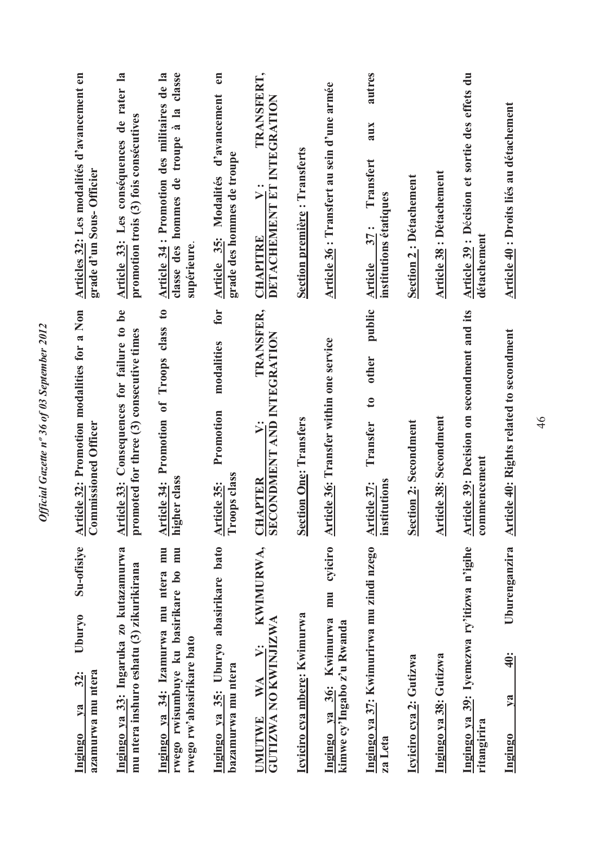| Articles 32: Les modalités d'avancement en<br>grade d'un Sous-Officier<br>Article 32: Promotion modalities for a Non | Article 33: Les conséquences de rater la<br>promotion trois (3) fois consécutives<br>Article 33: Consequences for failure to be<br>promoted for three (3) consecutive times | Article 34 : Promotion des militaires de la<br>classe des hommes de troupe à la<br>supérieure.<br>Article 34: Promotion of Troops class to | Article 35: Modalités d'avancement<br>grade des hommes de troupe<br>for<br>modalities<br>Promotion | TRANSFERT,<br>DETACHEMENT ET INTEGRATION<br>$\ddot{v}$ :<br><b>CHAPITRE</b><br>TRANSFER,<br><b>SECONDMENT AND INTEGRATION</b><br>$\dot{v}$ | <b>Section première: Transferts</b> | Article 36 : Transfert au sein d'une armée<br><b>Article 36:</b> Transfer within one service | aux<br>Transfert<br>institutions étatiques<br>37:<br><b>Article</b><br>public<br>other<br>$\mathbf{c}$<br>Transfer | <b>Section 2: Détachement</b> | <b>Article 38: Détachement</b> | Article 39 : Décision et sortie des effets du<br>détachement<br>Article 39: Decision on secondment and its |  |
|----------------------------------------------------------------------------------------------------------------------|-----------------------------------------------------------------------------------------------------------------------------------------------------------------------------|--------------------------------------------------------------------------------------------------------------------------------------------|----------------------------------------------------------------------------------------------------|--------------------------------------------------------------------------------------------------------------------------------------------|-------------------------------------|----------------------------------------------------------------------------------------------|--------------------------------------------------------------------------------------------------------------------|-------------------------------|--------------------------------|------------------------------------------------------------------------------------------------------------|--|
| <b>Commissioned Officer</b>                                                                                          |                                                                                                                                                                             | higher class                                                                                                                               | Troops class<br>Article 35:                                                                        | <b>CHAPTER</b>                                                                                                                             | <b>Section One: Transfers</b>       |                                                                                              | institutions<br>Article 37:                                                                                        | <b>Section 2: Secondment</b>  | <b>Article 38: Secondment</b>  | commencement                                                                                               |  |
| Su-ofisiye                                                                                                           | Ingingo ya 33: Ingaruka zo kutazamurwa                                                                                                                                      | rwego rwisumbuye ku basirikare bo mu                                                                                                       | Ingingo ya 35: Uburyo abasirikare bato                                                             | KWIMURWA,                                                                                                                                  |                                     | cyiciro<br>mu                                                                                | Ingingo ya 37: Kwimurirwa mu zindi nzego                                                                           |                               |                                | Ingingo ya 39: Iyemezwa ry'itizwa n'igihe                                                                  |  |
| Uburyo                                                                                                               | mu ntera inshuro eshatu (3) zikurikirana                                                                                                                                    | Ingingo va 34: Izamurwa mu ntera mu                                                                                                        |                                                                                                    | $\ddot{ }$                                                                                                                                 | Icyiciro cya mbere: Kwimurwa        |                                                                                              |                                                                                                                    |                               |                                |                                                                                                            |  |
| 32:                                                                                                                  |                                                                                                                                                                             | rwego rw'abasirikare bato                                                                                                                  |                                                                                                    | GUTIZWA NO KWINJIZWA<br>WA                                                                                                                 |                                     | Ingingo ya 36: Kwimurwa<br>kimwe cy'Ingabo z'u Rwanda                                        |                                                                                                                    | Icyiciro cya 2: Gutizwa       | Ingingo ya 38: Gutizwa         |                                                                                                            |  |
| azamurwa mu ntera<br>$\mathbf{v}$ a                                                                                  |                                                                                                                                                                             |                                                                                                                                            | bazamurwa mu ntera                                                                                 |                                                                                                                                            |                                     |                                                                                              |                                                                                                                    |                               |                                |                                                                                                            |  |
| <u>Ingingo</u>                                                                                                       |                                                                                                                                                                             |                                                                                                                                            |                                                                                                    | UMUTWE                                                                                                                                     |                                     |                                                                                              | za Leta                                                                                                            |                               |                                | ritangirira                                                                                                |  |

Official Gazette nº 36 of 03 September 2012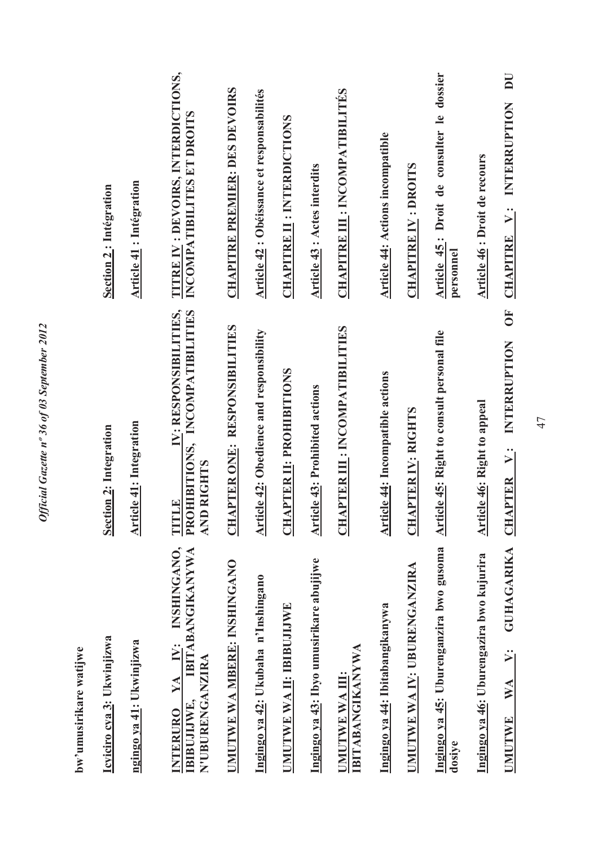| bw'umusirikare watijwe                                                                               |                                                                                                        |                                                                  |
|------------------------------------------------------------------------------------------------------|--------------------------------------------------------------------------------------------------------|------------------------------------------------------------------|
| Icyiciro cya 3: Ukwinjizwa                                                                           | Section 2: Integration                                                                                 | <b>Section 2: Intégration</b>                                    |
| ngingo ya 41: Ukwinjizwa                                                                             | <b>Article 41: Integration</b>                                                                         | <b>Article 41: Intégration</b>                                   |
| INSHINGANO,<br><b>BITABANGIKANYWA</b><br>YA IV:<br>N'UBURENGANZIRA<br>IBIBUJIJWE,<br><b>INTERURO</b> | IV: RESPONSIBILITIES,<br>OHIBITIONS, INCOMPATIBILITIES<br><b>AND RIGHTS</b><br>TITLE<br>P <sub>R</sub> | TITRE IV : DEVOIRS, INTERDICTIONS,<br>INCOMPATIBILITES ET DROITS |
| UMUTWE WA MBERE: INSHINGANO                                                                          | <b>CHAPTER ONE: RESPONSIBILITIES</b>                                                                   | <b>CHAPITRE PREMIER: DES DEVOIRS</b>                             |
| Ingingo ya 42: Ukubaha n'Inshingano                                                                  | <b>Article 42: Obedience and responsibility</b>                                                        | Article 42 : Obéissance et responsabilités                       |
| UMUTWE WA II: IBIBUJIJWE                                                                             | <b>CHAPTER II: PROHIBITIONS</b>                                                                        | <b>CHAPITRE II : INTERDICTIONS</b>                               |
| Ingingo ya 43: Ibyo umusirikare abujijwe                                                             | <b>Article 43: Prohibited actions</b>                                                                  | <b>Article 43: Actes interdits</b>                               |
| <b>IBITABANGIKANYWA</b><br>UMUTWE WA III:                                                            | <b>CHAPTER III : INCOMPATIBILITIES</b>                                                                 | <b>CHAPITRE III : INCOMPATIBILITÉS</b>                           |
| Ingingo ya 44: Ibitabangikanywa                                                                      | <b>Article 44: Incompatible actions</b>                                                                | <b>Article 44: Actions incompatible</b>                          |
| UMUTWE WA IY: UBURENGANZIRA                                                                          | <b>CHAPTER IV: RIGHTS</b>                                                                              | <b>CHAPITRE IV : DROITS</b>                                      |
| Ingingo ya 45: Uburenganzira bwo gusoma<br>dosiye                                                    | Article 45: Right to consult personal file                                                             | Article 45: Droit de consulter le dossier<br>personnel           |
| Ingingo ya 46: Uburengazira bwo kujurira                                                             | <b>Article 46: Right to appeal</b>                                                                     | Article 46 : Droit de recours                                    |
| <b>GUHAGARIKA</b><br>$\ddot{\ge}$<br>$\mathbb{N} \mathbb{A}$<br><b>UMUTWE</b>                        | $\overline{\bf 5}$<br>INTERRUPTION<br>$\ddot{ }$<br><b>CHAPTER</b>                                     | DU<br>INTERRUPTION<br>$\ddot{ }$<br><b>CHAPITRE</b>              |

Official Gazette nº 36 of 03 September 2012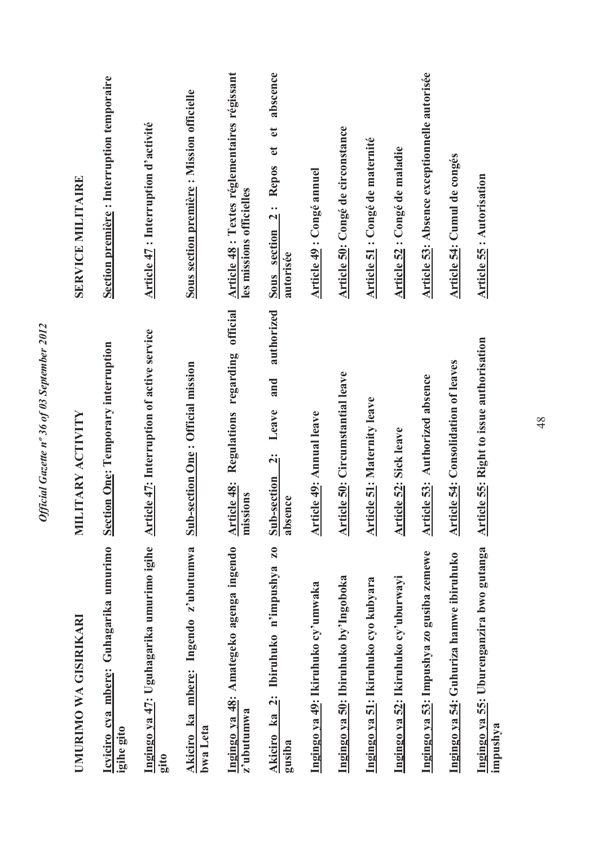| UMURIMO WA GISIRIKARI                                          | MILITARY ACTIVITY                                         | <b>SERVICE MILITAIRE</b>                                                       |
|----------------------------------------------------------------|-----------------------------------------------------------|--------------------------------------------------------------------------------|
| Icyiciro cya mbere: Guhagarika umurimo<br>igihe gito           | <b>Section One: Temporary interruption</b>                | Section première : Interruption temporaire                                     |
| Ingingo ya 47: Uguhagarika umurimo igihe<br>gito               | <b>Article 47: Interruption of active service</b>         | <b>Article 47</b> : Interruption d'activité                                    |
| Akiciro ka mbere: Ingendo z'ubutumwa<br>bwa Leta               | -section One: Official mission<br>Sub                     | Sous section première : Mission officielle                                     |
| Ingingo ya 48: Amategeko agenga ingendo<br>z'ubutumwa          | Regulations regarding official<br>Article 48:<br>missions | Article 48 : Textes réglementaires régissant<br>les missions officielles       |
| Z <sub>0</sub><br>Akiciro ka 2: Ibiruhuko n'impushya<br>gusiba | authorized<br>and<br>Leave<br>$Sub-section 2:$<br>absence | abscence<br>$\mathbf{d}$<br>$\mathbf{d}$<br>Sous section 2: Repos<br>autorisée |
| Ingingo ya 49: Ikiruhuko cy'umwaka                             | <b>Article 49: Annual leave</b>                           | Article 49 : Congé annuel                                                      |
| Ingingo ya 50: Ibiruhuko by'Ingoboka                           | Article 50: Circumstantial leave                          | Article 50: Congé de circonstance                                              |
| Ingingo ya 51: Ikiruhuko cyo kubyara                           | <b>Article 51: Maternity leave</b>                        | Article 51 : Congé de maternité                                                |
| Ingingo ya 52: Ikiruhuko cy'uburwayi                           | <b>Article 52: Sick leave</b>                             | Article 52 : Congé de maladie                                                  |
| Ingingo ya 53: Impushya zo gusiba zemewe                       | <b>Article 53:</b> Authorized absence                     | Article 53: Absence exceptionnelle autorisée                                   |
| Ingingo ya 54: Guhuriza hamwe ibiruhuko                        | <b>Article 54: Consolidation of leaves</b>                | Article 54: Cumul de congés                                                    |
| Ingingo ya 55: Uburenganzira bwo gutanga<br>impushya           | <b>Article 55: Right to issue authorisation</b>           | <b>Article 55: Autorisation</b>                                                |

Official Gazette nº 36 of 03 September 2012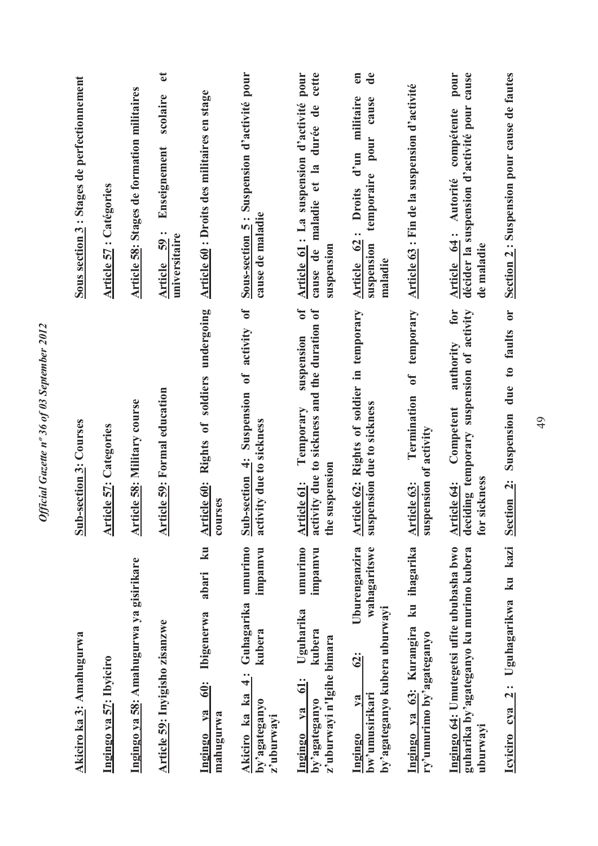| Akiciro ka 3: Amahugurwa                                                                                                | <b>Sub-section 3: Courses</b>                                                                                                | Sous section 3 : Stages de perfectionnement                                                                               |
|-------------------------------------------------------------------------------------------------------------------------|------------------------------------------------------------------------------------------------------------------------------|---------------------------------------------------------------------------------------------------------------------------|
| Ingingo ya 57: Ibyiciro                                                                                                 | <b>Article 57: Categories</b>                                                                                                | <b>Article 57: Catégories</b>                                                                                             |
| Ingingo ya 58: Amahugurwa ya gisirikare                                                                                 | <b>Article 58: Military course</b>                                                                                           | <b>Article 58: Stages de formation militaires</b>                                                                         |
| Article 59: Inyigisho zisanzwe                                                                                          | <b>Article 59: Formal education</b>                                                                                          | $\mathbf{e}$<br>scolaire<br>Enseignement<br>Article 59:<br>universitaire                                                  |
| k <b>u</b><br>abari<br><b>Ibigenerwa</b><br><u> śli</u><br>Ingingo ya<br>mahugurwa                                      | Article 60: Rights of soldiers undergoing<br>courses                                                                         | Article 60 : Droits des militaires en stage                                                                               |
| umurimo<br>impamvu<br>Guhagarika<br>kubera<br>$\ddot{ }$<br>Akiciro ka ka<br>by'agateganyo<br>z'uburwayi                | Sub-section 4: Suspension of activity of<br>activity due to sickness                                                         | Sous-section 5: Suspension d'activité pour<br>cause de maladie                                                            |
| umurimo<br>impamvu<br>Uguharika<br>kubera<br>z'uburwayi n'Igihe bimara<br>$\ddot{5}$<br>by'agateganyo<br>$1$<br>Ingingo | $\mathbf{f}$<br>activity due to sickness and the duration of<br>suspension<br>Temporary<br>suspension<br>Article 61:<br>the: | cette<br>Article 61 : La suspension d'activité pour<br>durée de<br>cause de maladie et la<br>suspension                   |
| Uburenganzira<br>wahagaritswe<br>by'agateganyo kubera uburwayi<br><u>62:</u><br>bw'umusirikari<br>V2<br>Ingingo         | Article 62: Rights of soldier in temporary<br>suspension due to sickness                                                     | en<br>$\mathbf{d}\mathbf{e}$<br>Article 62: Droits d'un militaire<br>cause<br>pour<br>temporaire<br>suspension<br>maladie |
| Ingingo ya 63: Kurangira ku ihagarika<br>ry'umurimo by'agateganyo                                                       | temporary<br>$\overline{\mathbf{f}}$<br>Termination<br>suspension of activity<br>Article 63:                                 | Article 63 : Fin de la suspension d'activité                                                                              |
| Ingingo 64: Umutegetsi ufite ububasha bwo<br>guharika by'agateganyo ku murimo kubera<br>uburwayi                        | for<br>deciding temporary suspension of activity<br>authority<br>Competent<br>sickness<br>Article 64:<br>for                 | cause<br>pour<br>décider la suspension d'activité pour<br>compétente<br>Article 64: Autorité<br>de maladie                |
| kazi<br>k <b>u</b><br>Uguhagarikwa<br>$\frac{1}{2}$<br>Icviciro cva                                                     | due to faults or<br>Suspension<br>Section <sub>2</sub> :                                                                     | Section 2: Suspension pour cause de fautes                                                                                |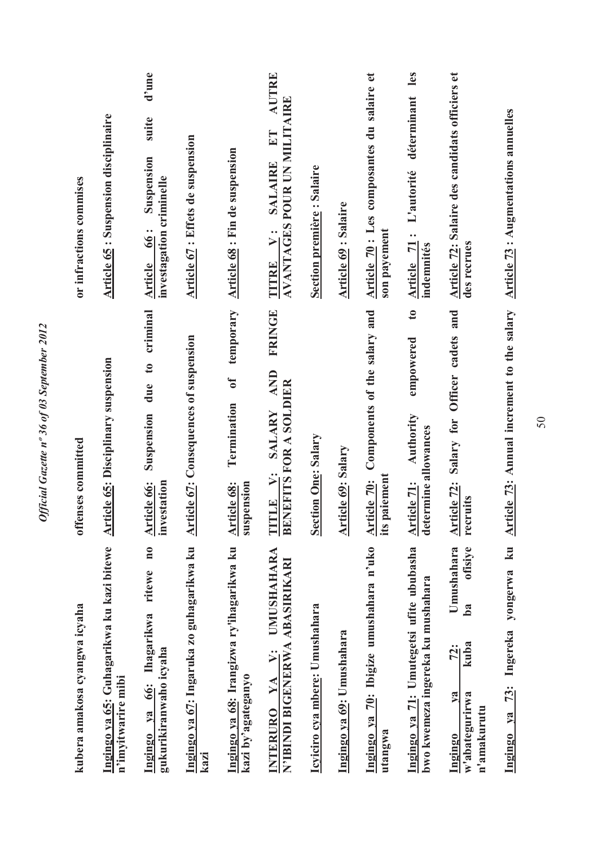| kubera amakosa cyangwa icyaha                                                                      | offenses committed                                                                            | or infractions commises                                                                      |
|----------------------------------------------------------------------------------------------------|-----------------------------------------------------------------------------------------------|----------------------------------------------------------------------------------------------|
| Ingingo ya 65: Guhagarikwa ku kazi bitewe<br>n'imyitwarire mibi                                    | <b>Article 65: Disciplinary suspension</b>                                                    | <b>Article 65: Suspension disciplinaire</b>                                                  |
| $\mathbf{n}$ 0<br>ritewe<br>Ihagarikwa<br>gukurikiranwaho icyaha<br>66:<br>Ingingo ya              | criminal<br>due to<br>Suspension<br>investation<br>Article 66:                                | d'une<br>suite<br>Suspension<br>investagation criminelle<br>66:<br>Article                   |
| Ingingo ya 67: Ingaruka zo guhagarikwa ku<br>kazi                                                  | <b>Article 67: Consequences of suspension</b>                                                 | Article 67 : Effets de suspension                                                            |
| Ingingo ya 68: Irangizwa ry'ihagarikwa ku<br>kazi by'agateganyo                                    | temporary<br>$\overline{\textbf{u}}$<br>Termination<br>Article 68:<br>suspension              | Article 68 : Fin de suspension                                                               |
| <b>UMUSHAHARA</b><br>N'IBINDI BIGENERWA ABASIRIKARI<br>$\ddot{v}$ :<br>YA<br><b>INTERURO</b>       | <b>FRINGE</b><br><b>AND</b><br><b>BENEFITS FOR A SOLDIER</b><br>SALARY<br>$\ddot{v}$<br>TITLE | AUTRE<br><b>AVANTAGES POUR UN MILITAIRE</b><br>ET<br><b>SALAIRE</b><br>$\ddot{v}$ :<br>TITRE |
| Icyiciro cya mbere: Umushahara                                                                     | <b>Section One: Salary</b>                                                                    | <b>Section première : Salaire</b>                                                            |
| Ingingo ya 69: Umushahara                                                                          | <b>Article 69: Salary</b>                                                                     | <b>Article 69: Salaire</b>                                                                   |
| Ingingo ya 70: Ibigize umushahara n'uko<br>utangwa                                                 | Components of the salary and<br>paiement<br>Article 70:<br>its                                | Article 70 : Les composantes du salaire et<br>son payement                                   |
| Ingingo ya 71: Umutegetsi ufite ububasha<br>bwo kwemeza ingereka ku mushahara                      | $\mathfrak{g}$<br>empowered<br>Authority<br>ermine allowances<br>Article 71:<br>det           | les<br>déterminant<br>L'autorité<br>Article 71:<br>indemnités                                |
| Umushahara<br>ofisiye<br>b <sub>a</sub><br>kuba<br>72:<br>w'abategurirwa<br>n'amakurutu<br>Ingingo | Article 72: Salary for Officer cadets and<br>recruits                                         | Article 72: Salaire des candidats officiers et<br>des recrues                                |
| $\mathbf{k}$ u<br>yongerwa<br>Ingereka<br>$\overline{13}$ :<br>Ingingo ya                          | Article 73: Annual increment to the salary                                                    | <b>Article 73: Augmentations annuelles</b>                                                   |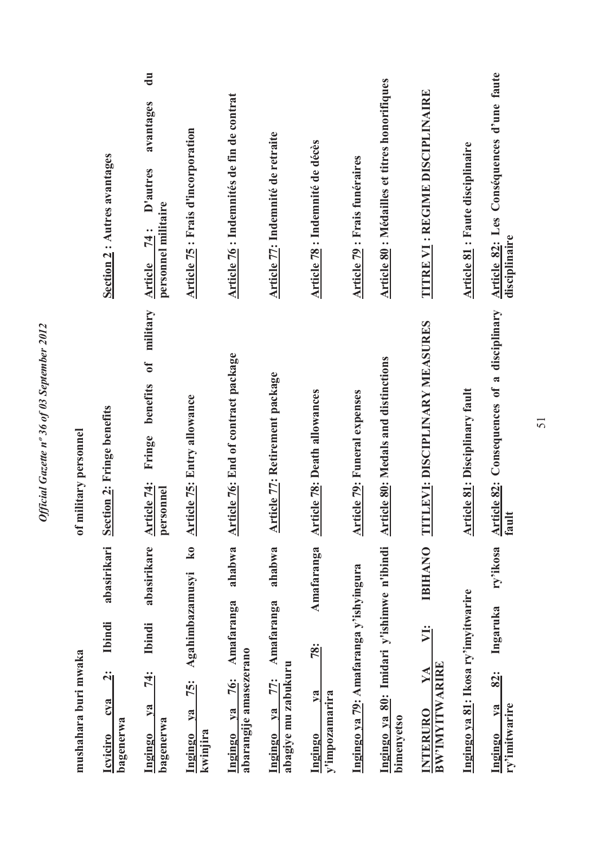| mushahara buri mwaka                                                                        | of military personnel                                                        |                                                                                           |
|---------------------------------------------------------------------------------------------|------------------------------------------------------------------------------|-------------------------------------------------------------------------------------------|
| abasirikari<br><b>Ibindi</b><br>$\ddot{\mathbf{q}}$<br>cya<br>bagenerwa<br><b>Icyiciro</b>  | Section 2: Fringe benefits                                                   | Section 2 : Autres avantages                                                              |
| abasirikare<br>Ibindi<br>74:<br>ya<br>bagenerwa<br>Ingingo                                  | military<br>$\mathfrak{b}$<br>benefits<br>Fringe<br>Article 74:<br>personnel | $\mathbf{d}\mathbf{u}$<br>avantages<br>D'autres<br>personnel militaire<br>74 :<br>Article |
| $\overline{\mathbf{k}}$ 0<br>Agahimbazamusyi<br>$\frac{75}{3}$<br>ya<br>kwinjira<br>Ingingo | <b>Article 75: Entry allowance</b>                                           | <b>Article 75: Frais d'incorporation</b>                                                  |
| ahabwa<br>Amafaranga<br>abarangije amasezerano<br>76:<br>$ya$<br>Ingingo                    | <b>Article 76: End of contract package</b>                                   | Article 76 : Indemnités de fin de contrat                                                 |
| ahabwa<br>Amafaranga<br>abagiye mu zabukuru<br><b>77:</b><br>$ya$<br>Ingingo                | <b>Article 77: Retirement package</b>                                        | Article 77: Indemnité de retraite                                                         |
| Amafaranga<br>$\frac{2}{3}$<br>$1$<br>y'impozamarira<br>Ingingo                             | <b>Article 78: Death allowances</b>                                          | Article 78 : Indemnité de décès                                                           |
| Ingingo ya 79: Amafaranga y'ishyingura                                                      | <b>Article 79: Funeral expenses</b>                                          | Article 79 : Frais funéraires                                                             |
| Ingingo ya 80: Imidari y'ishimwe n'ibindi<br>bimenyetso                                     | <b>Article 80: Medals and distinctions</b>                                   | <b>Article 80: Médailles et titres honorifiques</b>                                       |
| <b>IBIHANO</b><br>VI:<br>BW'IMYITWARIRE<br>$\bf{Y}$<br>INTERURO                             | TITLEVI: DISCIPLINARY MEASURES                                               | <b>TITRE VI : REGIME DISCIPLINAIRE</b>                                                    |
| Ingingo ya 81: Ikosa ry'imyitwarire                                                         | <b>Article 81: Disciplinary fault</b>                                        | <b>Article 81</b> : Faute disciplinaire                                                   |
| ry'ikosa<br>Ingaruka<br>82:<br>ry'imitwarire<br>$\mathbf{v}\mathbf{a}$<br><b>Ingingo</b>    | Article 82: Consequences of a disciplinary<br>fault                          | Article 82: Les Conséquences d'une faute<br>disciplinaire                                 |

Official Gazette nº 36 of 03 September 2012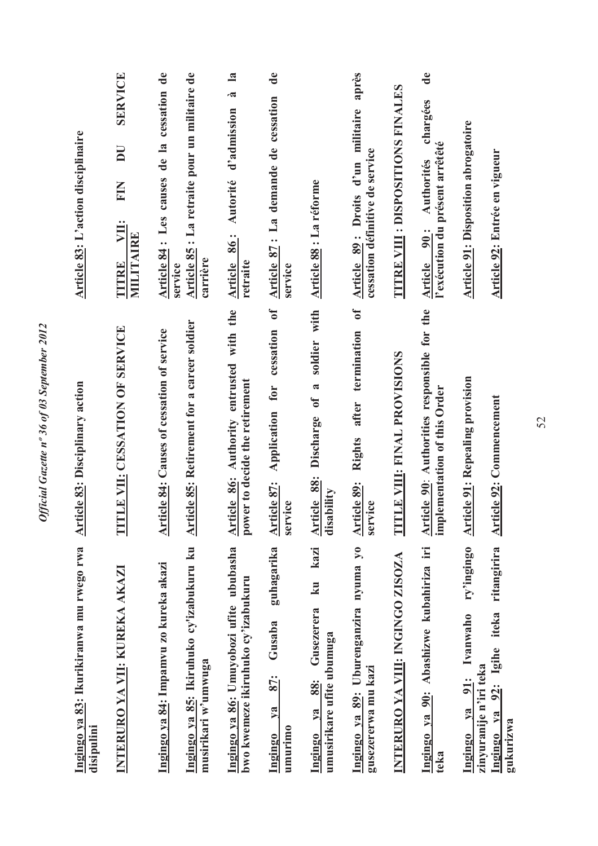| Ingingo ya 83: Ikurikiranwa mu rwego rwa<br>disipulini                                               | <b>Article 83: Disciplinary action</b>                                                | Article 83: L'action disciplinaire                                                                 |
|------------------------------------------------------------------------------------------------------|---------------------------------------------------------------------------------------|----------------------------------------------------------------------------------------------------|
| INTERURO YA VII: KUREKA AKAZI                                                                        | TITLE VII: CESSATION OF SERVICE                                                       | <b>SERVICE</b><br>$\overline{\mathbf{D}}$<br>EIN<br>VII:<br>MILITAIRE<br>TITRE                     |
| Ingingo ya 84: Impamvu zo kureka akazi                                                               | <b>Article 84: Causes of cessation of service</b>                                     | Article 84 : Les causes de la cessation de<br>service                                              |
| Ingingo ya 85: Ikiruhuko cy'izabukuru ku<br>musirikari w'umwuga                                      | <b>Article 85: Retirement for a career soldier</b>                                    | Article 85 : La retraite pour un militaire de<br>carrière                                          |
| Ingingo ya 86: Umuyobozi ufite ububasha<br>bwo kwemeze ikiruhuko cy'izabukuru                        | Article 86: Authority entrusted with the<br>power to decide the retirement            | $\mathbf{a}$<br>$\tilde{\mathbf{z}}$<br>d'admission<br>Autorité<br>86:<br>Article<br>retraite      |
| guhagarika<br>Gusaba<br><u>87:</u><br>ya<br>umurimo<br>Ingingo                                       | 0f<br>cessation<br>Application for<br>Article 87:<br>service                          | $\mathbf{d}\mathbf{e}$<br>Article 87: La demande de cessation<br>service                           |
| kazi<br>$\overline{\mathbf{k}}$ u<br>Gusezerera<br>umusirikare ufite ubumuga<br>88:<br>V2<br>Ingingo | soldier with<br>$\tilde{a}$<br>$\mathbf{d}$<br>Discharge<br>Article 88:<br>disability | Article 88 : La réforme                                                                            |
| Ingingo ya 89: Uburenganzira nyuma yo<br>gusezererwa mu kazi                                         | $\overline{\mathbf{d}}$<br>termination<br>after<br>Rights<br>Article 89:<br>service   | après<br>Article 89 : Droits d'un militaire<br>cessation définitive de service                     |
| <b>INTERURO YA VIII: INGINGO ZISOZA</b>                                                              | TITLE VIII: FINAL PROVISIONS                                                          | <b>TITRE VIII : DISPOSITIONS FINALES</b>                                                           |
| Abashizwe kubahiriza iri<br>Ingingo ya 90:<br>teka                                                   | Article 90: Authorities responsible for the<br>implementation of this Order           | de<br>chargées<br>l'exécution du présent arrêtêté<br><b>Authorités</b><br>$\frac{1}{2}$<br>Article |
| ry'ingingo<br>Ivanwaho<br>zinyuranije n'iri teka<br>91:<br>$y$ a<br><b>Ingingo</b>                   | <b>Article 91: Repealing provision</b>                                                | <b>Article 91: Disposition abrogatoire</b>                                                         |
| ritangirira<br>Igihe iteka<br>$\frac{5}{2}$<br>$\sqrt{a}$<br>gukurizwa<br>Ingingo                    | Article 92: Commencement                                                              | Article 92: Entrée en vigueur                                                                      |

Official Gazette nº 36 of 03 September 2012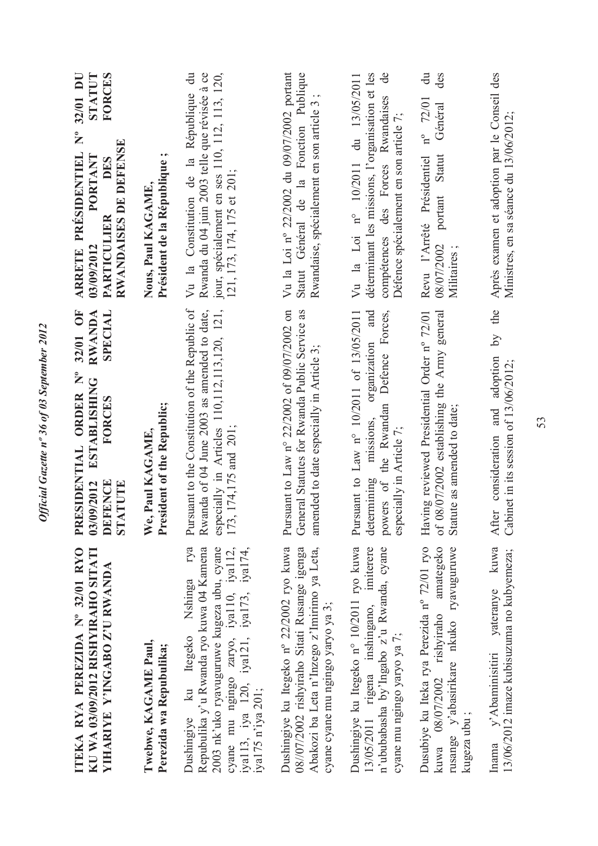| ITEKA RYA PEREZIDA Nº 32/01 RYO<br>KU WA 03/09/2012 RISHYIRAHO SITATI<br><b>YIHARIYE Y'INGABO Z'U RWANDA</b>                                                                                                                                | 32/01 OF<br>RWANDA<br>SPECIAL<br>$\sum_{i=1}^{6}$<br><b>ESTABLISHING</b><br>PRESIDENTIAL ORDER<br>FORCES<br><b>DEFENCE</b><br>03/09/2012<br>STATUTE                     | <b>STATUT</b><br>FORCES<br>32/01 DU<br>$\mathsf{S}^{\circ}$<br>RWANDAISES DE DEFENSE<br>ARRETE PRÉSIDENTIEL<br>PORTANT<br>DES<br><b>PARTICULIER</b><br>03/09/2012                 |
|---------------------------------------------------------------------------------------------------------------------------------------------------------------------------------------------------------------------------------------------|-------------------------------------------------------------------------------------------------------------------------------------------------------------------------|-----------------------------------------------------------------------------------------------------------------------------------------------------------------------------------|
| Twebwe, KAGAME Paul,<br>Perezida wa Repubulika;                                                                                                                                                                                             | President of the Republic;<br>We, Paul KAGAME,                                                                                                                          | Président de la République<br>Nous, Paul KAGAME,                                                                                                                                  |
| rya<br>Repubulika y'u Rwanda ryo kuwa 04 Kamena<br>2003 nk'uko ryavuguruwe kugeza ubu, cyane<br>cyane mu ngingo zaryo, iya110, iya112,<br>iya113, iya 120, iya121, iya173, iya174,<br>Nshinga<br>Dushingiye ku Itegeko<br>iya175 n'iya 201; | Pursuant to the Constitution of the Republic of<br>Rwanda of 04 June 2003 as amended to date,<br>especially in Articles 110,112,113,120, 121,<br>173, 174, 175 and 201; | $\ddot{a}$<br>Rwanda du 04 juin 2003 telle que révisée à ce<br>jour, spécialement en ses 110, 112, 113, 120,<br>Vu la Constitution de la République<br>121, 173, 174, 175 et 201; |
| Dushingiye ku Itegeko nº 22/2002 ryo kuwa<br>08//07/2002 rishyiraho Sitati Rusange igenga<br>Abakozi ba Leta n'Inzego z'Imirimo ya Leta,<br>cyane cyane mu ngingo yaryo ya 3;                                                               | Pursuant to Law n° 22/2002 of 09/07/2002 on<br>General Statutes for Rwanda Public Service as<br>amended to date especially in Article 3;                                | Vu la Loi nº 22/2002 du 09/07/2002 portant<br>Statut Général de la Fonction Publique<br>Rwandaise, spécialement en son article 3                                                  |
| Dushingiye ku Itegeko n° 10/2011 ryo kuwa<br>13/05/2011 rigena inshingano, imiterere<br>n'ububabasha by'Ingabo z'u Rwanda, cyane<br>cyane mu ngingo yaryo ya 7;                                                                             | and<br>powers of the Rwandan Defence Forces,<br>Pursuant to Law n° 10/2011 of 13/05/2011<br>organization<br>missions,<br>especially in Article 7;<br>determining        | déterminant les missions, l'organisation et les<br>$\theta$<br>Vu la Loi nº 10/2011 du 13/05/2011<br>compétences des Forces Rwandaises<br>Défence spécialement en son article 7;  |
| Dusubiye ku Iteka rya Perezida nº 72/01 ryo<br>rusange y'abasirikare nkuko ryavuguruwe<br>amategeko<br>kuwa 08/07/2002 rishyiraho<br>kugeza ubu ;                                                                                           | of 08/07/2002 establishing the Army general<br>Having reviewed Presidential Order nº 72/01<br>Statute as amended to date;                                               | des<br>$\vec{a}$<br>$n^{\circ}$ 72/01<br>Général<br><b>Statut</b><br>Revu l'Arrêté Présidentiel<br>portant<br>08/07/2002<br>Militaires                                            |
| vateranye kuwa<br>13/06/2012 imaze kubisuzuma no kubyemeza;<br>y'Abaminisitiri<br>Inama                                                                                                                                                     | the<br>$\overline{S}$<br>consideration and adoption<br>Cabinet in its session of 13/06/2012;<br>After                                                                   | Après examen et adoption par le Conseil des<br>Ministres, en sa séance du 13/06/2012;                                                                                             |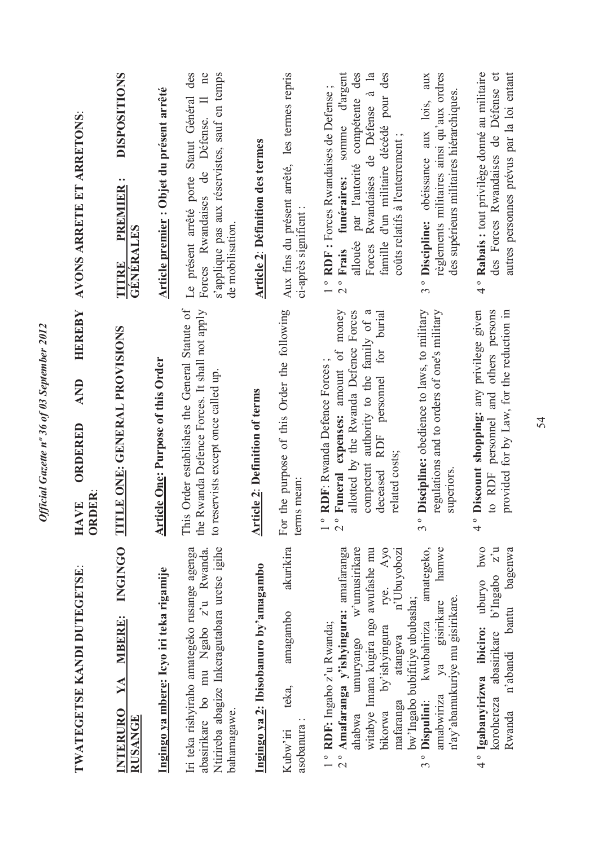| <b>TWATEGETSE KANDI DUTEGETSE:</b>                                                                                                                                                                                                                   | HEREBY<br>AND<br>ORDERED<br><b>ORDER</b><br><b>HAVE</b>                                                                                                                                                                           | AVONS ARRETE ET ARRETONS:                                                                                                                                                                                                                                        |
|------------------------------------------------------------------------------------------------------------------------------------------------------------------------------------------------------------------------------------------------------|-----------------------------------------------------------------------------------------------------------------------------------------------------------------------------------------------------------------------------------|------------------------------------------------------------------------------------------------------------------------------------------------------------------------------------------------------------------------------------------------------------------|
| <b>INGINGO</b><br>YA MBERE:<br><b>INTERURO</b><br><b>RUSANGE</b>                                                                                                                                                                                     | TITLE ONE: GENERAL PROVISIONS                                                                                                                                                                                                     | <b>DISPOSITIONS</b><br>$\bullet$ $\bullet$<br>TITRE PREMIER<br><b>GÉNÉRALES</b>                                                                                                                                                                                  |
| Ingingo ya mbere: Icyo iri teka rigamije                                                                                                                                                                                                             | <b>Article One: Purpose of this Order</b>                                                                                                                                                                                         | Article premier : Objet du présent arrêté                                                                                                                                                                                                                        |
| Ntirireba abagize Inkeragutabara uretse igihe<br>Iri teka rishyiraho amategeko rusange agenga<br>abasirikare bo mu Ngabo z'u Rwanda.<br>bahamagawe.                                                                                                  | is Order establishes the General Statute of<br>Rwanda Defence Forces. It shall not apply<br>to reservists except once called up<br>$\overline{\text{This}}$<br>the                                                                | Le présent arrêté porte Statut Général des<br>ne<br>s'applique pas aux réservistes, sauf en temps<br>Forces Rwandaises de Défense. Il<br>de mobilisation.                                                                                                        |
| Ingingo ya 2: Ibisobanuro by'amagambo                                                                                                                                                                                                                | Article 2: Definition of terms                                                                                                                                                                                                    | <b>Article 2: Définition des termes</b>                                                                                                                                                                                                                          |
| akurikira<br>amagambo<br>teka,<br>asobanura<br>Kubw'iri                                                                                                                                                                                              | the purpose of this Order the following<br>terms mean:<br>For                                                                                                                                                                     | Aux fins du présent arrêté, les termes repris<br>ci-après signifient                                                                                                                                                                                             |
| Amafaranga y'ishyingura: amafaranga<br>w'umusirikare<br>witabye Imana kugira ngo awufashe mu<br>Ayo<br>n'Ubuyobozi<br>rye.<br>1° RDF: Ingabo z'u Rwanda;<br>by'ishyingura<br>atangwa<br>umuryango<br>mafaranga<br>bikorwa<br>ahabwa<br>$\frac{1}{2}$ | Funeral expenses: amount of money<br>allotted by the Rwanda Defence Forces<br>competent authority to the family of a<br>burial<br>for<br>RDF: Rwanda Defence Forces;<br>deceased RDF personnel<br>related costs;<br>$\frac{1}{2}$ | somme d'argent<br>par l'autorité compétente des<br>Rwandaises de Défense à la<br>famille d'un militaire décédé pour des<br>1° RDF : Forces Rwandaises de Defense;<br>coûts relatifs à l'enterrement;<br>funéraires:<br>allouée<br>Forces<br>2 <sup>°</sup> Frais |
| amategeko,<br>hamwe<br>n'ay'abamukuriye mu gisirikare.<br>bw'lngabo bubifitiye ububasha;<br>gisirikare<br>kwubahiriza<br>ya<br>amabwiriza<br>3 <sup>°</sup> Dispulini:                                                                               | Discipline: obedience to laws, to military<br>regulations and to orders of one's military<br>superiors<br>$\frac{1}{3}$                                                                                                           | règlements militaires ainsi qu'aux ordres<br>aux<br>des supérieurs militaires hiérarchiques.<br>3° Discipline: obéissance aux lois,                                                                                                                              |
| <b>DWO</b><br>korohereza abasirikare b'Ingabo z'u<br>bagenwa<br>4° Igabanyirizwa ibiciro: uburyo<br>n'abandi bantu<br>Rwanda                                                                                                                         | Discount shopping: any privilege given<br>to RDF personnel and others persons<br>provided for by Law, for the reduction in<br>$\frac{4}{1}$                                                                                       | autres personnes prévus par la loi entant<br>4° Rabais : tout privilège donné au militaire<br>des Forces Rwandaises de Défense et                                                                                                                                |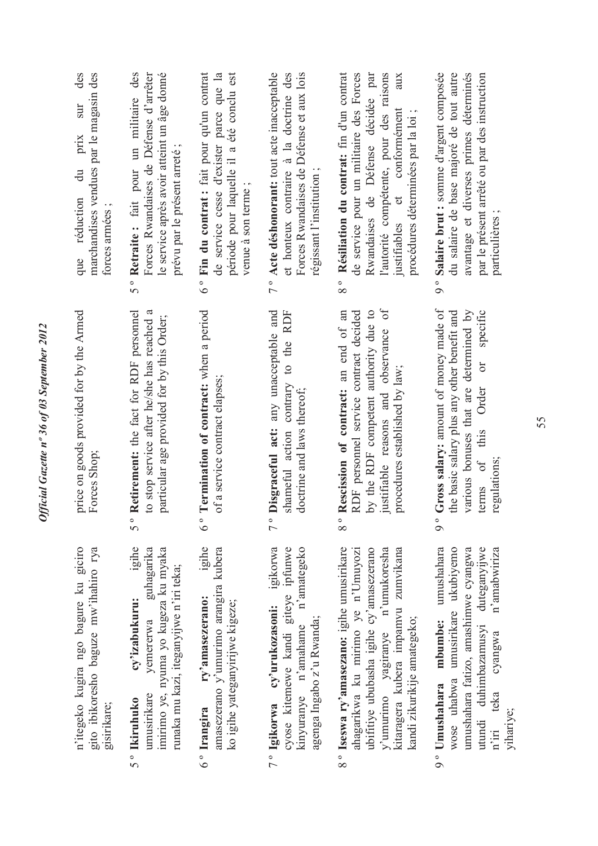| des<br>marchandises vendues par le magasin des<br>sur<br>$\overline{\text{prix}}$<br>$\ddot{a}$<br>réduction<br>forces armées<br>que | le service après avoir atteint un âge donné<br>5° Retraite: fait pour un militaire des<br>Forces Rwandaises de Défense d'arrêter<br>prévu par le présent arreté;                | 6° Fin du contrat : fait pour qu'un contrat<br>de service cesse d'exister parce que la<br>période pour laquelle il a été conclu est<br>venue à son terme | 7° Acte déshonorant: tout acte inacceptable<br>et honteux contraire à la doctrine des<br>Forces Rwandaises de Défense et aux lois<br>régissant l'institution; | Résiliation du contrat: fin d'un contrat<br>de service pour un militaire des Forces<br>l'autorité compétente, pour des raisons<br>Rwandaises de Défense décidée par<br>aux<br>justifiables et conformément<br>procédures déterminées par la loi ;<br>8 <sup>o</sup> | 9° Salaire brut : somme d'argent composée<br>avantage et diverses primes déterminés<br>du salaire de base majoré de tout autre<br>par le présent arrêté ou par des instruction<br>particulières;                                     |
|--------------------------------------------------------------------------------------------------------------------------------------|---------------------------------------------------------------------------------------------------------------------------------------------------------------------------------|----------------------------------------------------------------------------------------------------------------------------------------------------------|---------------------------------------------------------------------------------------------------------------------------------------------------------------|---------------------------------------------------------------------------------------------------------------------------------------------------------------------------------------------------------------------------------------------------------------------|--------------------------------------------------------------------------------------------------------------------------------------------------------------------------------------------------------------------------------------|
| price on goods provided for by the Armed<br>Forces Shop;                                                                             | to stop service after he/she has reached a<br>Retirement: the fact for RDF personnel<br>particular age provided for by this Order;<br>50                                        | Termination of contract: when a period<br>of a service contract elapses;<br>$6\degree$                                                                   | Disgraceful act: any unacceptable and<br>shameful action contrary to the RDF<br>doctrine and laws thereof;<br>$\overline{7}$ °                                | justifiable reasons and observance of<br>by the RDF competent authority due to<br>Rescission of contract: an end of an<br>RDF personnel service contract decided<br>procedures established by law;<br>$\circ$<br>$\infty$                                           | Gross salary: amount of money made of<br>various bonuses that are determined by<br>specific<br>the basic salary plus any other benefit and<br>$\overline{C}$<br>Order<br>this<br>$\sigma$<br>regulations;<br>terms<br>9 <sup>°</sup> |
| n'itegeko kugira ngo bagure ku giciro<br>gito ibikoresho baguze mw'ihahiro rya<br>gisirikare;                                        | igihe<br>guhagarika<br>imirimo ye, nyuma yo kugeza ku myaka<br>runaka mu kazi, iteganyijwe n'iri teka;<br>cy'izabukuru:<br>yemererwa<br>umusirikare<br>5 <sup>°</sup> Ikiruhuko | igihe<br>amasezerano y'umurimo arangira kubera<br>ry'amasezerano:<br>ko igihe yateganyirijwe kigeze;<br>6° Irangira                                      | igikorwa<br>cyose kitemewe kandi giteye ipfunwe<br>n'amategeko<br>7° Igikorwa cy'urukozasoni:<br>agenga Ingabo z'u Rwanda;<br>kinyuranye n'amahame            | 8° Iseswa ry'amasezano: igihe umusirikare<br>ubifitiye ububasha igihe cy'amasezerano<br>y'umurimo yagiranye n'umukoresha<br>kitaragera kubera impamvu zumvikana<br>ahagarikwa ku mirimo ye n'Umuyozi<br>kandi zikurikije amategeko;                                 | umushahara<br>wose uhabwa umusirikare ukubiyemo<br>umushahara fatizo, amashimwe cyangwa<br>duteganyywe<br>n'amabwiriza<br>mbumbe:<br>utundi duhimbazamusyi<br>cyangwa<br>9° Umushahara<br>teka<br>vihariye;<br>$n^{\prime}$ iri      |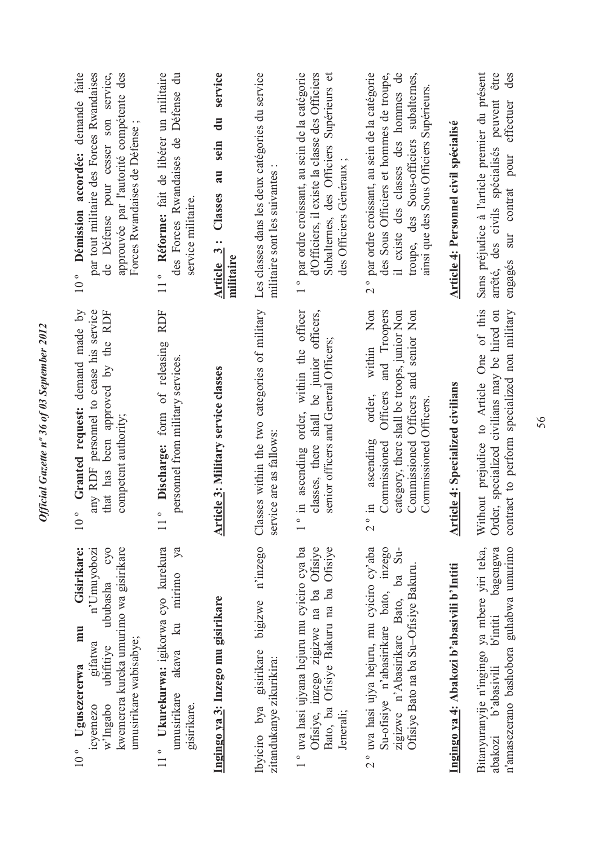| Gisirikare:<br>n'Umuyobozi<br>cyo<br>kwemerera kureka umurimo wa gisirikare<br>ububasha<br>mmu<br>umusirikare wabisabye;<br>gifatwa<br>ubifitiye<br>Ugusezererwa<br>w'Ingabo<br>ICVemezo<br>$10^{\circ}$ | Granted request: demand made by<br>any RDF personnel to cease his service<br>that has been approved by the RDF<br>competent authority;                                                                                             | Démission accordée: demande faite<br>par tout militaire des Forces Rwandaises<br>approuvée par l'autorité compétente des<br>de Défense pour cesser son service,<br>Forces Rwandaises de Défense;<br>10 <sup>°</sup>      |
|----------------------------------------------------------------------------------------------------------------------------------------------------------------------------------------------------------|------------------------------------------------------------------------------------------------------------------------------------------------------------------------------------------------------------------------------------|--------------------------------------------------------------------------------------------------------------------------------------------------------------------------------------------------------------------------|
| 11° Ukurekurwa: igikorwa cyo kurekura<br>mirimo<br>$\mathbb{Z}$<br>akava<br>umusirikare<br>gisirikare.                                                                                                   | <b>RDF</b><br>Discharge: form of releasing<br>personnel from military services.                                                                                                                                                    | Réforme: fait de libérer un militaire<br>Défense du<br>des Forces Rwandaises de<br>service militaire.<br>$11^{\circ}$                                                                                                    |
| Ingingo va 3: Inzego mu gisirikare                                                                                                                                                                       | Article 3: Military service classes                                                                                                                                                                                                | service<br>du<br>sein<br>au<br>Classes<br>Article 3:<br>militaire                                                                                                                                                        |
| Ibyiciro bya gisirikare bigizwe n'inzego<br>zitandukanye zikurikira:                                                                                                                                     | Classes within the two categories of military<br>service are as fallows                                                                                                                                                            | Les classes dans les deux catégories du service<br>militaire sont les suivantes                                                                                                                                          |
| 1° uva hasi ujyana hejuru mu cyiciro cya ba<br>Ofisiye, inzego zigizwe na ba Ofisiye<br>Ofisiye<br>Bato, ba Ofisiye Bakuru na ba<br>Jenerali;                                                            | in ascending order, within the officer<br>classes, there shall be junior officers,<br>senior officers and General Officers;                                                                                                        | par ordre croissant, au sein de la catégorie<br>d'Officiers, il existe la classe des Officiers<br>Subalternes, des Officiers Supérieurs et<br>des Officiers Généraux;<br>$\bullet$                                       |
| 2° uva hasi ujya hejuru, mu cyiciro cy'aba<br>Su-ofisiye n'abasirikare bato, inzego<br>zigizwe n'Abasirikare Bato, ba Su-<br>Ofisiye Bato na ba Su-Ofisiye Bakuru                                        | Non<br>and Troopers<br>category, there shall be troops, junior Non<br>Commissioned Officers and senior Non<br>within<br>Officers<br>order,<br>Commissioned Officers<br>ascending<br>Commissioned<br>$\mathbf{H}$<br>$\overline{C}$ | 2° par ordre croissant, au sein de la catégorie<br>des Sous Officiers et hommes de troupe,<br>il existe des classes des hommes de<br>troupe, des Sous-officiers subalternes,<br>ainsi que des Sous Officiers Supérieurs. |
| Ingingo ya 4: Abakozi b'abasivili b'Intiti                                                                                                                                                               | <b>Article 4: Specialized civilians</b>                                                                                                                                                                                            | Article 4: Personnel civil spécialisé                                                                                                                                                                                    |
| Bitanyuranyije n'ingingo ya mbere yiri teka,<br>bagengwa<br>n'amasezerano bashobora guhabwa umurimo<br>b'intiti<br>b'abasivili<br>abakozi                                                                | Without prejudice to Article One of this<br>contract to perform specialized non military<br>Order, specialized civilians may be hired on                                                                                           | Sans préjudice à l'article premier du présent<br>arrêté, des civils spécialisés peuvent être<br>des<br>engagés sur contrat pour effectuer                                                                                |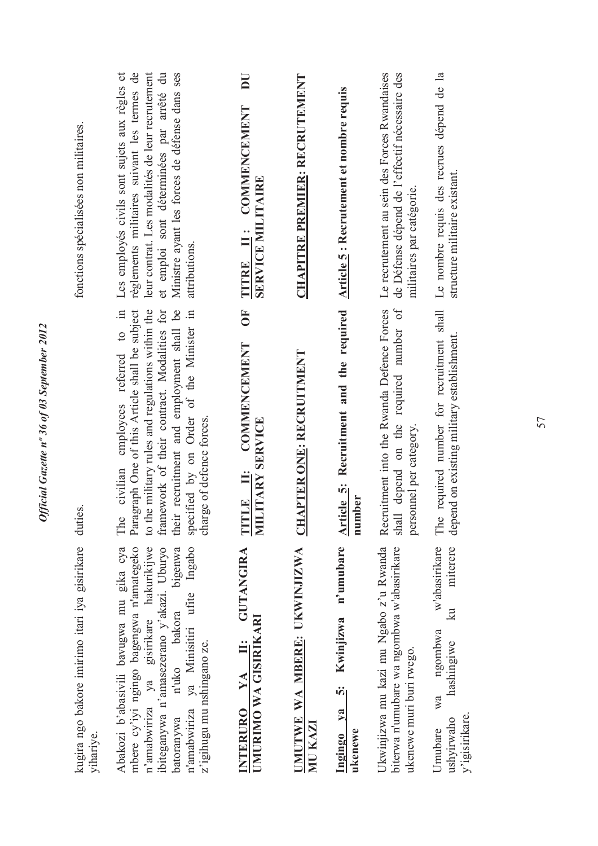| fonctions spécialisées non militaires.                      | Les employés civils sont sujets aux règles et<br>règlements militaires suivant les termes de<br>leur contrat. Les modalités de leur recrutement<br>et emploi sont déterminées par arrêté du<br>Ministre ayant les forces de défense dans ses<br>attributions.<br>employees referred to in<br>graph One of this Article shall be subject<br>to the military rules and regulations within the<br>their recruitment and employment shall be<br>framework of their contract. Modalities for<br>specified by on Order of the Minister in | TITRE II: COMMENCEMENT<br><b>SERVICE MILITAIRE</b><br>5<br><b>COMMENCEMENT</b> | <b>CHAPITRE PREMIER: RECRUTEMENT</b><br><b>CHAPTER ONE: RECRUITMENT</b> | <b>Article 5: Recrutement et nombre requis</b><br>Article 5: Recruitment and the required | Le recrutement au sein des Forces Rwandaises<br>de Défense dépend de l'effectif nécessaire des<br>militaires par catégorie.<br>Recruitment into the Rwanda Defence Forces<br>shall depend on the required number of | Le nombre requis des recrues dépend de la<br>structure militaire existant.<br>required number for recruitment shall<br>depend on existing military establishment. |
|-------------------------------------------------------------|-------------------------------------------------------------------------------------------------------------------------------------------------------------------------------------------------------------------------------------------------------------------------------------------------------------------------------------------------------------------------------------------------------------------------------------------------------------------------------------------------------------------------------------|--------------------------------------------------------------------------------|-------------------------------------------------------------------------|-------------------------------------------------------------------------------------------|---------------------------------------------------------------------------------------------------------------------------------------------------------------------------------------------------------------------|-------------------------------------------------------------------------------------------------------------------------------------------------------------------|
| duties.                                                     | ge of defence forces.<br>civilian<br>The<br>Para<br>char                                                                                                                                                                                                                                                                                                                                                                                                                                                                            | TITLE II: COMN<br>MILITARY SERVICE                                             |                                                                         | number                                                                                    | personnel per category.                                                                                                                                                                                             | The                                                                                                                                                               |
| kugira ngo bakore imirimo itari iya gisirikare<br>yihariye. | mbere cy'iyi ngingo bagengwa n'amategeko<br>Abakozi b'abasivili bavugwa mu gika cya<br>n'amabwiriza ya gisirikare hakurikijwe<br>ibiteganywa n'amasezerano y'akazi. Uburyo<br>batoranywa n'uko bakora bigenwa<br>n'amabwiriza ya Minisitiri ufite Ingabo<br>bigenwa<br>z'igihugu mu nshingano ze.                                                                                                                                                                                                                                   | <b>GUTANGIRA</b><br>UMURIMO WA GISIRIKARI<br>Ë<br>INTERURO YA                  | UMUTWE WA MBERE: UKWINJIZWA<br>MU KAZI                                  | n'umubare<br>Kwinjizwa<br><u>က်</u><br>Ingingo ya<br>ukenewe                              | Ukwinjizwa mu kazi mu Ngabo z'u Rwanda<br>biterwa n'umubare wa ngombwa w'abasirikare<br>ukenewe muri buri rwego.                                                                                                    | w'abasirikare<br>miterere<br>$\mathbb{E}$<br>ngombwa<br>hashingiwe<br>wa<br>y'igisirikare.<br>ushyirwaho<br>Umubare                                               |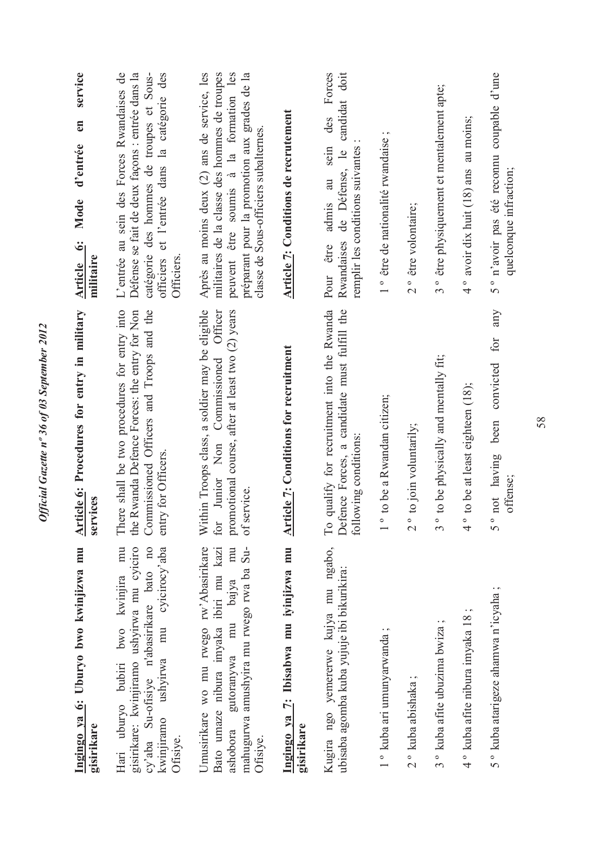| Ingingo ya 6: Uburyo bwo kwinjizwa mu                                                                                                                                                            | <b>Article 6: Procedures for entry in military</b>                                                                                                                          | service<br>en<br>Mode d'entrée<br>Article 6:                                                                                                                                                                                    |
|--------------------------------------------------------------------------------------------------------------------------------------------------------------------------------------------------|-----------------------------------------------------------------------------------------------------------------------------------------------------------------------------|---------------------------------------------------------------------------------------------------------------------------------------------------------------------------------------------------------------------------------|
| gisirikare: kwinjiramo ushyirwa mu cyiciro<br>cy'aba Su-ofisiye n'abasirikare bato no<br>mu<br>kwinjiramo ushyirwa mu cyicirocy'aba<br>Hari uburyo bubiri bwo kwinjira<br>gisirikare<br>Ofisiye. | There shall be two procedures for entry into<br>the Rwanda Defence Forces: the entry for Non<br>Commissioned Officers and Troops and the<br>entry for Officers.<br>services | officiers et l'entrée dans la catégorie des<br>L'entrée au sein des Forces Rwandaises de<br>Défense se fait de deux façons : entrée dans la<br>catégorie des hommes de troupes et Sous-<br>militaire<br>Officiers               |
| Umusirikare wo mu rwego rw'Abasirikare<br>mu<br>mahugurwa amushyira mu rwego rwa ba Su-<br>Bato umaze nibura imyaka ibiri mu kazi<br>gutoranywa mu bajya<br>ashobora<br>Ofisiye.                 | Within Troops class, a soldier may be eligible<br>promotional course, after at least two (2) years<br>Officer<br>Commissioned<br>Junior Non<br>of service<br>for            | Après au moins deux (2) ans de service, les<br>peuvent être soumis à la formation les<br>militaires de la classe des hommes de troupes<br>préparant pour la promotion aux grades de la<br>classe de Sous-officiers subalternes. |
| Ingingo ya 7: Ibisabwa mu iyinjizwa mu<br>gisirikare                                                                                                                                             | <b>Article 7: Conditions for recruitment</b>                                                                                                                                | Article 7: Conditions de recrutement                                                                                                                                                                                            |
| Kugira ngo yemererwe kujya mu ngabo,<br>ubisaba agomba kuba yujuje ibi bikurikira:                                                                                                               | qualify for recruitment into the Rwanda<br>Defence Forces, a candidate must fulfill the<br>following conditions:<br>$\Gamma$ o                                              | Forces<br>candidat doit<br>des<br>au sein<br>remplir les conditions suivantes<br>Rwandaises de Défense, le<br>admis<br>être<br>Pour                                                                                             |
| $1$ ° kuba ari umunyarwanda ;                                                                                                                                                                    | to be a Rwandan citizen;<br>$\overline{1}$                                                                                                                                  | $\cdot$ $\sim$<br>1° être de nationalité rwandaise                                                                                                                                                                              |
| 2° kuba abishaka                                                                                                                                                                                 | to join voluntarily;<br>$\frac{1}{2}$                                                                                                                                       | 2° être volontaire;                                                                                                                                                                                                             |
| 3° kuba afite ubuzima bwiza;                                                                                                                                                                     | to be physically and mentally fit;<br>$3^{\circ}$                                                                                                                           | 3° être physiquement et mentalement apte;                                                                                                                                                                                       |
| 4° kuba afite nibura imyaka 18                                                                                                                                                                   | to be at least eighteen (18);<br>$\degree$                                                                                                                                  | 4° avoir dix huit $(18)$ ans au moins;                                                                                                                                                                                          |
| 5° kuba atarigeze ahamwa n'icyaha;                                                                                                                                                               | any<br>for<br>convicted<br>been<br>not having<br>offense;<br>$5^{\circ}$                                                                                                    | 5° n'avoir pas été reconnu coupable d'une<br>quelconque infraction;                                                                                                                                                             |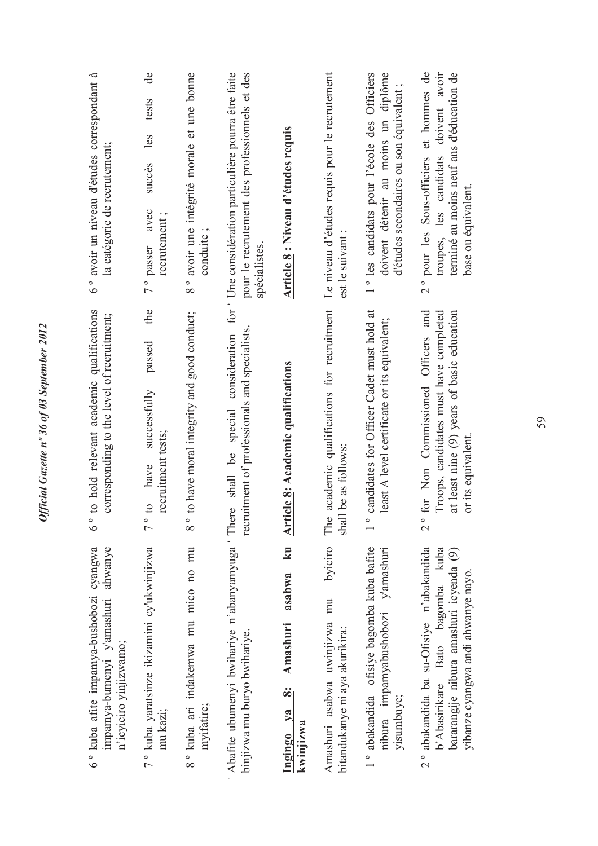| 6° avoir un niveau d'études correspondant à<br>la catégorie de recrutement;                                | de<br>tests<br>les<br>succès<br>avec<br>recrutement;<br>7° passer                           | avoir une intégrité morale et une bonne<br>conduite;<br>$\frac{1}{8}$ | Une considération particulière pourra être faite<br>pour le recrutement des professionnels et des<br>spécialistes. | <b>Article 8: Niveau d'études requis</b>                               | Le niveau d'études requis pour le recrutement<br>est le suivant           | 1° les candidats pour l'école des Officiers<br>doivent détenir au moins un diplôme<br>d'études secondaires ou son équivalent ; | 2° pour les Sous-officiers et hommes de<br>doivent avoir<br>terminé au moins neuf ans d'éducation de<br>troupes, les candidats<br>base ou équivalent.           |
|------------------------------------------------------------------------------------------------------------|---------------------------------------------------------------------------------------------|-----------------------------------------------------------------------|--------------------------------------------------------------------------------------------------------------------|------------------------------------------------------------------------|---------------------------------------------------------------------------|--------------------------------------------------------------------------------------------------------------------------------|-----------------------------------------------------------------------------------------------------------------------------------------------------------------|
| to hold relevant academic qualifications<br>corresponding to the level of recruitment;<br>$6\degree$       | the<br>passed<br>successfully<br>recruitment tests;<br>have<br>$\Omega$<br>$\overline{7}$ ° | to have moral integrity and good conduct;<br>$8\degree$               | for<br>recruitment of professionals and specialists<br>special consideration<br>shall be                           | <b>Article 8: Academic qualifications</b>                              | academic qualifications for recruitment<br>shall be as follows:<br>The    | candidates for Officer Cadet must hold at<br>least A level certificate or its equivalent;<br>$\overline{\phantom{0}}$          | for Non Commissioned Officers and<br>Troops, candidates must have completed<br>at least nine (9) years of basic education<br>or its equivalent<br>$\frac{1}{2}$ |
| 6° kuba afite impamya-bushobozi cyangwa<br>ahwanye<br>impamya-bumenyi y'amashuri<br>n'icyiciro yinjizwamo; | 7° kuba yaratsinze ikizamini cy'ukwinjizwa<br>mu kazi;                                      | 8° kuba ari indakemwa mu mico no mu<br>myifatire;                     | Abafite ubumenyi bwihariye n'abanyamyuga There<br>binjizwa mu buryo bwihariye.                                     | ku<br>asabwa<br>Amashuri<br>$\ddot{\infty}$<br>Ingingo ya<br>kwinjizwa | byiciro<br>Amashuri asabwa uwinjizwa mu<br>bitandukanye ni aya akurikira: | 1° abakandida ofisiye bagomba kuba bafite<br>y'amashuri<br>nibura impamyabushobozi<br>yisumbuye;                               | 2° abakandida ba su-Ofisiye n'abakandida<br>b'Abasirikare Bato bagomba kuba<br>bararangije nibura amashuri icyenda (9)<br>yibanze cyangwa andi ahwanye nayo.    |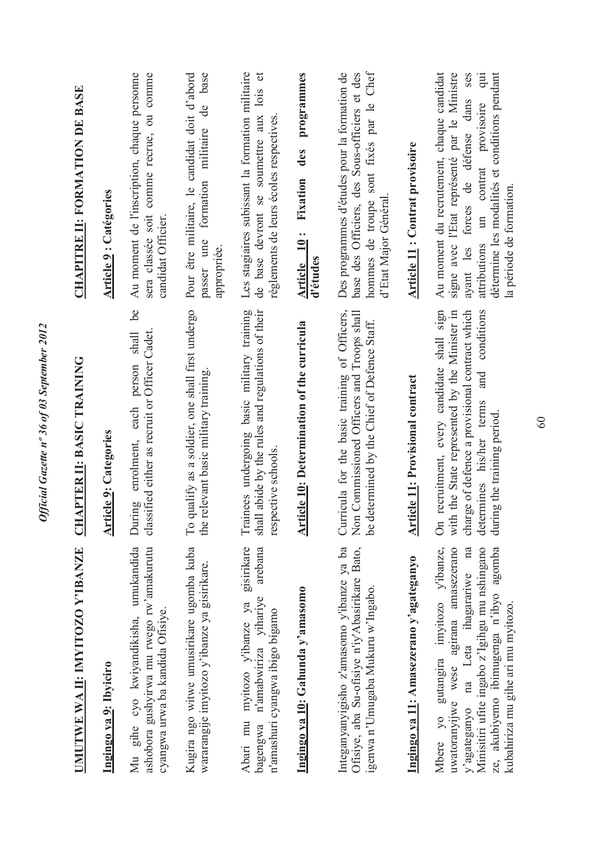| UMUTWE WA II: IMYITOZO Y'IBANZE                                                                                                                                                                                                                              | <b>APTER II: BASIC TRAINING</b><br><b>ER</b>                                                                                                                                                                                 | <b>CHAPITRE II: FORMATION DE BASE</b>                                                                                                                                                                                                                          |
|--------------------------------------------------------------------------------------------------------------------------------------------------------------------------------------------------------------------------------------------------------------|------------------------------------------------------------------------------------------------------------------------------------------------------------------------------------------------------------------------------|----------------------------------------------------------------------------------------------------------------------------------------------------------------------------------------------------------------------------------------------------------------|
| Ingingo ya 9: Ibyiciro                                                                                                                                                                                                                                       | <b>Article 9: Categories</b>                                                                                                                                                                                                 | <b>Article 9: Catégories</b>                                                                                                                                                                                                                                   |
| Mu gihe cyo kwiyandikisha, umukandida<br>ashobora gushyirwa mu rwego rw'amakurutu<br>cyangwa urwa ba kandida Ofisiye.                                                                                                                                        | be<br>classified either as recruit or Officer Cadet.<br>person shall<br>each<br>enrolment,<br>During                                                                                                                         | Au moment de l'inscription, chaque personne<br>sera classée soit comme recrue, ou comme<br>candidat Officier                                                                                                                                                   |
| Kugira ngo witwe umusirikare ugomba kuba<br>wararangije imyitozo y'ibanze ya gisirikare.                                                                                                                                                                     | To qualify as a soldier, one shall first undergo<br>the relevant basic military training.                                                                                                                                    | base<br>Pour être militaire, le candidat doit d'abord<br>de<br>militaire<br>formation<br>passer une<br>appropriée.                                                                                                                                             |
| Abari mu myitozo y'ibanze ya gisirikare<br>arebana<br>n'amabwiriza yihariye<br>n'amashuri cyangwa ibigo bigamo<br>bagengwa                                                                                                                                   | Trainees undergoing basic military training<br>shall abide by the rules and regulations of their<br>respective schools.                                                                                                      | Les stagiaires subissant la formation militaire<br>$\sigma$<br>lois<br>de base devront se soumettre aux<br>règlements de leurs écoles respectives                                                                                                              |
| Ingingo ya 10: Gahunda y'amasomo                                                                                                                                                                                                                             | <b>Article 10: Determination of the curricula</b>                                                                                                                                                                            | programmes<br>des<br>Fixation<br>Article 10:<br>d'études                                                                                                                                                                                                       |
| Integanyanyigisho z'amasomo y'ibanze ya ba<br>Ofisiye, aba Su-ofisiye n'iy'Abasirikare Bato,<br>igenwa n'Umugaba Mukuru w'Ingabo.                                                                                                                            | Curricula for the basic training of Officers,<br>Non Commissioned Officers and Troops shall<br>be determined by the Chief of Defence Staff.                                                                                  | hommes de troupe sont fixés par le Chef<br>Des programmes d'études pour la formation de<br>base des Officiers, des Sous-officiers et des<br>d'Etat Major Général                                                                                               |
| Ingingo ya 11: Amasezerano y'agateganyo                                                                                                                                                                                                                      | icle 11: Provisional contract<br>$\frac{\Delta r}{4}$                                                                                                                                                                        | <b>Article 11: Contrat provisoire</b>                                                                                                                                                                                                                          |
| gutangira imyitozo y'ibanze,<br>uwatoranyijwe wese agirana amasezerano<br>Minisitiri ufite ingabo z'lgihgu mu nshingano<br>na Leta ihagarariwe na<br>ze, akubiyemo ibimugenga n'ibyo agomba<br>kubahiriza mu gihe ari mu myitozo<br>y'agateganyo<br>Mbere yo | On recruitment, every candidate shall sign<br>charge of defence a provisional contract which<br>conditions<br>with the State represented by the Minister in<br>and<br>determines his/her terms<br>during the training period | Au moment du recrutement, chaque candidat<br>signe avec l'Etat représenté par le Ministre<br>détermine les modalités et conditions pendant<br>ses<br>qui<br>ayant les forces de défense dans<br>attributions un contrat provisoire<br>la période de formation. |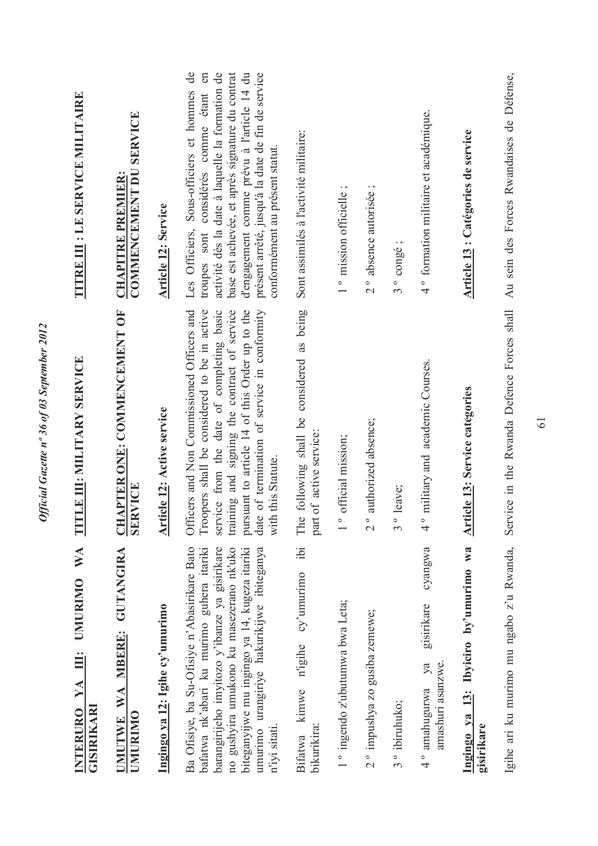| WA<br><b>UMURIMO</b><br>Ë<br>YA<br>GISIRIKARI<br><b>INTERURO</b>                                                                                                                                                                                                                                      | LE III: MILITARY SERVICE<br>E                                                                                                                                                                                                                                                                                         | TITRE III : LE SERVICE MILITAIRE                                                                                                                                                                                                                                                                                                                |
|-------------------------------------------------------------------------------------------------------------------------------------------------------------------------------------------------------------------------------------------------------------------------------------------------------|-----------------------------------------------------------------------------------------------------------------------------------------------------------------------------------------------------------------------------------------------------------------------------------------------------------------------|-------------------------------------------------------------------------------------------------------------------------------------------------------------------------------------------------------------------------------------------------------------------------------------------------------------------------------------------------|
| UMUTWE WA MBERE: GUTANGIRA<br>UMURIMO                                                                                                                                                                                                                                                                 | <b>CHAPTER ONE: COMMENCEMENT OF</b><br><b>SERVICE</b>                                                                                                                                                                                                                                                                 | <b>COMMENCEMENT DU SERVICE</b><br><b>CHAPITRE PREMIER:</b>                                                                                                                                                                                                                                                                                      |
| Ingingo ya 12: Igihe cy'umurimo                                                                                                                                                                                                                                                                       | Article 12: Active service                                                                                                                                                                                                                                                                                            | <b>Article 12: Service</b>                                                                                                                                                                                                                                                                                                                      |
| Ba Ofisiye, ba Su-Ofisiye n'Abasirikare Bato<br>bafatwa nk'abari ku murimo guhera itariki<br>barangirijeho imyitozo y'ibanze ya gisirikare<br>biteganyijwe mu ingingo ya 14, kugeza itariki<br>umurimo urangiriye hakurikijwe ibiteganya<br>no gushyira umukono ku masezerano nk'uko<br>n'iyi sitati. | Officers and Non Commissioned Officers and<br>Troopers shall be considered to be in active<br>training and signing the contract of service<br>of termination of service in conformity<br>service from the date of completing basic<br>pursuant to article 14 of this Order up to the<br>this Statute.<br>date<br>with | d'engagement comme prévu à l'article 14 du<br>présent arrêté, jusqu'à la date de fin de service<br>$\theta$<br>en<br>activité dès la date à laquelle la formation de<br>base est achevée, et après signature du contrat<br>Les Officiers, Sous-officiers et hommes<br>considérés comme étant<br>conformément au présent statut.<br>troupes sont |
| ibi<br>cy'umurimo<br>n'igihe<br>Bifatwa kimwe<br>bikurikira:                                                                                                                                                                                                                                          | following shall be considered as being<br>of active service:<br>The<br>part                                                                                                                                                                                                                                           | Sont assimilés à l'activité militaire:                                                                                                                                                                                                                                                                                                          |
| 1° ingendo z'ubutumwa bwa Leta;                                                                                                                                                                                                                                                                       | official mission;<br>$\frac{1}{\sqrt{2}}$                                                                                                                                                                                                                                                                             | 1° mission officielle;                                                                                                                                                                                                                                                                                                                          |
| 2° impushya zo gusiba zemewe;                                                                                                                                                                                                                                                                         | authorized absence;<br>$\frac{1}{2}$                                                                                                                                                                                                                                                                                  | 2° absence autorisée;                                                                                                                                                                                                                                                                                                                           |
| 3 <sup>°</sup> ibiruhuko;                                                                                                                                                                                                                                                                             | leave;<br>$\frac{1}{3}$                                                                                                                                                                                                                                                                                               | congé;<br>$3^{\circ}$                                                                                                                                                                                                                                                                                                                           |
| cyangwa<br>gisirikare<br>amashuri asanzwe.<br>ya<br>4° amahugurwa                                                                                                                                                                                                                                     | military and academic Courses.<br>$\frac{1}{4}$                                                                                                                                                                                                                                                                       | 4° formation militaire et académique.                                                                                                                                                                                                                                                                                                           |
| Ingingo ya 13: Ibyiciro by'umurimo wa<br>gisirikare                                                                                                                                                                                                                                                   | <b>Article 13: Service categories</b>                                                                                                                                                                                                                                                                                 | Article 13 : Catégories de service                                                                                                                                                                                                                                                                                                              |
| Igihe ari ku murimo mu ngabo z'u Rwanda,                                                                                                                                                                                                                                                              | Service in the Rwanda Defence Forces shall                                                                                                                                                                                                                                                                            | Au sein des Forces Rwandaises de Défense,                                                                                                                                                                                                                                                                                                       |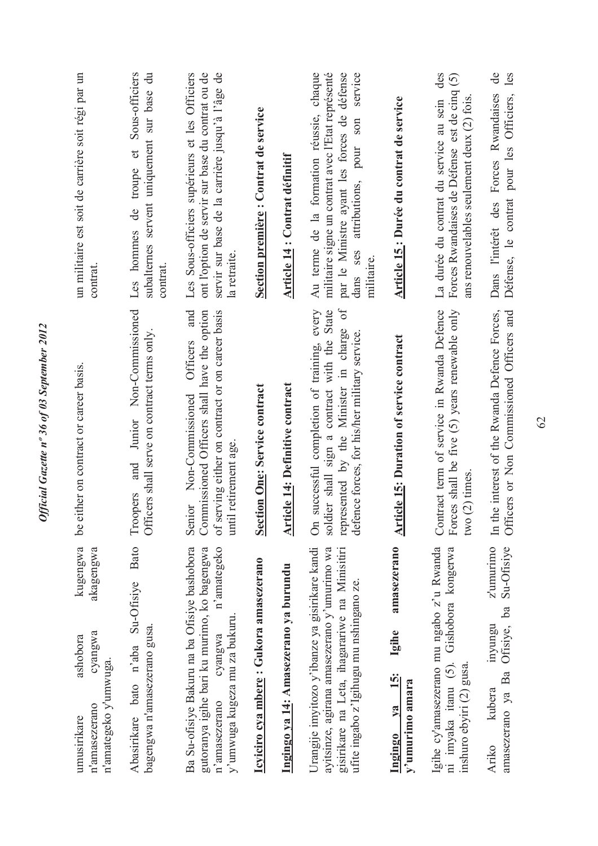| kugengwa<br>akagengwa<br>cyangwa<br>ashobora<br>n'amategeko y'umwuga.<br>n'amasezerano<br>umusirikare                                                                                     | either on contract or career basis.<br><u>ل</u> م                                                                                                                                                                  | un militaire est soit de carrière soit régi par un<br>contrat.                                                                                                                                                |
|-------------------------------------------------------------------------------------------------------------------------------------------------------------------------------------------|--------------------------------------------------------------------------------------------------------------------------------------------------------------------------------------------------------------------|---------------------------------------------------------------------------------------------------------------------------------------------------------------------------------------------------------------|
| <b>Bato</b><br>Su-Ofisiye<br>bagengwa n'amasezerano gusa.<br>bato n'aba<br>Abasirikare                                                                                                    | Non-Commissioned<br>Officers shall serve on contract terms only.<br>Junior<br>and<br>Troopers                                                                                                                      | Sous-officiers<br>subalternes servent uniquement sur base du<br>troupe et<br>de<br>Les hommes<br>contrat                                                                                                      |
| Ba Su-ofisiye Bakuru na ba Ofisiye bashobora<br>n'amategeko<br>gutoranya igihe bari ku murimo, ko bagengwa<br>y'umwuga kugeza mu za bukuru.<br>cyangwa<br>n'amasezerano                   | and<br>Commissioned Officers shall have the option<br>of serving either on contract or on career basis<br>Officers<br>Non-Commissioned<br>until retirement age.<br>Senior                                          | Les Sous-officiers supérieurs et les Officiers<br>ont l'option de servir sur base du contrat ou de<br>servir sur base de la carrière jusqu'à l'âge de<br>la retraite.                                         |
| Icyiciro cya mbere : Gukora amasezerano                                                                                                                                                   | <b>Section One: Service contract</b>                                                                                                                                                                               | Section première : Contrat de service                                                                                                                                                                         |
| Ingingo ya 14: Amasezerano ya burundu                                                                                                                                                     | Article 14: Definitive contract                                                                                                                                                                                    | Article 14 : Contrat définitif                                                                                                                                                                                |
| Urangije imyitozo y'ibanze ya gisirikare kandi<br>ayitsinze, agirana amasezerano y'umurimo wa<br>gisirikare na Leta, ihagarariwe na Minisitiri<br>ufite ingabo z'Igihugu mu nshingano ze. | soldier shall sign a contract with the State<br>$\mathfrak{h}_0$<br>successful completion of training, every<br>represented by the Minister in charge<br>defence forces, for his/her military service.<br>$\delta$ | militaire signe un contrat avec l'Etat représenté<br>Au terme de la formation réussie, chaque<br>par le Ministre ayant les forces de défense<br>service<br>son<br>attributions, pour<br>dans ses<br>militaire |
| amasezerano<br>Igihe<br><u>is:</u><br>y'umurimo amara<br>$1$<br><b>Ingingo</b>                                                                                                            | <b>Article 15: Duration of service contract</b>                                                                                                                                                                    | Article 15: Durée du contrat de service                                                                                                                                                                       |
| Igihe cy'amasezerano mu ngabo z'u Rwanda<br>ni imyaka itanu (5). Gishobora kongerwa<br>inshuro ebyiri (2) gusa                                                                            | Contract term of service in Rwanda Defence<br>Forces shall be five (5) years renewable only<br>two(2) times                                                                                                        | des<br>Forces Rwandaises de Défense est de cinq (5)<br>ans renouvelables seulement deux (2) fois.<br>La durée du contrat du service au sein                                                                   |
| z'umurimo<br>Su-Ofisiye<br>Ofisiye, ba<br>inyungu<br>amasezerano ya Ba<br>kubera<br>Ariko                                                                                                 | Officers or Non Commissioned Officers and<br>In the interest of the Rwanda Defence Forces,                                                                                                                         | $\mathbf{d}\mathbf{e}$<br>les<br>Dans l'intérêt des Forces Rwandaises<br>Défense, le contrat pour les Officiers,                                                                                              |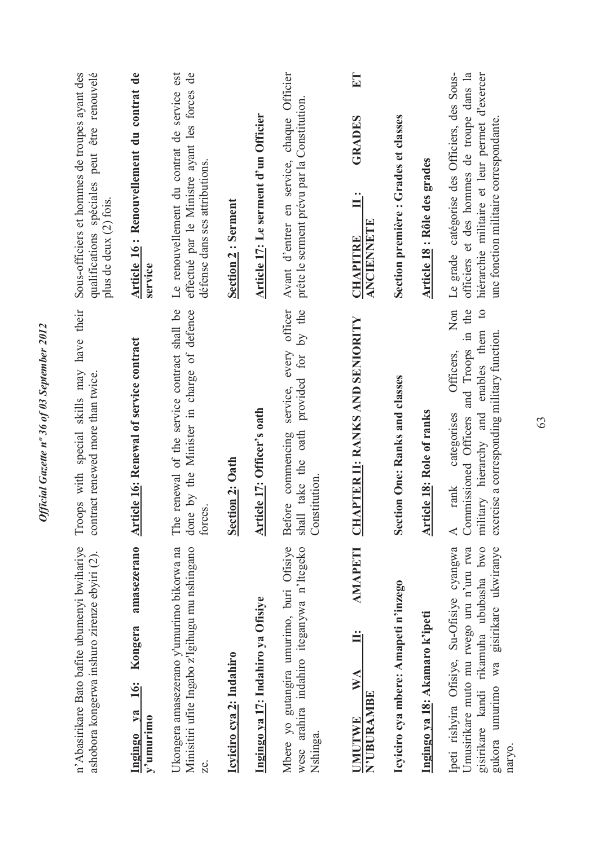| n'Abasirikare Bato bafite ubumenyi bwihariye<br>ashobora kongerwa inshuro zirenze ebyiri (2).                                                                                       | Troops with special skills may have their<br>contract renewed more than twice.                                                                                                                                                       | Sous-officiers et hommes de troupes ayant des<br>qualifications spéciales peut être renouvelé<br>plus de deux (2) fois.                                                             |
|-------------------------------------------------------------------------------------------------------------------------------------------------------------------------------------|--------------------------------------------------------------------------------------------------------------------------------------------------------------------------------------------------------------------------------------|-------------------------------------------------------------------------------------------------------------------------------------------------------------------------------------|
| amasezerano<br>Kongera<br>16:<br>Ingingo ya<br>$y^2$ umurimo                                                                                                                        | <b>Article 16: Renewal of service contract</b>                                                                                                                                                                                       | Article 16: Renouvellement du contrat de<br>service                                                                                                                                 |
| Ukongera amasezerano y'umurimo bikorwa na<br>Minisitiri ufite Ingabo z'Igihugu mu nshingano<br>Ze.                                                                                  | renewal of the service contract shall be<br>done by the Minister in charge of defence<br>forces.<br>The                                                                                                                              | Le renouvellement du contrat de service est<br>effectué par le Ministre ayant les forces de<br>défense dans ses attributions.                                                       |
| Icyiciro cya 2: Indahiro                                                                                                                                                            | <b>Section 2: Oath</b>                                                                                                                                                                                                               | <b>Section 2: Serment</b>                                                                                                                                                           |
| Ingingo ya 17: Indahiro ya Ofisiye                                                                                                                                                  | Article 17: Officer's oath                                                                                                                                                                                                           | Article 17: Le serment d'un Officier                                                                                                                                                |
| wese arahira indahiro iteganywa n'Itegeko<br>Mbere yo gutangira umurimo, buri Ofisiye<br>Nshinga.                                                                                   | provided for by the<br>every officer<br>service,<br>shall take the oath<br>Before commencing<br>Constitution                                                                                                                         | Officier<br>prête le serment prévu par la Constitution.<br>Avant d'entrer en service, chaque                                                                                        |
| <b>AMAPETI</b><br><b>WA</b><br><b>N'UBURAMBE</b><br><b>UMUTWE</b>                                                                                                                   | <b>CHAPTER II: RANKS AND SENIORITY</b>                                                                                                                                                                                               | ET<br><b>GRADES</b><br>$\ddot{=}$<br>ANCIENNETE<br><b>CHAPITRE</b>                                                                                                                  |
| Icyiciro cya mbere: Amapeti n'inzego                                                                                                                                                | Section One: Ranks and classes                                                                                                                                                                                                       | Section première : Grades et classes                                                                                                                                                |
| Ingingo ya 18: Akamaro k'ipeti                                                                                                                                                      | <b>Article 18: Role of ranks</b>                                                                                                                                                                                                     | <b>Article 18: Rôle des grades</b>                                                                                                                                                  |
| Ipeti rishyira Ofisiye, Su-Ofisiye cyangwa<br>gisirikare kandi rikamuha ububasha bwo<br>gukora umurimo wa gisirikare ukwiranye<br>Umusirikare muto mu rwego uru n'uru rwa<br>naryo. | Non<br>in the<br>$\overline{c}$<br>enables them<br>exercise a corresponding military function.<br>and Troops<br>Officers,<br>military hierarchy and<br>categorises<br>Commissioned Officers<br>$\mbox{rank}$<br>$\blacktriangleleft$ | Le grade catégorise des Officiers, des Sous-<br>officiers et des hommes de troupe dans la<br>hiérarchie militaire et leur permet d'exercer<br>une fonction militaire correspondante |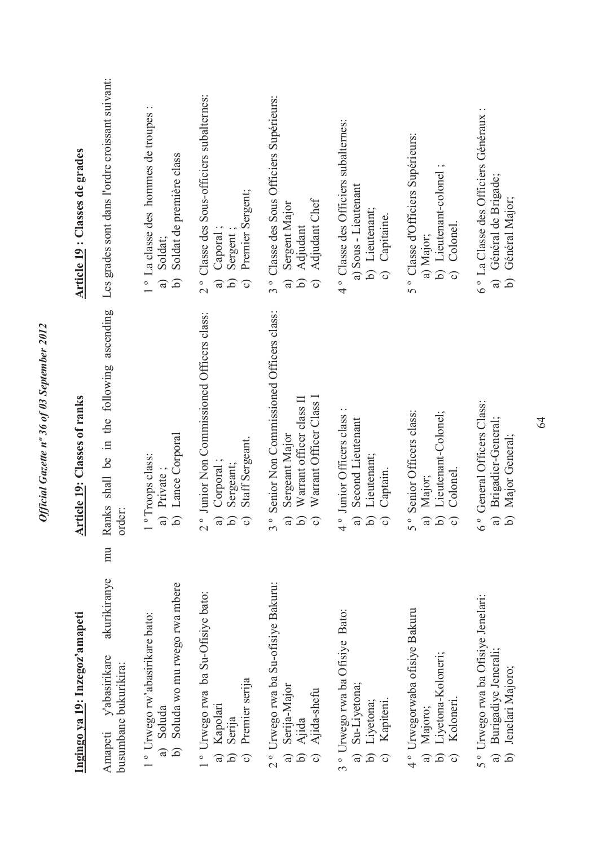| Ingingo ya 19: Inzegoz'amapeti                                                                                                                 | <b>Article 19: Classes of ranks</b>                                                                                                                                                                     | Article 19 : Classes de grades                                                                                                               |
|------------------------------------------------------------------------------------------------------------------------------------------------|---------------------------------------------------------------------------------------------------------------------------------------------------------------------------------------------------------|----------------------------------------------------------------------------------------------------------------------------------------------|
| mu<br>akurikiranye<br>vabasirikare<br>busumbane bukurikira:<br>Amapeti                                                                         | Ranks shall be in the following ascending<br>order:                                                                                                                                                     | Les grades sont dans l'ordre croissant suivant:                                                                                              |
| Soluda wo mu rwego rwa mbere<br>1° Urwego rw'abasirikare bato:<br>Soluda<br>$\widehat{\circ}$<br>$\widehat{a}$                                 | b) Lance Corporal<br><sup>o</sup> Troops class:<br>a) Private                                                                                                                                           | 1° La classe des hommes de troupes<br>Soldat de première class<br>Soldat;<br><u>ત્ર</u><br>$\widehat{a}$                                     |
| 1° Urwego rwa ba Su-Ofisiye bato:<br>Premier serija<br>Kapolari<br>Serija<br>$\widehat{\mathsf{d}}$<br>$\widehat{\mathbf{c}}$<br>$\widehat{a}$ | 2° Junior Non Commissioned Officers class:<br>Staff Sergeant.<br>Corporal;<br>Sergeant;<br>$\widehat{\mathsf{d}}$<br>$\widehat{a}$<br>$\widehat{\mathbf{c}}$                                            | 2° Classe des Sous-officiers subalternes:<br>Premier Sergent;<br>Caporal:<br>Sergent<br>$\hat{c}$<br>$\widehat{\mathbf{c}}$<br>$\widehat{a}$ |
| 2° Urwego rwa ba Su-ofisiye Bakuru:<br>Serija-Major<br>Ajida<br>Ajida-shefu<br>$\widehat{a}$<br>$\mathbf{\widehat{d}}$<br>$\widehat{\circ}$    | Senior Non Commissioned Officers class:<br>Warrant Officer Class I<br>Warrant officer class II<br>Sergeant Major<br>$\hat{d}$<br>$\widehat{a}$<br>$\circ$<br>$\widehat{\circ}$<br>$\tilde{\phantom{0}}$ | 3° Classe des Sous Officiers Supérieurs:<br>Adjudant Chef<br>Sergent Major<br>Adjudant<br>$\mathbf{c}$<br>6                                  |
| 3° Urwego rwa ba Ofisiye Bato:<br>Su-Liyetona;<br>Liyetona;<br>Kapiteni.<br>$\widehat{\mathsf{d}}$<br>බ<br>$\widehat{\circ}$                   | 4° Junior Officers class<br>Second Lieutenant<br>Lieutenant;<br>Captain.<br><u>ત</u><br>$\widehat{a}$<br>$\widehat{\circ}$                                                                              | 4° Classe des Officiers subalternes:<br>a) Sous - Lieutenant<br>b) Lieutenant;<br>c) Capitaine.                                              |
| 4° Urwegorwaba ofisiye Bakuru<br>Liyetona-Koloneri;<br>Koloneri.<br>Majoro;<br><u>ત્ર</u>                                                      | Senior Officers class:<br>Lieutenant-Colonel;<br>Colonel.<br>a) Major;<br><u>ત</u><br>$5^{\circ}$<br>$\widehat{\mathbf{c}}$                                                                             | 5° Classe d'Officiers Supérieurs:<br>b) Lieutenant-colonel;<br>c) Colonel.<br>a) Major;                                                      |
| 5° Urwego rwa ba Ofisiye Jenelari:<br>Burigadiye Jenerali;<br>Jenelari Majoro;<br><u>ત્ર</u>                                                   | 6° General Officers Class:<br>Brigadier-General;<br>Major General;<br>$\widehat{a}$<br><u>તિ</u>                                                                                                        | 6° La Classe des Officiers Généraux :<br>Général de Brigade;<br>Général Major;<br>6<br>$\widehat{a}$                                         |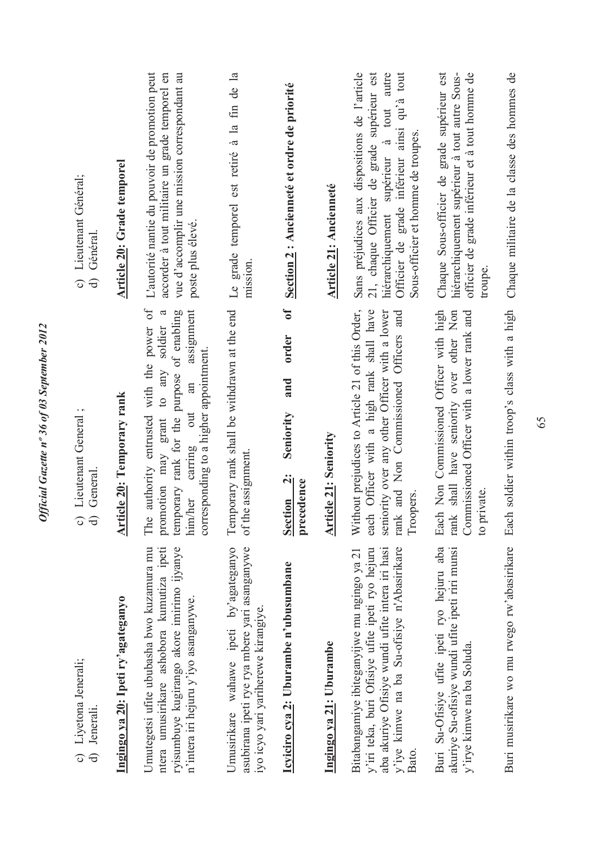| c) Lieutenant Général;<br>d) Général.                                          | Article 20: Grade temporel         | L'autorité nantie du pouvoir de promotion peut<br>accorder à tout militaire un grade temporel en<br>vue d'accomplir une mission correspondant au<br>poste plus élevé.<br>assignment<br>$\mathfrak{a}$<br>soldier | Le grade temporel est retiré à la fin de la<br>mission.                                                                        | Section 2 : Ancienneté et ordre de priorité<br>$\mathbf{d}$<br>order | <b>Article 21: Ancienneté</b> | Sans préjudices aux dispositions de l'article<br>hiérarchiquement supérieur à tout autre<br>Officier de grade inférieur ainsi qu'à tout<br>21, chaque Officier de grade supérieur est<br>Sous-officier et homme de troupes. | Chaque Sous-officier de grade supérieur est<br>officier de grade inférieur et à tout homme de<br>hiérarchiquement supérieur à tout autre Sous-<br>troupe. |  |
|--------------------------------------------------------------------------------|------------------------------------|------------------------------------------------------------------------------------------------------------------------------------------------------------------------------------------------------------------|--------------------------------------------------------------------------------------------------------------------------------|----------------------------------------------------------------------|-------------------------------|-----------------------------------------------------------------------------------------------------------------------------------------------------------------------------------------------------------------------------|-----------------------------------------------------------------------------------------------------------------------------------------------------------|--|
| Lieutenant General;<br>General<br>$\Omega$ ල                                   | <b>Article 20: Temporary rank</b>  | authority entrusted with the power of<br>temporary rank for the purpose of enabling<br>corresponding to a higher appointment.<br>promotion may grant to any<br>carring out an<br>him/her<br>The                  | Temporary rank shall be withdrawn at the end<br>of the assignment.                                                             | and<br>Seniority<br>Section 2:<br>precedence                         | <b>Article 21: Seniority</b>  | Without prejudices to Article 21 of this Order,<br>each Officer with a high rank shall have<br>seniority over any other Officer with a lower<br>rank and Non Commissioned Officers and<br>Troopers.                         | Each Non Commissioned Officer with high<br>rank shall have seniority over other Non<br>Commissioned Officer with a lower rank and<br>to private.          |  |
| Liyetona Jenerali;<br>Jenerali.<br>$\widehat{\circ}$<br>$\widehat{\mathbf{d}}$ | Ingingo ya 20: Ipeti ry'agateganyo | ntera umusirikare ashobora kumutiza ipeti<br>ryisumbuye kugirango akore imirimo ijyanye<br>Umutegetsi ufite ububasha bwo kuzamura mu<br>n'intera iri hejuru y'iyo asanganywe.                                    | Umusirikare wahawe ipeti by'agateganyo<br>asubirana ipeti rye rya mbere yari asanganywe<br>iyo icyo yari yariherewe kirangiye. | Icyiciro cya 2: Uburambe n'ubusumbane                                | Ingingo ya 21: Uburambe       | y'iye kimwe na ba Su-ofisiye n'Abasirikare<br>aba akuriye Ofisiye wundi ufite intera iri hasi<br>y'iri teka, buri Ofisiye ufite ipeti ryo hejuru<br>Bitabangamiye ibiteganyijwe mu ngingo ya 21<br>Bato.                    | Buri Su-Ofisiye ufite ipeti ryo hejuru aba<br>akuriye Su-ofisiye wundi ufite ipeti riri munsi<br>y'irye kimwe na ba Soluda.                               |  |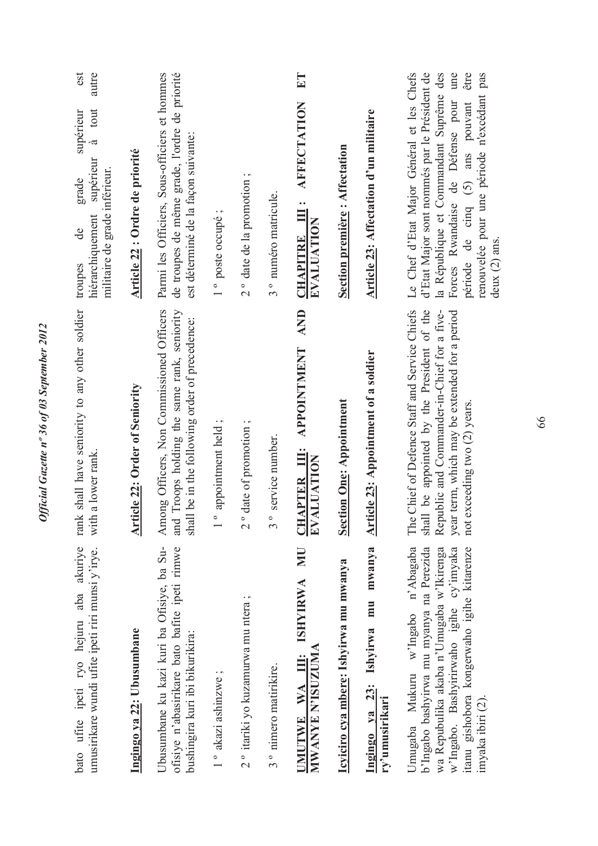| bato ufite ipeti ryo hejuru aba akuriye<br>umusirikare wundi ufite ipeti riri munsi y'irye.                                                                                                                                             | shall have seniority to any other soldier<br>a lower rank.<br>$\mbox{rank}$<br>with 3                                                                                                                                          | est<br>autre<br>à tout<br>supérieur<br>supérieur<br>militaire de grade inférieur.<br>grade<br>hiérarchiquement<br>de<br>troupes                                                                                                                                                             |
|-----------------------------------------------------------------------------------------------------------------------------------------------------------------------------------------------------------------------------------------|--------------------------------------------------------------------------------------------------------------------------------------------------------------------------------------------------------------------------------|---------------------------------------------------------------------------------------------------------------------------------------------------------------------------------------------------------------------------------------------------------------------------------------------|
| Ingingo ya 22: Ubusumbane                                                                                                                                                                                                               | <b>Article 22: Order of Seniority</b>                                                                                                                                                                                          | Article 22 : Ordre de priorité                                                                                                                                                                                                                                                              |
| Jbusumbane ku kazi kuri ba Ofisiye, ba Su-<br>ofisiye n'abasirikare bato bafite ipeti rimwe<br>bushingira kuri ibi bikurikira:                                                                                                          | Among Officers, Non Commissioned Officers<br>Troops holding the same rank, seniority<br>be in the following order of precedence:<br>shall<br>and                                                                               | Parmi les Officiers, Sous-officiers et hommes<br>de troupes de même grade, l'ordre de priorité<br>est déterminé de la façon suivante:                                                                                                                                                       |
| 1° akazi ashinzwe;                                                                                                                                                                                                                      | appointment held;<br>$\frac{1}{\sqrt{2}}$                                                                                                                                                                                      | 1° poste occupé;                                                                                                                                                                                                                                                                            |
| $2$ ° itariki yo kuzamurwa mu ntera;                                                                                                                                                                                                    | date of promotion;<br>$\frac{1}{2}$                                                                                                                                                                                            | 2° date de la promotion;                                                                                                                                                                                                                                                                    |
| 3 <sup>°</sup> nimero matirikire.                                                                                                                                                                                                       | service number.<br>$3^{\circ}$                                                                                                                                                                                                 | 3 <sup>°</sup> numéro matricule.                                                                                                                                                                                                                                                            |
| UMUTWE WA III: ISHYIRWA MU<br>MWANYE N'ISUZUMA                                                                                                                                                                                          | <b>AND</b><br><b>APPOINTMENT</b><br><b>CHAPTER III:</b><br>EVALUATION                                                                                                                                                          | ET<br>CHAPITRE III: AFFECTATION<br>EVALUATION                                                                                                                                                                                                                                               |
| Icyiciro cya mbere: Ishyirwa mu mwanya                                                                                                                                                                                                  | <b>Section One: Appointment</b>                                                                                                                                                                                                | <b>Section première: Affectation</b>                                                                                                                                                                                                                                                        |
| mwanya<br>Ingingo ya 23: Ishyirwa mu<br>ry'umusirikari                                                                                                                                                                                  | <b>Article 23: Appointment of a soldier</b>                                                                                                                                                                                    | Article 23: Affectation d'un militaire                                                                                                                                                                                                                                                      |
| Jmugaba Mukuru w'Ingabo n'Abagaba<br>w'Ingabo. Bashyirirwaho igihe cy'imyaka<br>b'Ingabo bashyirwa mu myanya na Perezida<br>wa Repubulika akaba n'Umugaba w'Ikirenga<br>itanu gishobora kongerwaho igihe kitarenze<br>imyaka ibiri (2). | be appointed by the President of the<br>Republic and Commander-in-Chief for a five-<br>The Chief of Defence Staff and Service Chiefs<br>year term, which may be extended for a period<br>not exceeding two (2) years.<br>shall | Le Chef d'Etat Major Général et les Chefs<br>d'Etat Major sont nommés par le Président de<br>la République et Commandant Suprême des<br>une<br>être<br>renouvelée pour une période n'excédant pas<br>Forces Rwandaise de Défense pour<br>période de cinq (5) ans pouvant<br>deux $(2)$ ans. |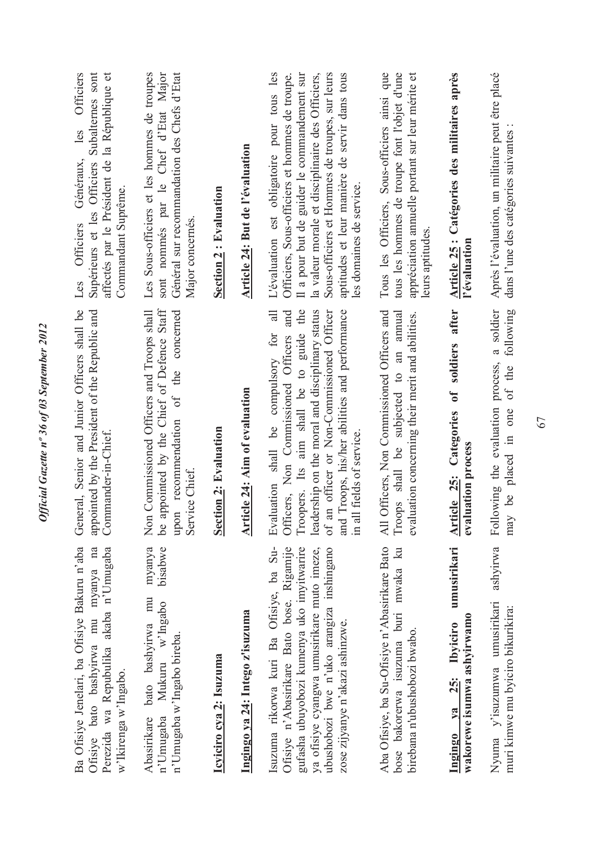| les Officiers<br>Subalternes sont<br>affectés par le Président de la République et<br>Généraux,<br>Supérieurs et les Officiers<br>Commandant Suprême.<br>Les Officiers | Les Sous-officiers et les hommes de troupes<br>sont nommés par le Chef d'Etat Major<br>Général sur recommandation des Chefs d'Etat<br>Major concernés. | <b>Section 2: Evaluation</b> | Article 24: But de l'évaluation      | L'évaluation est obligatoire pour tous les<br>Il a pour but de guider le commandement sur<br>la valeur morale et disciplinaire des Officiers,<br>Sous-officiers et Hommes de troupes, sur leurs<br>aptitudes et leur manière de servir dans tous<br>Officiers, Sous-officiers et hommes de troupe.<br>les domaines de service. | Tous les Officiers, Sous-officiers ainsi que<br>tous les hommes de troupe font l'objet d'une<br>appréciation annuelle portant sur leur mérite et<br>leurs aptitudes. | Article 25 : Catégories des militaires après<br>l'évaluation                   | Après l'évaluation, un militaire peut être placé<br>dans l'une des catégories suivantes       |
|------------------------------------------------------------------------------------------------------------------------------------------------------------------------|--------------------------------------------------------------------------------------------------------------------------------------------------------|------------------------------|--------------------------------------|--------------------------------------------------------------------------------------------------------------------------------------------------------------------------------------------------------------------------------------------------------------------------------------------------------------------------------|----------------------------------------------------------------------------------------------------------------------------------------------------------------------|--------------------------------------------------------------------------------|-----------------------------------------------------------------------------------------------|
| General, Senior and Junior Officers shall be<br>appointed by the President of the Republic and<br>Commander-in-Chief                                                   | appointed by the Chief of Defence Staff<br>Non Commissioned Officers and Troops shall<br>upon recommendation of the concerned<br>Service Chief.<br>ತಿ  | <b>Section 2: Evaluation</b> | <b>Article 24: Aim of evaluation</b> | Troopers. Its aim shall be to guide the<br>leadership on the moral and disciplinary status<br>of an officer or Non-Commissioned Officer<br>and Troops, his/her abilities and performance<br>and<br>$\overline{a}$<br>Evaluation shall be compulsory for<br>Officers, Non Commissioned Officers<br>in all fields of service.    | All Officers, Non Commissioned Officers and<br>Troops shall be subjected to an annual<br>evaluation concerning their merit and abilities.                            | soldiers after<br>$\mathbf{f}$<br>Article 25: Categories<br>evaluation process | a soldier<br>following<br>Following the evaluation process,<br>of the<br>may be placed in one |
| Ba Ofisiye Jenelari, ba Ofisiye Bakuru n'aba<br>Ofisiye bato bashyirwa mu myanya na<br>Perezida wa Repubulika akaba n'Umugaba<br>w'Ikirenga w'Ingabo.                  | myanya<br>bisabwe<br>bato bashyirwa mu<br>Mukuru w'Ingabo<br>n'Umugaba w'Ingabo bireba.<br>Abasirikare<br>n'Umugaba                                    | Icyiciro cya 2: Isuzuma      | Ingingo ya 24: Intego z'isuzuma      | $Su-$<br>Ofisiye n'Abasirikare Bato bose. Rigamije<br>gufasha ubuyobozi kumenya uko imyitwarire<br>ya ofisiye cyangwa umusirikare muto imeze,<br>ubushobozi bwe n'uko arangiza inshingano<br>Isuzuma rikorwa kuri Ba Ofisiye, ba<br>zose zijyanye n'akazi ashinzwe.                                                            | Aba Ofisiye, ba Su-Ofisiye n'Abasirikare Bato<br>bose bakorerwa isuzuma buri mwaka ku<br>birebana n'ubushobozi bwabo.                                                | umusirikari<br>wakorewe isumwa ashyirwamo<br><b>Ibyiciro</b><br>Ingingo ya 25: | ashyirwa<br>Nyuma y'isuzumwa umusirikari<br>muri kimwe mu byiciro bikurikira:                 |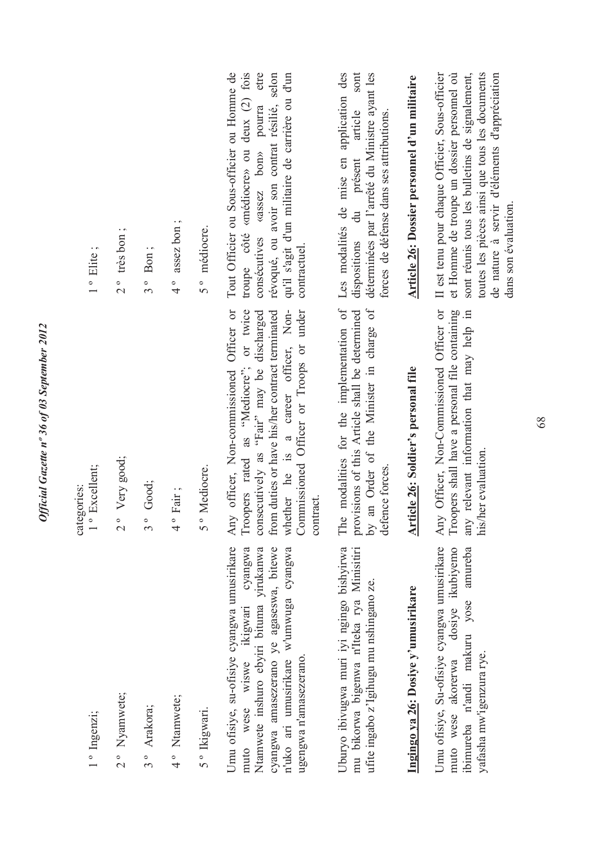| 201             |
|-----------------|
| í               |
| $\zeta$         |
|                 |
| $\mathscr{S}$   |
|                 |
| T               |
|                 |
|                 |
|                 |
| $n^{\circ}36$   |
| azette          |
|                 |
|                 |
|                 |
|                 |
|                 |
|                 |
| <b>Official</b> |

| 1° Elite;                    | $2^{\circ}$ très bon; | $3°$ Bon;   | $4^{\circ}$ assez bon; | 5° médiocre. |                                                                                                                                                                                                                                |
|------------------------------|-----------------------|-------------|------------------------|--------------|--------------------------------------------------------------------------------------------------------------------------------------------------------------------------------------------------------------------------------|
| 1° Excellent;<br>categories: | 2° Very good;         | 3° Good;    | 4° Fair;               | 5° Mediocre. |                                                                                                                                                                                                                                |
| 1° Ingenzi;                  | 2° Nyamwete;          | 3° Arakora; | 4° Ntamwete;           | 5° Ikigwari. | I me an afterno announcement and an announcement of the community of the contract of the contract of the contract of the contract of the contract of the contract of the contract of the contract of the contract of the contr |

n'uko ari umusirikare w'umwuga cyangwa Umu ofisiye, su-ofisiye cyangwa umusirikare cyangwa Ntamwete inshuro ebyiri bituma yirukanwa cyangwa amasezerano ye agaseswa, bitewe Umu ofisiye, su-ofisiye cyangwa umusirikare muto wese wiswe ikigwari cyangwa Ntamwete inshuro ebyiri bituma yirukanwa cyangwa amasezerano ye agaseswa, bitewe n'uko ari umusirikare w'umwuga cyangwa ikigwari ugengwa n'amasezerano. ugengwa n'amasezerano. wiswe wese muto

Uburyo ibivugwa muri iyi ngingo bishyirwa mu bikorwa bigenwa n<sup>T</sup>iteka rya Minisitiri mu bikorwa bigenwa n'Iteka rya Minisitiri Uburyo ibivugwa muri iyi ngingo bishyirwa ufite ingabo z'Igihugu mu nshingano ze. ufite ingabo z'Igihugu mu nshingano ze.

## Ingingo ya 26: Dosiye y'umusirikare **Ingingo ya 26: Dosiye y'umusirikare**

Umu ofisiye, Su-ofisiye cyangwa umusirikare dosiye ikubiyemo ibimureba n'andi makuru yose amureba Umu ofisiye, Su-ofisiye cyangwa umusirikare muto wese akorerwa dosiye ikubiyemo ibimureba n'andi makuru yose amureba yafasha mw'igenzura rye. yafasha mw'igenzura rye. muto wese akorerwa

whether he is a career officer, Nonor twice Commissioned Officer or Troops or under Any officer, Non-commissioned Officer or Troopers rated as "Mediocre"; or twice consecutively as "Fair" may be discharged consecutively as "Fair" may be discharged from duties or have his/her contract terminated from duties or have his/her contract terminated Commissioned Officer or Troops or under Any officer, Non-commissioned Ufficer or whether he is a career officer, Non-Troopers rated as "Mediocre"; contract.

provisions of this Article shall be determined dispositions du présent by an Order of the Minister in charge of The modalities for the implementation of provisions of this Article shall be determined by an Order of the Minister in charge of defence forces. defence forces.

## Article 26: Soldier's personal file **Article 26: Soldier's personal file**

Any Officer, Non-Commissioned Officer or Troopers shall have a personal file containing<br>any relevant information that may help in Any Officer, Non-Commissioned Officer or Troopers shall have a personal file containing any relevant information that may help in his/her evaluation. his/her evaluation.

Tout Officier ou Sous-officier ou Homme de troupe côté «médiocre» ou deux (2) fois consécutives «assez bon» pourra etre révoqué, ou avoir son contrat résilié, selon qu'il s'agit d'un militaire de carrière ou d'un etre Tout Officier ou Sous-officier ou Homme de troupe côté «médiocre» ou deux (2) fois révoqué, ou avoir son contrat résilié, selon qu'il s'agit d'un militaire de carrière ou d'un consécutives «assez bon» pourra contractuel.

Les modalités de mise en application des dispositions du présent article sont déterminées par l'arrêté du Ministre ayant les sont The modalities for the implementation of Les modalités de mise en application des déterminées par l'arrêté du Ministre ayant les article forces de défense dans ses attributions. forces de défense dans ses attributions.

## Article 26: Dossier personnel d'un militaire **Article 26: Dossier personnel d'un militaire**

II est tenu pour chaque Officier, Sous-officier et Homme de troupe un dossier personnel où sont réunis tous les bulletins de signalement, toutes les pièces ainsi que tous les documents de nature à servir d'éléments d'appréciation toutes les pièces ainsi que tous les documents II est tenu pour chaque Officier, Sous-officier et Homme de troupe un dossier personnel où sont réunis tous les bulletins de signalement, de nature à servir d'éléments d'appréciation dans son évaluation. dans son évaluation.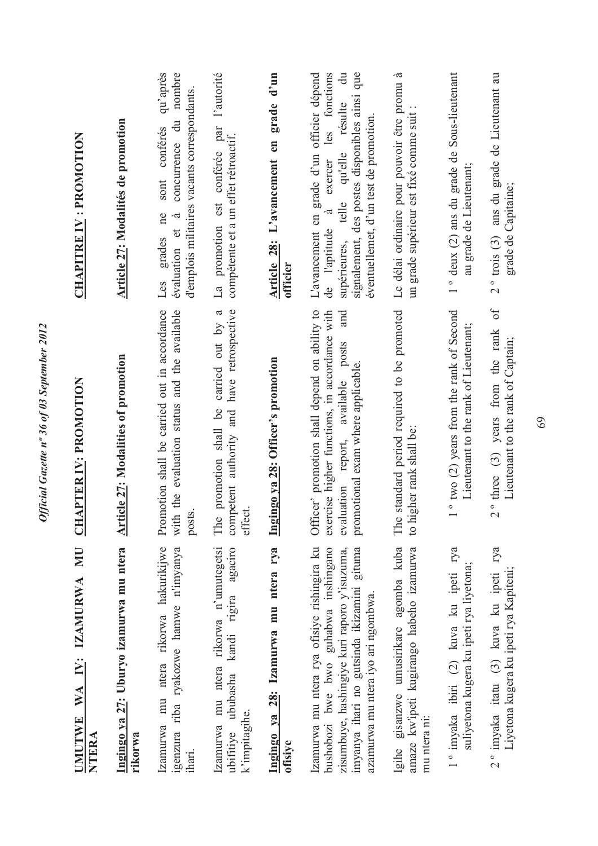| WA IV: IZAMURWA MU<br><b>UMUTWE</b><br>NTERA                                                                                                                                                                            | <b>CHAPTER IV: PROMOTION</b>                                                                                                                                                      | <b>CHAPITRE IV: PROMOTION</b>                                                                                                                                                                                                                              |
|-------------------------------------------------------------------------------------------------------------------------------------------------------------------------------------------------------------------------|-----------------------------------------------------------------------------------------------------------------------------------------------------------------------------------|------------------------------------------------------------------------------------------------------------------------------------------------------------------------------------------------------------------------------------------------------------|
| Ingingo ya 27: Uburyo izamurwa mu ntera<br>rikorwa                                                                                                                                                                      | <b>Article 27: Modalities of promotion</b>                                                                                                                                        | Article 27: Modalités de promotion                                                                                                                                                                                                                         |
| ntera rikorwa hakurikijwe<br>igenzura riba ryakozwe hamwe n'imyanya<br>mu<br>Izamurwa<br>ihari.                                                                                                                         | Promotion shall be carried out in accordance<br>with the evaluation status and the available<br>posts.                                                                            | qu'après<br>nombre<br>d'emplois militaires vacants correspondants.<br>concurrence du<br>sont conférés<br>ne<br>$\approx$<br>évaluation et<br>grades<br>Les                                                                                                 |
| mu ntera rikorwa n'umutegetsi<br>аgaciro<br>kandi rigira<br>ububasha<br>k'impitagihe.<br>Izamurwa<br>ubifitiye                                                                                                          | competent authority and have retrospective<br>$\boldsymbol{\beta}$<br>carried out by<br>promotion shall be<br>effect.<br>The                                                      | l'autorité<br>La promotion est conférée par<br>compétente et a un effet rétroactif.                                                                                                                                                                        |
| Ingingo ya 28: Izamurwa mu ntera rya<br>ofisiye                                                                                                                                                                         | Ingingo ya 28: Officer's promotion                                                                                                                                                | Article 28: L'avancement en grade d'un<br>officier                                                                                                                                                                                                         |
| Izamurwa mu ntera rya ofisiye rishingira ku<br>bushobozi bwe bwo guhabwa inshingano<br>zisumbuye, hashingiye kuri raporo y'isuzuma,<br>imyanya ihari no gutsinda ikizamini gituma<br>azamurwa mu ntera iyo ari ngombwa. | Officer' promotion shall depend on ability to<br>exercise higher functions, in accordance with<br>and<br>evaluation report, available posts<br>promotional exam where applicable. | signalement, des postes disponibles ainsi que<br>L'avancement en grade d'un officier dépend<br>exercer les fonctions<br>$\overline{a}$<br>qu'elle résulte<br>éventuellemet, d'un test de promotion.<br>telle<br>$\vec{z}$<br>de l'aptitude<br>supérieures, |
| Igihe gisanzwe umusirikare agomba kuba<br>amaze kw'ipeti kugirango habeho izamurwa<br>mu ntera ni:                                                                                                                      | standard period required to be promoted<br>to higher rank shall be:<br>The                                                                                                        | Le délai ordinaire pour pouvoir être promu à<br>un grade supérieur est fixé comme suit :                                                                                                                                                                   |
| rya<br>suliyetona kugera ku ipeti rya liyetona;<br>1° imyaka ibiri (2) kuva ku ipeti                                                                                                                                    | 1° two (2) years from the rank of Second<br>Lieutenant to the rank of Lieutenant;                                                                                                 | 1° deux (2) ans du grade de Sous-lieutenant<br>au grade de Lieutenant;                                                                                                                                                                                     |
| гуа<br>Liyetona kugera ku ipeti rya Kapiteni;<br>2° imyaka itatu (3) kuva ku ipeti                                                                                                                                      | $\sigma f$<br>$2^{\circ}$ three (3) years from the rank<br>Lieutenant to the rank of Captain;                                                                                     | ans du grade de Lieutenant au<br>grade de Capitaine;<br>$2°$ trois $(3)$                                                                                                                                                                                   |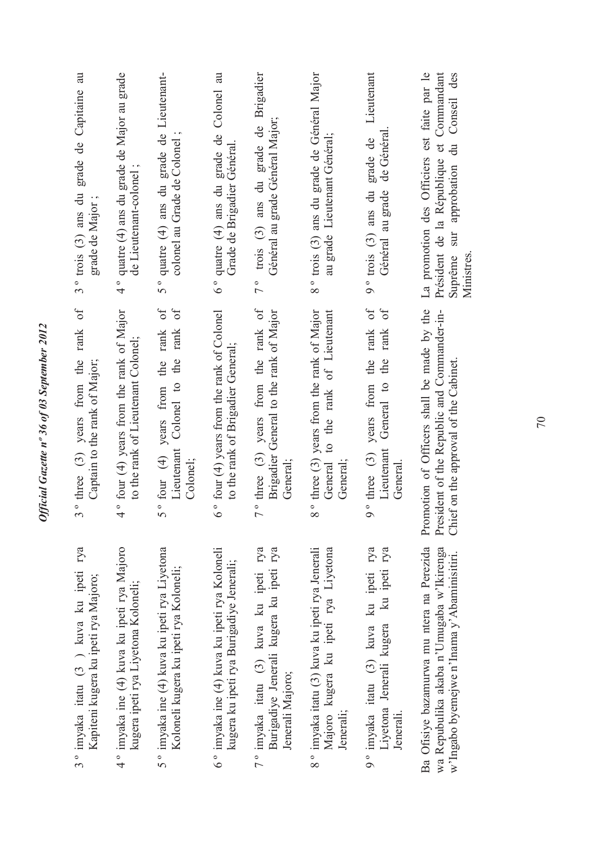| 3° trois (3) ans du grade de Capitaine au<br>grade de Major;<br>rank of          | ° quatre (4) ans du grade de Major au grade<br>de Lieutenant-colonel;<br>4        | 5° quatre (4) ans du grade de Lieutenant-<br>colonel au Grade de Colonel<br>$\overline{\mathrm{d}}$<br>$\delta$ | 6° quatre (4) ans du grade de Colonel au<br>Grade de Brigadier Général.                  | trois (3) ans du grade de Brigadier<br>Général au grade Général Major;<br>$\overline{7}$ °           | 8° trois (3) ans du grade de Général Major<br>au grade Lieutenant Général;<br>to the rank of Lieutenant | Lieutenant<br>Général au grade de Généra<br>9° trois (3) ans du grade de<br>$\delta$<br>General to the rank | La promotion des Officiers est faite par le<br>Président de la République et Commandant<br>du Conseil des<br>sur approbation<br>Suprême<br>Ministres |
|----------------------------------------------------------------------------------|-----------------------------------------------------------------------------------|-----------------------------------------------------------------------------------------------------------------|------------------------------------------------------------------------------------------|------------------------------------------------------------------------------------------------------|---------------------------------------------------------------------------------------------------------|-------------------------------------------------------------------------------------------------------------|------------------------------------------------------------------------------------------------------------------------------------------------------|
| $3°$ three $(3)$ years from the<br>Captain to the rank of Major;                 | 4° four (4) years from the rank of Major<br>to the rank of Lieutenant Colonel;    | 5° four (4) years from the rank<br>Lieutenant Colonel to the rank<br>Colonel;                                   | 6° four (4) years from the rank of Colonel<br>to the rank of Brigadier General;          | $7°$ three (3) years from the rank of<br>Brigadier General to the rank of Major<br>General;          | 8° three (3) years from the rank of Major<br>General<br>General:                                        | $9°$ three (3) years from the rank of<br>Lieutenant<br>General                                              | Promotion of Officers shall be made by the<br>President of the Republic and Commander-in-<br>Chief on the approval of the Cabinet.                   |
| rya<br>3° imyaka itatu (3) kuva ku ipeti<br>Kapiteni kugera ku ipeti rya Majoro; | 4° imyaka ine (4) kuva ku ipeti rya Majoro<br>kugera ipeti rya Liyetona Koloneli; | 5° imyaka ine (4) kuva ku ipeti rya Liyetona<br>Koloneli kugera ku ipeti rya Koloneli;                          | 6° imyaka ine (4) kuva ku ipeti rya Koloneli<br>kugera ku ipeti rya Burigadiye Jenerali; | 7° imyaka itatu (3) kuva ku ipeti rya<br>Burigadiye Jenerali kugera ku ipeti rya<br>Jenerali Majoro; | 8° imyaka itatu (3) kuva ku ipeti rya Jenerali<br>Majoro kugera ku ipeti rya Liyetona<br>Jenerali;      | 9° imyaka itatu (3) kuva ku ipeti rya<br>Liyetona Jenerali kugera ku ipeti rya<br>Jenerali.                 | Ba Ofisiye bazamurwa mu ntera na Perezida<br>wa Repubulika akaba n'Umugaba w'Ikirenga<br>w'Ingabo byemejwe n'Inama y'Abaminisitiri.                  |

Official Gazette nº 36 of 03 September 2012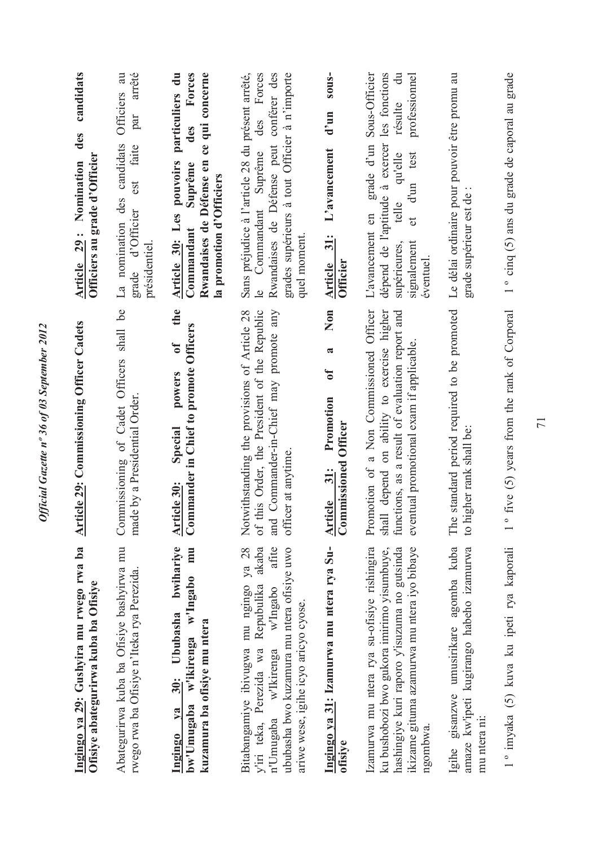| Ingingo ya 29: Gushyira mu rwego rwa ba<br>Ofisiye abategurirwa kuba ba Ofisiye                                                                                                                                                   | <b>Article 29: Commissioning Officer Cadets</b>                                                                                                                                        | candidats<br>des<br>Officiers au grade d'Officier<br><b>Article 29: Nomination</b>                                                                                                                              |
|-----------------------------------------------------------------------------------------------------------------------------------------------------------------------------------------------------------------------------------|----------------------------------------------------------------------------------------------------------------------------------------------------------------------------------------|-----------------------------------------------------------------------------------------------------------------------------------------------------------------------------------------------------------------|
| Abategurirwa kuba ba Ofisiye bashyirwa mu<br>rwego rwa ba Ofisiye n'Iteka rya Perezida                                                                                                                                            | Commissioning of Cadet Officers shall be<br>made by a Presidential Order                                                                                                               | Officiers au<br>arrêté<br>par<br>La nomination des candidats<br>faite<br>est<br>grade d'Officier<br>présidentiel.                                                                                               |
| bwihariye<br>mmu<br>w'ikirenga w'Ingabo<br>30: Ububasha<br>kuzamura ba ofisiye mu ntera<br>bw'Umugaba<br>Ingingo ya                                                                                                               | the<br>Commander in Chief to promote Officers<br>$\mathfrak{b}$<br>powers<br>Special<br>Article 30:                                                                                    | particuliers du<br>Rwandaises de Défense en ce qui concerne<br>Forces<br>des<br>pouvoirs<br>Suprême<br>la promotion d'Officiers<br>Article 30: Les<br>Commandant                                                |
| Bitabangamiye ibivugwa mu ngingo ya 28<br>afite<br>ububasha bwo kuzamura mu ntera ofisiye uwo<br>akaba<br>Repubulika<br>w'Ingabo<br>ariwe wese, igihe icyo aricyo cyose.<br>Perezida wa<br>w'Ikirenga<br>n'Umugaba<br>y'iri teka, | of this Order, the President of the Republic<br>and Commander-in-Chief may promote any<br>Notwithstanding the provisions of Article 28<br>officer at anytime.                          | Commandant Suprême des Forces<br>Sans préjudice à l'article 28 du présent arrêté,<br>Rwandaises de Défense peut conférer des<br>grades supérieurs à tout Officier à n'importe<br>quel moment.<br>$\overline{0}$ |
| Ingingo ya 31: Izamurwa mu ntera rya Su-<br>ofisiye                                                                                                                                                                               | Non<br>$\approx$<br>$\mathbf{d}$<br>Promotion<br><b>Commissioned Officer</b><br>Article 31:                                                                                            | sous-<br>$d'$ un<br>L'avancement<br>Article 31:<br><b>Officier</b>                                                                                                                                              |
| Izamurwa mu ntera rya su-ofisiye rishingira<br>hashingiye kuri raporo y'isuzuma no gutsinda<br>ikizame gituma azamurwa mu ntera iyo bibaye<br>ku bushobozi bwo gukora imirimo yisumbuye,<br>ngombwa.                              | Promotion of a Non Commissioned Officer<br>depend on ability to exercise higher<br>functions, as a result of evaluation report and<br>eventual promotional exam if applicable<br>shall | grade d'un Sous-Officier<br>les fonctions<br>résulte du<br>professionnel<br>dépend de l'aptitude à exercer<br>et d'un test<br>qu'elle<br>telle<br>L'avancement en<br>signalement<br>supérieures,<br>éventuel.   |
| Igihe gisanzwe umusirikare agomba kuba<br>amaze kw'ipeti kugirango habeho izamurwa<br>mu ntera ni:                                                                                                                                | standard period required to be promoted<br>gher rank shall be:<br>The<br>to hi                                                                                                         | Le délai ordinaire pour pouvoir être promu au<br>grade supérieur est de                                                                                                                                         |
| 1° imyaka (5) kuva ku ipeti rya kaporali                                                                                                                                                                                          | five (5) years from the rank of Corporal<br>$\frac{1}{\sqrt{2}}$                                                                                                                       | 1° cinq (5) ans du grade de caporal au grade                                                                                                                                                                    |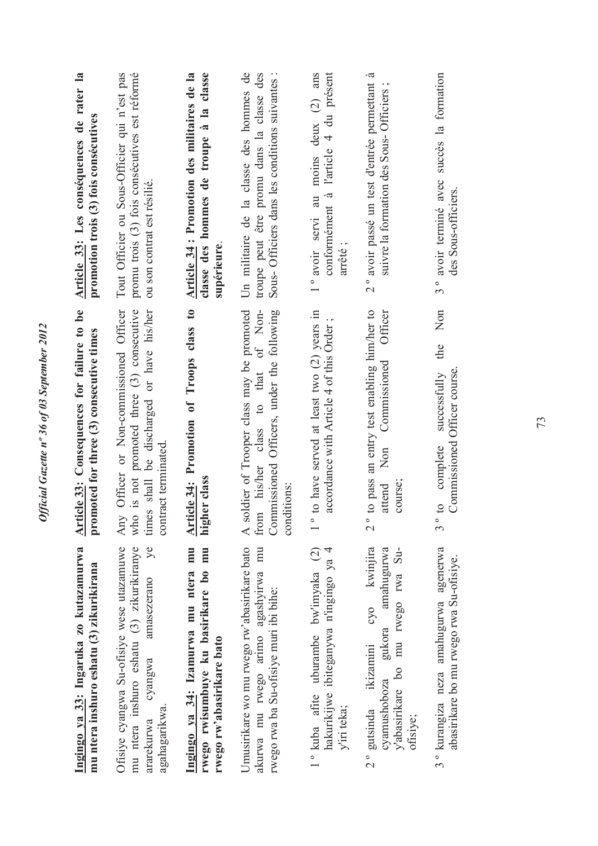Official Gazette nº 36 of 03 September 2012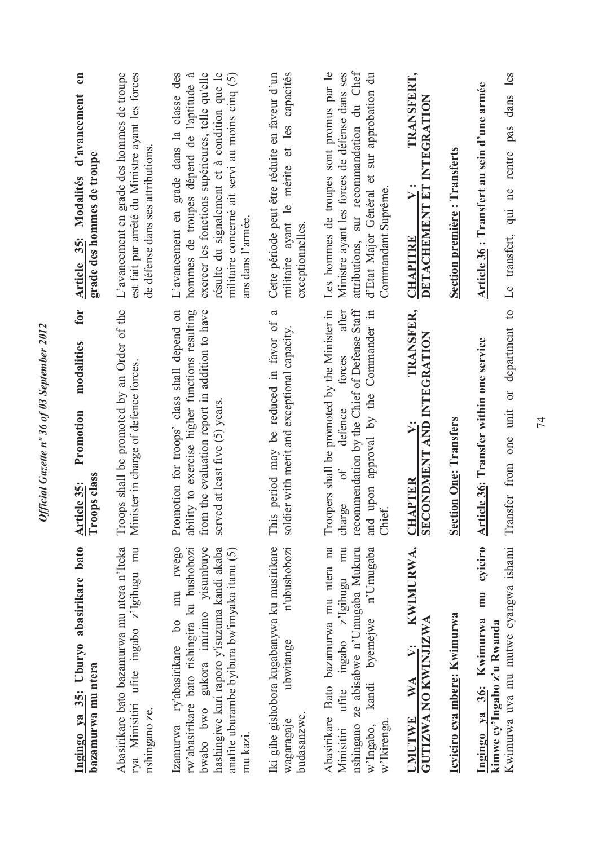| Ingingo ya 35: Uburyo abasirikare bato<br>bazamurwa mu ntera                                                                                                                                                                           | for<br>modalities<br>Promotion<br>Troops class<br>Article 35:                                                                                                                                       | en<br>Article 35: Modalités d'avancement<br>grade des hommes de troupe                                                                                                                                                                                            |
|----------------------------------------------------------------------------------------------------------------------------------------------------------------------------------------------------------------------------------------|-----------------------------------------------------------------------------------------------------------------------------------------------------------------------------------------------------|-------------------------------------------------------------------------------------------------------------------------------------------------------------------------------------------------------------------------------------------------------------------|
| Abasirikare bato bazamurwa mu ntera n'Iteka<br>rya Minisitiri ufite ingabo z'lgihugu mu<br>nshingano ze.                                                                                                                               | Troops shall be promoted by an Order of the<br>Minister in charge of defence forces                                                                                                                 | L'avancement en grade des hommes de troupe<br>est fait par arrêté du Ministre ayant les forces<br>de défense dans ses attributions                                                                                                                                |
| mu rwego<br>rw'abasirikare bato rishingira ku bushobozi<br>bwabo bwo gukora imirimo yisumbuye<br>hashingiwe kuri raporo y'isuzuma kandi akaba<br>anafite uburambe byibura bw'imyaka itanu (5)<br>Izamurwa ry'abasirikare bo<br>mu kazi | Promotion for troops' class shall depend on<br>ability to exercise higher functions resulting<br>from the evaluation report in addition to have<br>served at least five (5) years.                  | militaire concerné ait servi au moins cinq $(5)$<br>L'avancement en grade dans la classe des<br>exercer les fonctions supérieures, telle qu'elle<br>résulte du signalement et à condition que le<br>hommes de troupes dépend de l'aptitude à<br>ans dans l'armée. |
| Iki gihe gishobora kugabanywa ku musirikare<br>n'ubushobozi<br>ubwitange<br>budasanzwe.<br>wagaragaje                                                                                                                                  | a<br>period may be reduced in favor of<br>soldier with merit and exceptional capacity.<br>This                                                                                                      | militaire ayant le mérite et les capacités<br>Cette période peut être réduite en faveur d'un<br>exceptionnelles                                                                                                                                                   |
| Abasirikare Bato bazamurwa mu ntera na<br>ingabo z'Igihugu mu<br>kandi byemejwe n'Umugaba<br>nshingano ze abisabwe n'Umugaba Mukuru<br>ufite<br>w'Ikirenga<br>w'Ingabo,<br>Minisitin                                                   | recommendation by the Chief of Defense Staff<br>after<br>Troopers shall be promoted by the Minister in<br>and upon approval by the Commander in<br>forces<br>defence<br>$\delta$<br>charge<br>Chiet | attributions, sur recommandation du Chef<br>Les hommes de troupes sont promus par le<br>d'Etat Major Général et sur approbation du<br>Ministre ayant les forces de défense dans ses<br>Commandant Suprême.                                                        |
| KWIMURWA,<br>GUTIZWA NO KWINJIZWA<br>$\mathbf{v}$ :<br>WA<br>UMUTWE                                                                                                                                                                    | TRANSFER,<br>SECONDMENT AND INTEGRATION<br>$\ddot{ }$<br><b>CHAPTER</b>                                                                                                                             | TRANSFERT,<br>DETACHEMENT ET INTEGRATION<br>$\ddot{v}$ :<br><b>CHAPITRE</b>                                                                                                                                                                                       |
| Icyiciro cya mbere: Kwimurwa                                                                                                                                                                                                           | <b>Section One: Transfers</b>                                                                                                                                                                       | <b>Section première: Transferts</b>                                                                                                                                                                                                                               |
| cyiciro<br>Kwimurwa uva mu mutwe cyangwa ishami<br>mu<br>Ingingo ya 36: Kwimurwa<br>kimwe cy'lngabo z'u Rwanda                                                                                                                         | Transfer from one unit or department to<br><b>Article 36: Transfer within one service</b>                                                                                                           | qui ne rentre pas dans les<br>Article 36 : Transfert au sein d'une armée<br>Le transfert,                                                                                                                                                                         |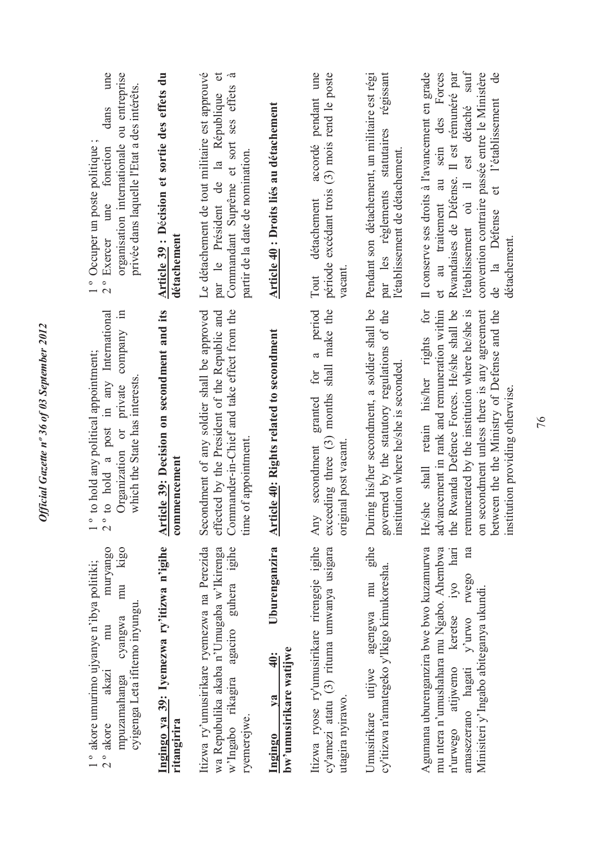| Article 39 : Décision et sortie des effets du<br>une<br>ou entreprise<br>privée dans laquelle l'Etat a des intérêts.<br>dans<br>organisation internationale<br>1° Occuper un poste politique<br>fonction<br>une<br><sup>o</sup> Exercer<br>$\mathbf{\Omega}$<br><b>Article 39:</b> Decision on secondment and its<br>to hold a post in any International<br>$\Xi$<br>company<br>to hold any political appointment;<br>which the State has interests<br>Organization or private<br>$\overline{2}$ °<br>$\overline{1}$ o<br>mu kigo<br>muryango | Le détachement de tout militaire est approuvé<br>$\sigma$<br>Commandant Suprême et sort ses effets à<br>par le Président de la République<br>partir de la date de nomination.<br>détachemen<br>Secondment of any soldier shall be approved<br>Commander-in-Chief and take effect from the<br>effected by the President of the Republic and<br>time of appointment<br>commencement | Article 40 : Droits liés au détachement<br><b>Article 40: Rights related to secondment</b> | accordé pendant une<br>$(3)$ mois rend le poste<br>excédant trois<br>détachement<br>période<br>vacant<br>Tout<br>period<br>make the<br>$\mathfrak{a}$<br>shall<br>for<br>months<br>granted<br>exceeding three $(3)$<br>original post vacant<br>secondment<br>Any | régissant<br>Pendant son détachement, un militaire est régi<br>par les règlements statutaires<br>l'établissement de détachement.<br>During his/her secondment, a soldier shall be<br>governed by the statutory regulations of the<br>institution where he/she is seconded.<br>gihe | Il conserve ses droits à l'avancement en grade<br>sein des Forces<br>au traitement au<br>$\mathbf{c}$<br>He/she shall retain his/her rights for<br>advancement in rank and remuneration within |
|-----------------------------------------------------------------------------------------------------------------------------------------------------------------------------------------------------------------------------------------------------------------------------------------------------------------------------------------------------------------------------------------------------------------------------------------------------------------------------------------------------------------------------------------------|-----------------------------------------------------------------------------------------------------------------------------------------------------------------------------------------------------------------------------------------------------------------------------------------------------------------------------------------------------------------------------------|--------------------------------------------------------------------------------------------|------------------------------------------------------------------------------------------------------------------------------------------------------------------------------------------------------------------------------------------------------------------|------------------------------------------------------------------------------------------------------------------------------------------------------------------------------------------------------------------------------------------------------------------------------------|------------------------------------------------------------------------------------------------------------------------------------------------------------------------------------------------|
| Ingingo ya 39: Iyemezwa ry'itizwa n'igihe<br>1° akore umurimo ujyanye n'ibya politiki;<br>cyigenga Leta ifitemo inyungu.<br>cyangwa<br>mu<br>akazi<br>mpuzamahanga<br>$2°$ akore                                                                                                                                                                                                                                                                                                                                                              | Itizwa ry'umusirikare ryemezwa na Perezida<br>agaciro guhera igihe<br>wa Repubulika akaba n'Umugaba w'Ikirenga<br>w'Ingabo rikagira<br>ryemerejwe.<br>ritangirira                                                                                                                                                                                                                 | Uburenganzira<br>bw'umusirikare watijwe<br>40:<br>$1$<br>Ingingo                           | Itizwa ryose ry'umusirikare rirengeje igihe<br>cy'amezi atatu (3) rituma umwanya usigara<br>utagira nyirawo.                                                                                                                                                     | cy'itizwa n'amategeko y'Ikigo kimukoresha.<br>mu<br>agengwa<br>Umusirikare utijwe                                                                                                                                                                                                  | Agumana uburenganzira bwe bwo kuzamurwa<br>mu ntera n'umushahara mu Ngabo. Ahembwa<br>IV <sub>O</sub><br>atijwemo keretse<br>n'urwego                                                          |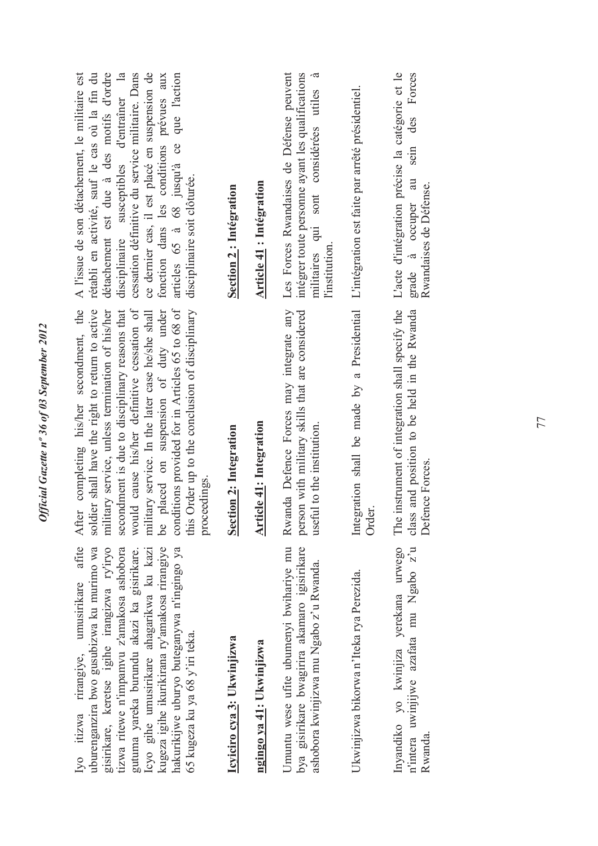| afite<br>uburenganzira bwo gusubizwa ku murimo wa<br>gisirikare, keretse igihe irangizwa ry'iryo<br>tizwa ritewe n'impamvu z'amakosa ashobora<br>kugeza igihe ikurikirana ry'amakosa rirangiye<br>hakurikijwe uburyo buteganywa n'ingingo ya<br>Icyo gihe umusirikare ahagarikwa ku kazi<br>gutuma yareka burundu akazi ka gisirikare.<br>Iyo itizwa rirangiye, umusirikare<br>65 kugeza ku ya 68 y'iri teka. | After completing his/her secondment, the<br>soldier shall have the right to return to active<br>conditions provided for in Articles 65 to 68 of<br>this Order up to the conclusion of disciplinary<br>would cause his/her definitive cessation of<br>placed on suspension of duty under<br>military service, unless termination of his/her<br>secondment is due to disciplinary reasons that<br>military service. In the later case he/she shall<br>proceedings.<br>9q | ce dernier cas, il est placé en suspension de<br>détachement est due à des motifs d'ordre<br>cessation définitive du service militaire. Dans<br>A l'issue de son détachement, le militaire est<br>rétabli en activité, sauf le cas où la fin du<br>disciplinaire susceptibles d'entraîner la<br>articles 65 à 68 jusqu'à ce que l'action<br>fonction dans les conditions prévues aux<br>disciplinaire soit clôturée. |
|---------------------------------------------------------------------------------------------------------------------------------------------------------------------------------------------------------------------------------------------------------------------------------------------------------------------------------------------------------------------------------------------------------------|------------------------------------------------------------------------------------------------------------------------------------------------------------------------------------------------------------------------------------------------------------------------------------------------------------------------------------------------------------------------------------------------------------------------------------------------------------------------|----------------------------------------------------------------------------------------------------------------------------------------------------------------------------------------------------------------------------------------------------------------------------------------------------------------------------------------------------------------------------------------------------------------------|
| Icyiciro cya 3: Ukwinjizwa                                                                                                                                                                                                                                                                                                                                                                                    | <b>Section 2: Integration</b>                                                                                                                                                                                                                                                                                                                                                                                                                                          | Section 2: Intégration                                                                                                                                                                                                                                                                                                                                                                                               |
| ngingo ya 41: Ukwinjizwa                                                                                                                                                                                                                                                                                                                                                                                      | <b>Article 41: Integration</b>                                                                                                                                                                                                                                                                                                                                                                                                                                         | <b>Article 41: Intégration</b>                                                                                                                                                                                                                                                                                                                                                                                       |
| Umuntu wese ufite ubumenyi bwihariye mu<br>bya gisirikare bwagirira akamaro igisirikare<br>ashobora kwinjizwa mu Ngabo z'u Rwanda.                                                                                                                                                                                                                                                                            | Rwanda Defence Forces may integrate any<br>person with military skills that are considered<br>useful to the institution.                                                                                                                                                                                                                                                                                                                                               | Les Forces Rwandaises de Défense peuvent<br>intégrer toute personne ayant les qualifications<br>-ದ<br>militaires qui sont considérées utiles<br>l'institution.                                                                                                                                                                                                                                                       |
| Ukwinjizwa bikorwa n'Iteka rya Perezida.                                                                                                                                                                                                                                                                                                                                                                      | Integration shall be made by a Presidential L'intégration est faite par arrêté présidentiel.<br>Order.                                                                                                                                                                                                                                                                                                                                                                 |                                                                                                                                                                                                                                                                                                                                                                                                                      |
| Inyandiko yo kwinjiza yerekana urwego<br>n'intera uwinjijwe azafata mu Ngabo z'u<br>Rwanda.                                                                                                                                                                                                                                                                                                                   | The instrument of integration shall specify the<br>class and position to be held in the Rwanda<br>Defence Forces.                                                                                                                                                                                                                                                                                                                                                      | L'acte d'intégration précise la catégorie et le<br>Forces<br>des<br>sein<br>grade à occuper au<br>Rwandaises de Défense.                                                                                                                                                                                                                                                                                             |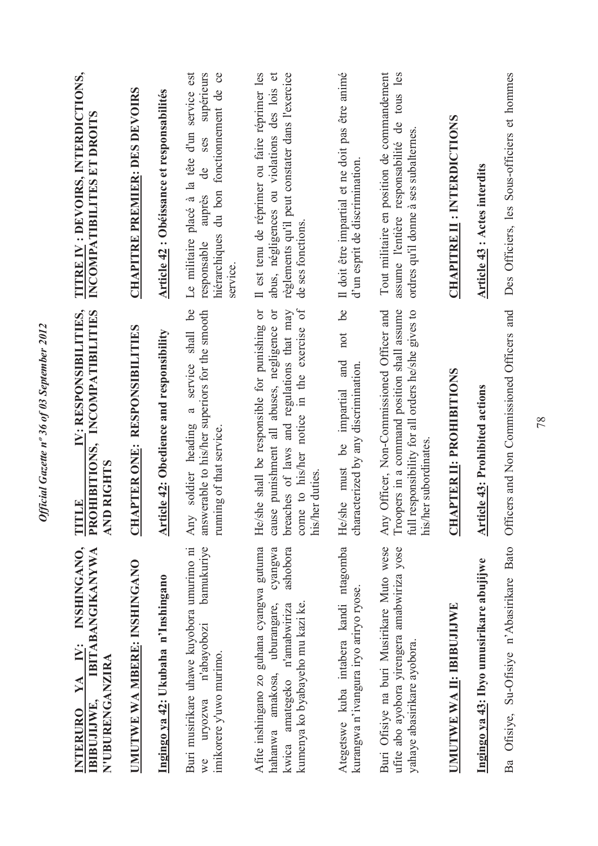| INSHINGANO,<br><b>IBITABANGIKANYWA</b><br>$\mathbf{N}$ :<br>N'UBURENGANZIRA<br>YA<br>IBIBUJIJWE,<br><b>INTERURO</b>                                                           | IV: RESPONSIBILITIES,<br>PROHIBITIONS, INCOMPATIBILITIES<br><b>AND RIGHTS</b><br>THEE                                                                                                                  | TITRE IV : DEVOIRS, INTERDICTIONS,<br>INCOMPATIBILITES ET DROITS                                                                                                     |
|-------------------------------------------------------------------------------------------------------------------------------------------------------------------------------|--------------------------------------------------------------------------------------------------------------------------------------------------------------------------------------------------------|----------------------------------------------------------------------------------------------------------------------------------------------------------------------|
| UMUTWE WA MBERE: INSHINGANO                                                                                                                                                   | <b>CHAPTER ONE: RESPONSIBILITIES</b>                                                                                                                                                                   | <b>CHAPITRE PREMIER: DES DEVOIRS</b>                                                                                                                                 |
| Ingingo ya 42: Ukubaha n'Inshingano                                                                                                                                           | <b>Article 42: Obedience and responsibility</b>                                                                                                                                                        | Article 42 : Obéissance et responsabilités                                                                                                                           |
| bamukuriye<br>Buri musirikare uhawe kuyobora umurimo ni<br>n'abayobozi<br>imikorere y'uwo murimo.<br>uryozwa<br>we                                                            | service shall be<br>answerable to his/her superiors for the smooth<br>$\mathfrak{a}$<br>soldier heading<br>running of that service.<br>Any                                                             | Le militaire placé à la tête d'un service est<br>supérieurs<br>du bon fonctionnement de ce<br>ses<br>ප්<br>auprės<br>hiérarchiques<br>responsable<br>service         |
| Afite inshingano zo guhana cyangwa gutuma<br>cyangwa<br>ashobora<br>kumenya ko byabayeho mu kazi ke.<br>uburangare,<br>n'amabwiriza<br>hahanwa amakosa,<br>amategeko<br>kwica | He/she shall be responsible for punishing or<br>come to his/her notice in the exercise of<br>breaches of laws and regulations that may<br>cause punishment all abuses, negligence or<br>his/her duties | Il est tenu de réprimer ou faire réprimer les<br>règlements qu'il peut constater dans l'exercice<br>abus, négligences ou violations des lois et<br>de ses fonctions. |
| Ategetswe kuba intabera kandi ntagomba<br>kurangwa n'ivangura iryo ariryo ryose.                                                                                              | be<br>not<br>and<br>characterized by any discrimination<br>impartial<br>Le<br>He/she must                                                                                                              | Il doit être impartial et ne doit pas être animé<br>d'un esprit de discrimination                                                                                    |
| Buri Ofisiye na buri Musirikare Muto wese<br>ufite abo ayobora yirengera amabwiriza yose<br>yahaye abasirikare ayobora.                                                       | Officer, Non-Commissioned Officer and<br>Troopers in a command position shall assume<br>full responsibility for all orders he/she gives to<br>his/her subordinates.<br>Any                             | Tout militaire en position de commandement<br>tous les<br>assume l'entière responsabilité de<br>ordres qu'il donne à ses subalternes.                                |
| UMUTWE WA II: IBIBUJIJWE                                                                                                                                                      | <b>CHAPTER II: PROHIBITIONS</b>                                                                                                                                                                        | <b>CHAPITRE II : INTERDICTIONS</b>                                                                                                                                   |
| Ingingo ya 43: Ibyo umusirikare abujijwe                                                                                                                                      | <b>Article 43: Prohibited actions</b>                                                                                                                                                                  | Article 43 : Actes interdits                                                                                                                                         |
| Ba Ofisiye, Su-Ofisiye n'Abasirikare Bato                                                                                                                                     | Officers and Non Commissioned Officers and                                                                                                                                                             | Des Officiers, les Sous-officiers et hommes                                                                                                                          |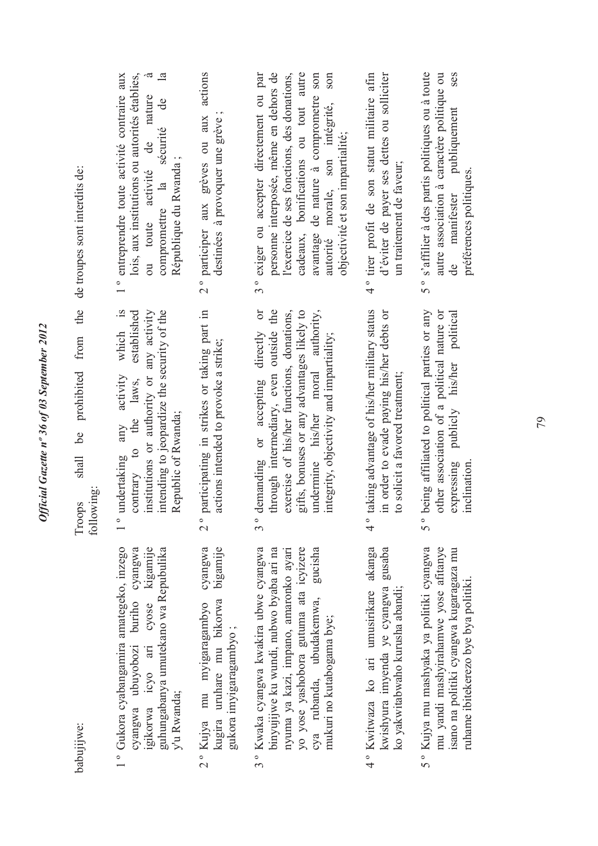|                                                                                   | $\dot{\sigma}$<br>lois, aux institutions ou autorités établies,<br>$\mathbf{a}$<br>1° entreprendre toute activité contraire aux<br>ou toute activité de nature<br>sécurité de<br>République du Rwanda;<br>compromettre la | 2° participer aux grèves ou aux actions<br>destinées à provoquer une grève                              | personne interposée, même en dehors de<br>cadeaux, bonifications ou tout autre<br>l'exercice de ses fonctions, des donations,<br>avantage de nature à comprometre son<br>son<br>3° exiger ou accepter directement ou par<br>autorité morale, son intégrité,<br>objectivité et son impartialité; | 4° tirer profit de son statut militaire afin<br>d'éviter de payer ses dettes ou solliciter<br>un traitement de faveur;                       | 5° s'affilier à des partis politiques ou à toute<br>autre association à caractère politique ou<br>ses<br>publiquement<br>préférences politiques.<br>manifester     |
|-----------------------------------------------------------------------------------|---------------------------------------------------------------------------------------------------------------------------------------------------------------------------------------------------------------------------|---------------------------------------------------------------------------------------------------------|-------------------------------------------------------------------------------------------------------------------------------------------------------------------------------------------------------------------------------------------------------------------------------------------------|----------------------------------------------------------------------------------------------------------------------------------------------|--------------------------------------------------------------------------------------------------------------------------------------------------------------------|
| shall be prohibited from the de troupes sont interdits de:<br>following<br>Troops | which is<br>institutions or authority or any activity<br>intending to jeopardize the security of the<br>established<br>activity<br>the laws,<br>Republic of Rwanda;<br>any<br>contrary to<br>undertaking<br>$\frac{1}{1}$ | participating in strikes or taking part in<br>actions intended to provoke a strike;<br>$\frac{1}{2}$    | $rac{1}{2}$<br>gifts, bonuses or any advantages likely to<br>undermine his/her moral authority,<br>through intermediary, even outside the<br>exercise of his/her functions, donations,<br>demanding or accepting directly<br>integrity, objectivity and impartiality;<br>$\frac{1}{3}$          | taking advantage of his/her military status<br>in order to evade paying his/her debts or<br>to solicit a favored treatment;<br>$\frac{1}{4}$ | being affiliated to political parties or any<br>other association of a political nature or<br>expressing publicly his/her political<br>inclination.<br>5 °         |
| babujijwe:                                                                        | 1° Gukora cyabangamira amategeko, inzego<br>cyose kigamije<br>cyangwa ubuyobozi buriho cyangwa<br>guhungabanya umutekano wa Repubulika<br>igikorwa icyo ari<br>y'u Rwanda;                                                | cyangwa<br>bigamije<br>2° Kujya mu myigaragambyo<br>kugira uruhare mu bikorwa<br>gukora imyigaragambyo; | 3° Kwaka cyangwa kwakira ubwe cyangwa<br>yo yose yashobora gutuma ata icyizere<br>gucisha<br>binyujijwe ku wundi, nubwo byaba ari na<br>nyuma ya kazi, impano, amaronko ayarı<br>cya rubanda, ubudakemwa,<br>mukuri no kutabogama bye;                                                          | 4° Kwitwaza ko ari umusirikare akanga<br>gusaba<br>kwishyura imyenda ye cyangwa<br>ko yakwitabwaho kurusha abandi;                           | 5° Kujya mu mashyaka ya politiki cyangwa<br>mu yandi mashyirahamwe yose afitanye<br>isano na politiki cyangwa kugaragaza mu<br>ruhame ibitekerezo bye bya politiki |

Official Gazette nº 36 of 03 September 2012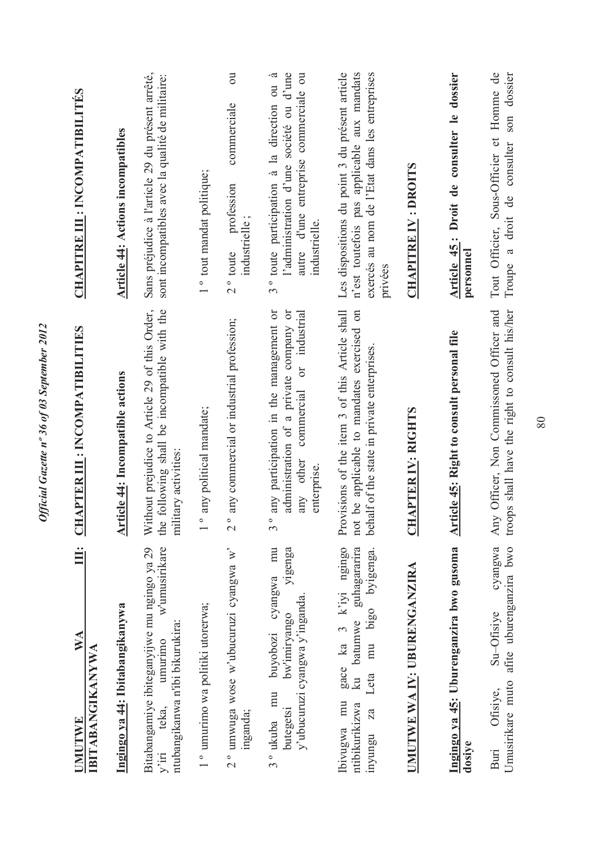| Ë<br>$\mathbb{N} \mathbb{A}$<br><b>IBITABANGIKANYWA</b><br>UMUTWE                                                                     | <b>CHAPTER III: INCOMPATIBILITIES</b>                                                                                                                                             | <b>CHAPITRE III : INCOMPATIBILITÉS</b>                                                                                                                   |
|---------------------------------------------------------------------------------------------------------------------------------------|-----------------------------------------------------------------------------------------------------------------------------------------------------------------------------------|----------------------------------------------------------------------------------------------------------------------------------------------------------|
| Ingingo ya 44: Ibitabangikanywa                                                                                                       | <b>Article 44: Incompatible actions</b>                                                                                                                                           | <b>Article 44: Actions incompatibles</b>                                                                                                                 |
| Bitabangamiye ibiteganyijwe mu ngingo ya 29<br>w'umusirikare<br>ntubangikanwa n'ibi bikurukira:<br>umurimo<br>teka,<br>$y'$ iri       | the following shall be incompatible with the<br>Without prejudice to Article 29 of this Order,<br>military activities:                                                            | Sans préjudice à l'article 29 du présent arrêté,<br>sont incompatibles avec la qualité de militaire:                                                     |
| 1° umurimo wa politiki utorerwa;                                                                                                      | any political mandate;<br>$\circ$                                                                                                                                                 | 1 ° tout mandat politique;                                                                                                                               |
| 2° umwuga wose w'ubucuruzi cyangwa w'<br>inganda;                                                                                     | any commercial or industrial profession;<br>$\frac{1}{2}$                                                                                                                         | $\overline{\mathrm{c}}$<br>commerciale<br>profession<br>industrielle;<br>$2^{\circ}$ toute                                                               |
| mu<br>yigenga<br>cyangwa<br>y'ubucuruzi cyangwa y'inganda<br>bw'imiryango<br>buyobozi<br>3 <sup>°</sup> ukuba mu<br>butegetsi         | any participation in the management or<br>administration of a private company or<br>industrial<br>$\overline{\text{or}}$<br>commercial<br>any other<br>enterprise.<br>$3^{\circ}$ | 3° toute participation à la direction ou à<br>l'administration d'une société ou d'une<br>autre d'une entreprise commerciale ou<br>industrielle.          |
| gace ka 3 k'iyi ngingo<br>guhagararira<br>byigenga.<br>Leta mu bigo<br>ku batumwe<br>mu<br>ntibikurikizwa<br>Za<br>Ibivugwa<br>nyungu | Provisions of the item 3 of this Article shall<br>be applicable to mandates exercised on<br>behalf of the state in private enterprises.<br>not                                    | Les dispositions du point 3 du présent article<br>exercés au nom de l'Etat dans les entreprises<br>n'est toutefois pas applicable aux mandats<br>privées |
| UMUTWE WA IV: UBURENGANZIRA                                                                                                           | <b>CHAPTER IV: RIGHTS</b>                                                                                                                                                         | <b>CHAPITRE IV: DROITS</b>                                                                                                                               |
| Ingingo ya 45: Uburenganzira bwo gusoma<br>dosiye                                                                                     | <b>Article 45: Right to consult personal file</b>                                                                                                                                 | Article 45: Droit de consulter le dossier<br>personnel                                                                                                   |
| cyangwa<br>afite uburenganzira bwo<br>Su-Ofisiye<br>Umusirikare muto<br>Ofisiye,<br>Buri                                              | troops shall have the right to consult his/her<br>Officer, Non Commissoned Officer and<br>Any                                                                                     | Tout Officier, Sous-Officier et Homme de<br>son dossier<br>Troupe a droit de consulter                                                                   |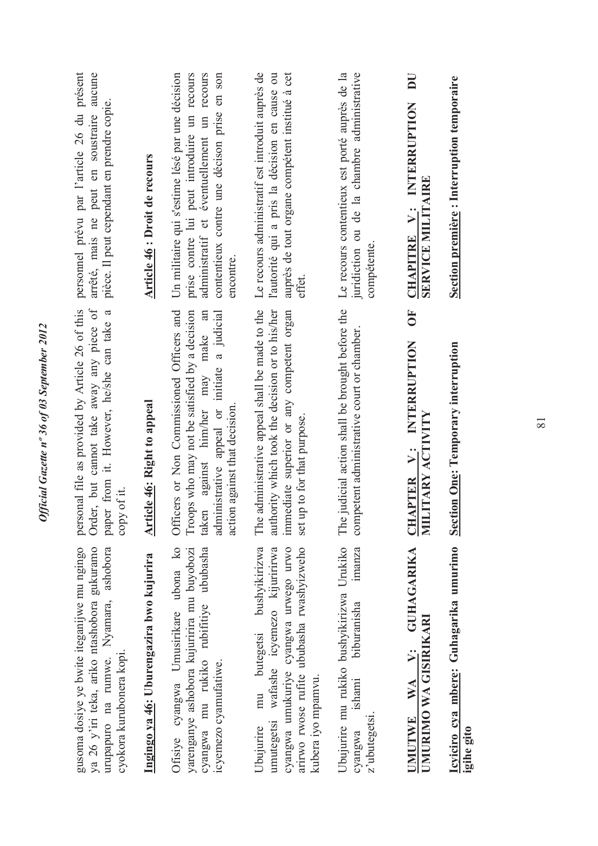| arrêté, mais ne peut en soustraire aucune<br>personnel prévu par l'article 26 du présent<br>pièce. Il peut cependant en prendre copie.                         | Article 46 : Droit de recours            | prise contre lui peut introduire un recours<br>contentieux contre une décison prise en son<br>Un militaire qui s'estime lésé par une décision<br>administratif et éventuellement un recours<br>encontre.           | Le recours administratif est introduit auprès de<br>auprès de tout organe compétent institué à cet<br>l'autorité qui a pris la décision en cause ou<br>effet.                                        | Le recours contentieux est porté auprès de la<br>juridiction ou de la chambre administrative<br>compétente. | Section première : Interruption temporaire<br>CHAPITRE V: INTERRUPTION<br><b>SERVICE MILITAIRE</b><br>5C       |            |
|----------------------------------------------------------------------------------------------------------------------------------------------------------------|------------------------------------------|--------------------------------------------------------------------------------------------------------------------------------------------------------------------------------------------------------------------|------------------------------------------------------------------------------------------------------------------------------------------------------------------------------------------------------|-------------------------------------------------------------------------------------------------------------|----------------------------------------------------------------------------------------------------------------|------------|
| personal file as provided by Article 26 of this<br>Order, but cannot take away any piece of<br>paper from it. However, he/she can take a<br>copy of it.        | <b>Article 46: Right to appeal</b>       | Officers or Non Commissioned Officers and<br>Troops who may not be satisfied by a decision<br>against him/her may make an<br>administrative appeal or initiate a judicial<br>action against that decision<br>taken | administrative appeal shall be made to the<br>authority which took the decision or to his/her<br>immediate superior or any competent organ<br>set up to for that purpose.<br>The                     | The judicial action shall be brought before the<br>competent administrative court or chamber.               | INTERRUPTION<br>tion One: Temporary interruption<br><b>CHAPTER V: INTI</b><br>MILITARY ACTIVITY<br><b>Sect</b> |            |
| gusoma dosiye ye bwite iteganijwe mu ngingo<br>ya 26 y'iri teka, ariko ntashobora gukuramo<br>urupapuro na rumwe. Nyamara, ashobora<br>cyokora kurubonera kopi | Ingingo ya 46: Uburengazira bwo kujurira | Ofisiye cyangwa Umusirikare ubona ko<br>yarenganye ashobora kujuririra mu buyobozi<br>cyangwa mu rukiko rubifitiye ububasha<br>icyemezo cyamufatiwe.                                                               | arirwo rwose rufite ububasha rwashyizweho<br>butegetsi bushyikirizwa<br>wafashe icyemezo kijuririrwa<br>cyangwa umukuriye cyangwa urwego urwo<br>kubera iyo mpamvu.<br>mu<br>umutegetsi<br>Ubujurire | Ubujurire mu rukiko bushyikirizwa Urukiko<br>imanza<br>biburanisha<br>ishami<br>z'ubutegetsi<br>cyangwa     | V: GUHAGARIKA<br>Icyiciro cya mbere: Guhagarika umurimo<br>UMURIMO WA GISIRIKARI<br><b>WA</b><br><b>UMUTWE</b> | igihe gito |

Official Gazette nº 36 of 03 September 2012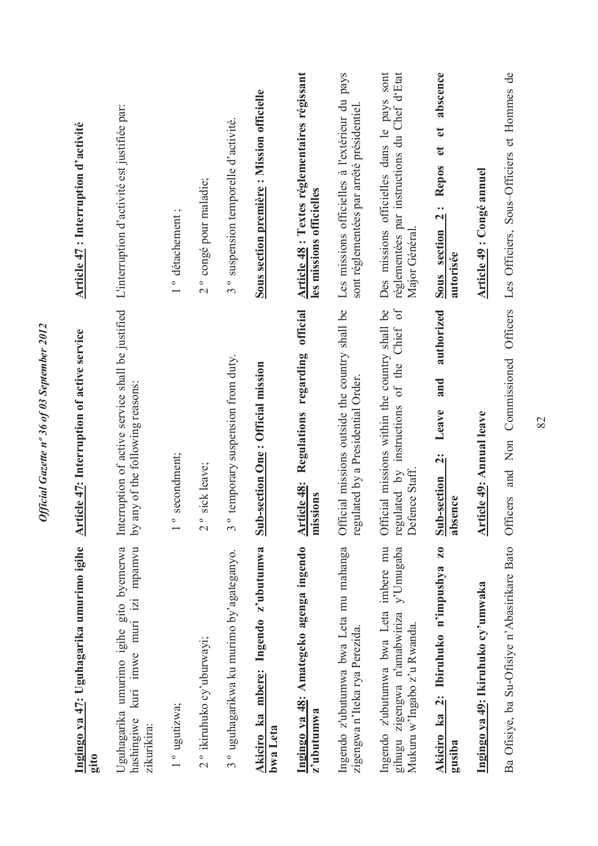| Ingingo ya 47: Uguhagarika umurimo igihe<br>gito                                                                  | Article 47: Interruption of active service                                                                     | <b>Article 47</b> : Interruption d'activité                                                                 |
|-------------------------------------------------------------------------------------------------------------------|----------------------------------------------------------------------------------------------------------------|-------------------------------------------------------------------------------------------------------------|
| kuri imwe muri izi mpamvu<br>Uguhagarika umurimo igihe gito byemerwa<br>hashingiwe<br>zikurikira:                 | Interruption of active service shall be justified<br>any of the following reasons:<br>$\overline{\mathsf{S}}$  | L'interruption d'activité est justifiée par:                                                                |
| 1° ugutizwa;                                                                                                      | secondment;                                                                                                    | 1° détachement;                                                                                             |
| 2° ikiruhuko cy'uburwayi;                                                                                         | sick leave;<br>$\frac{1}{2}$                                                                                   | 2° congé pour maladie;                                                                                      |
| 3° uguhagarikwa ku murimo by'agateganyo.                                                                          | temporary suspension from duty.<br>$\infty$                                                                    | 3° suspension temporelle d'activité.                                                                        |
| Akiciro ka mbere: Ingendo z'ubutumwa<br>bwa Leta                                                                  | <b>Sub-section One: Official mission</b>                                                                       | Sous section première : Mission officielle                                                                  |
| Ingingo ya 48: Amategeko agenga ingendo<br>z'ubutumwa                                                             | official<br>Regulations regarding<br>Article 48:<br>missions                                                   | Article 48 : Textes réglementaires régissant<br>les missions officielles                                    |
| Ingendo z'ubutumwa bwa Leta mu mahanga<br>zigengwa n'Iteka rya Perezida.                                          | Official missions outside the country shall be<br>regulated by a Presidential Order.                           | Les missions officielles à l'extérieur du pays<br>sont réglementées par arrêté présidentiel                 |
| Ingendo z'ubutumwa bwa Leta imbere mu<br>y'Umugaba<br>gihugu zigengwa n'amabwiriza<br>Mukuru w'Ingabo z'u Rwanda. | Chief of<br>Official missions within the country shall be<br>regulated by instructions of the<br>Defence Staff | réglementées par instructions du Chef d'Etat<br>Des missions officielles dans le pays sont<br>Major Général |
| $\overline{\mathbf{z}}$<br>Ibiruhuko n'impushya<br>Akiciro ka 2:<br>gusiba                                        | authorized<br>and<br>Leave<br>$\ddot{\mathbf{q}}$<br>Sub-section<br>absence                                    | abscence<br>$\mathbf{e}$<br>$\mathfrak{e}$<br><b>Repos</b><br>$\frac{1}{2}$<br>Sous section<br>autorisée    |
| Ingingo ya 49: Ikiruhuko cy'umwaka                                                                                | Article 49: Annual leave                                                                                       | <b>Article 49 : Congé annuel</b>                                                                            |
| Ba Ofisiye, ba Su-Ofisiye n'Abasirikare Bato                                                                      | Officers<br>and Non Commissioned<br>Officers                                                                   | Les Officiers, Sous-Officiers et Hommes de                                                                  |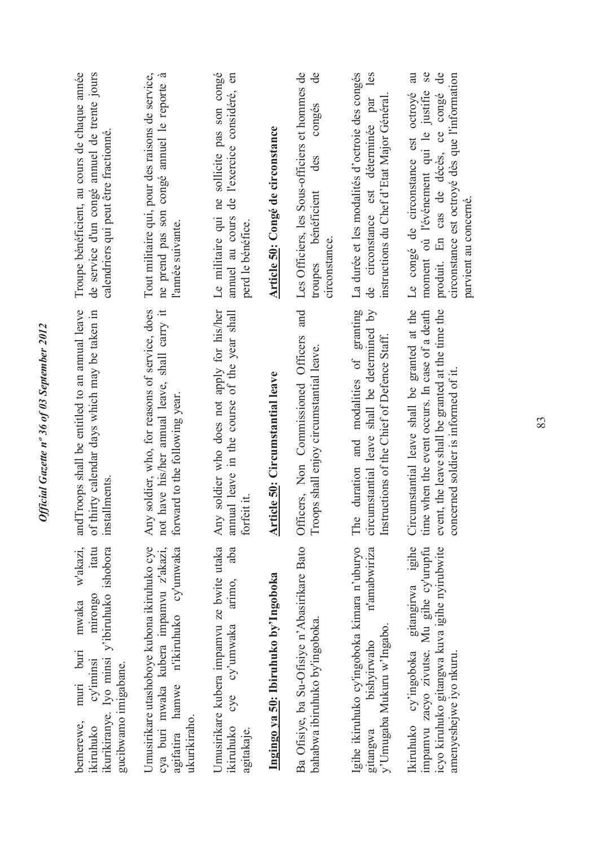| Troupe bénéficient, au cours de chaque année<br>de service d'un congé annuel de trente jours<br>calendriers qui peut être fractionné.                             | Tout militaire qui, pour des raisons de service,<br>ne prend pas son congé annuel le reporte à<br>l'année suivante.                                  | Le militaire qui ne sollicite pas son congé<br>de l'exercice considéré, en<br>annuel au cours<br>perd le bénéfice. | Article 50: Congé de circonstance            | Les Officiers, les Sous-officiers et hommes de<br>de<br>congés<br>des<br>troupes bénéficient<br>circonstance. | La durée et les modalités d'octroie des congés<br>les<br>instructions du Chef d'Etat Major Général<br>circonstance est déterminée par<br>ಕಿ | au<br>Se<br>$\mathbf{d}$ e<br>circonstance est octroyé dès que l'information<br>moment où l'événement qui le justifie<br>produit. En cas de décès, ce congé<br>Le congé de circonstance est octroyé<br>parvient au concerné. |
|-------------------------------------------------------------------------------------------------------------------------------------------------------------------|------------------------------------------------------------------------------------------------------------------------------------------------------|--------------------------------------------------------------------------------------------------------------------|----------------------------------------------|---------------------------------------------------------------------------------------------------------------|---------------------------------------------------------------------------------------------------------------------------------------------|------------------------------------------------------------------------------------------------------------------------------------------------------------------------------------------------------------------------------|
| andTroops shall be entitled to an annual leave<br>of thirty calendar days which may be taken in<br>installments.                                                  | soldier, who, for reasons of service, does<br>have his/her annual leave, shall carry it<br>forward to the following year<br>Any<br>not               | soldier who does not apply for his/her<br>annual leave in the course of the year shall<br>forfeit it.<br>Any       | icle 50: Circumstantial leave<br><u>Arti</u> | and<br>Officers, Non Commissioned Officers<br>Troops shall enjoy circumstantial leave.                        | and modalities of granting<br>circumstantial leave shall be determined by<br>Instructions of the Chief of Defence Staff.<br>duration<br>The | Circumstantial leave shall be granted at the<br>event, the leave shall be granted at the time the<br>time when the event occurs. In case of a death<br>concerned soldier is informed of it.                                  |
| w'akazi,<br>ikurikiranye. Iyo minsi y'ibiruhuko ishobora<br>itatu<br>mirongo<br>mwaka<br>muri buri<br>cy'iminsi<br>gucibwamo imigabane.<br>bemerewe,<br>ikiruhuko | Umusirikare utashoboye kubona ikiruhuko cye<br>n'ikiruhuko cy'umwaka<br>cya buri mwaka kubera impamvu z'akazi,<br>hamwe<br>ukurikiraho.<br>agifatira | Umusirikare kubera impamvu ze bwite utaka<br>aba<br>arimo,<br>cy'umwaka<br>cyc<br>ikiruhuko<br>agitakaje.          | Ingingo ya 50: Ibiruhuko by'lngoboka         | Ba Ofisiye, ba Su-Ofisiye n'Abasirikare Bato<br>bahabwa ibiruhuko by'ingoboka.                                | Igihe ikiruhuko cy'ingoboka kimara n'uburyo<br>n'amabwiriza<br>y'Umugaba Mukuru w'Ingabo.<br>bishyirwaho<br>gitangwa                        | Ikiruhuko cy'ingoboka gitangirwa igihe<br>icyo kiruhuko gitangwa kuva igihe nyirubwite<br>impamvu zacyo zivutse. Mu gihe cy'urupfu<br>amenyeshejwe iyo nkuru.                                                                |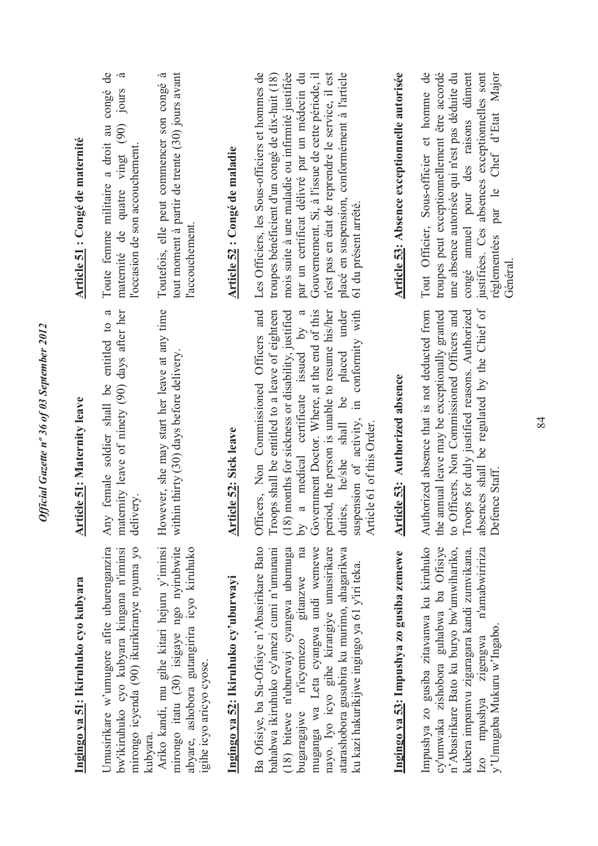| Ingingo ya 51: Ikiruhuko cyo kubyara                                                                                                                                                                                                                                                                                                                         | <b>Article 51: Maternity leave</b>                                                                                                                                                                                                                                                                                                                                                                                   | Article 51 : Congé de maternité                                                                                                                                                                                                                                                                                                                                                        |
|--------------------------------------------------------------------------------------------------------------------------------------------------------------------------------------------------------------------------------------------------------------------------------------------------------------------------------------------------------------|----------------------------------------------------------------------------------------------------------------------------------------------------------------------------------------------------------------------------------------------------------------------------------------------------------------------------------------------------------------------------------------------------------------------|----------------------------------------------------------------------------------------------------------------------------------------------------------------------------------------------------------------------------------------------------------------------------------------------------------------------------------------------------------------------------------------|
| Umusirikare w'umugore afite uburenganzira<br>bw'ikiruhuko cyo kubyara kingana n'iminsi<br>mirongo icyenda (90) ikurikiranye nyuma yo<br>kubvara.                                                                                                                                                                                                             | female soldier shall be entitled to a<br>maternity leave of ninety (90) days after her<br>delivery.<br>Any                                                                                                                                                                                                                                                                                                           | Toute femme militaire a droit au congé de<br>$\dot{a}$<br>Jours<br>maternité de quatre vingt (90)<br>l'occasion de son accouchement                                                                                                                                                                                                                                                    |
| Ariko kandi, mu gihe kitari hejuru y'iminsi<br>mirongo itatu (30) isigaye ngo nyirubwite<br>abyare, ashobora gutangirira icyo kiruhuko<br>igihe icyo aricyo cyose.                                                                                                                                                                                           | However, she may start her leave at any time<br>within thirty (30) days before delivery.                                                                                                                                                                                                                                                                                                                             | tout moment à partir de trente (30) jours avant<br>Toutefois, elle peut commencer son congé à<br>l'accouchement.                                                                                                                                                                                                                                                                       |
| Ingingo ya 52: Ikiruhuko cy'uburwayi                                                                                                                                                                                                                                                                                                                         | <b>Article 52: Sick leave</b>                                                                                                                                                                                                                                                                                                                                                                                        | Article 52 : Congé de maladie                                                                                                                                                                                                                                                                                                                                                          |
| Ba Ofisiye, ba Su-Ofisiye n'Abasirikare Bato<br>muganga wa Leta cyangwa undi wemewe<br>bugaragajwe n'icyemezo gitanzwe na<br>nayo. Iyo icyo gihe kirangiye umusirikare<br>bahabwa ikiruhuko cy'amezi cumi n'umunani<br>(18) bitewe n'uburwayi cyangwa ubumuga<br>atarashobora gusubira ku murimo, ahagarikwa<br>ku kazi hakurikijwe ingingo ya 61 y'iri teka | Government Doctor. Where, at the end of this<br>period, the person is unable to resume his/her<br>Officers, Non Commissioned Officers and<br>medical certificate issued by a<br>duties, he/she shall be placed under<br>is shall be entitled to a leave of eighteen<br>suspension of activity, in conformity with<br>(18) months for sickness or disability, justified<br>Article 61 of this Order.<br>by a<br>Troop | Les Officiers, les Sous-officiers et hommes de<br>mois suite à une maladie ou infirmité justifiée<br>par un certificat délivré par un médecin du<br>n'est pas en état de reprendre le service, il est<br>placé en suspension, conformément à l'article<br>troupes bénéficient d'un congé de dix-huit (18)<br>Gouvernement. Si, à l'issue de cette période, il<br>61 du présent arrêté. |
| Ingingo ya 53: Impushya zo gusiba zemewe                                                                                                                                                                                                                                                                                                                     | Authorized absence<br>Article 53:                                                                                                                                                                                                                                                                                                                                                                                    | Article 53: Absence exceptionnelle autorisée                                                                                                                                                                                                                                                                                                                                           |
| Impushya zo gusiba zitavanwa ku kiruhuko<br>cy'umwaka zishobora guhabwa ba Ofisiye<br>n'Abasirikare Bato ku buryo bw'umwihariko,<br>n'amabwiririza<br>kubera impamvu zigaragara kandi zumvikana.<br>y'Umugaba Mukuru w'Ingabo<br>Izo mpushya zigengwa                                                                                                        | absences shall be regulated by the Chief of<br>Troops for duly justified reasons. Authorized<br>Authorized absence that is not deducted from<br>to Officers, Non Commissioned Officers and<br>the annual leave may be exceptionally granted<br>Defence Staff.                                                                                                                                                        | Tout Officier, Sous-officier et homme de<br>troupes peut exceptionnellement être accordé<br>une absence autorisée qui n'est pas déduite du<br>congé annuel pour des raisons dûment<br>justifiées. Ces absences exceptionnelles sont<br>réglementées par le Chef d'Etat Major<br>Général                                                                                                |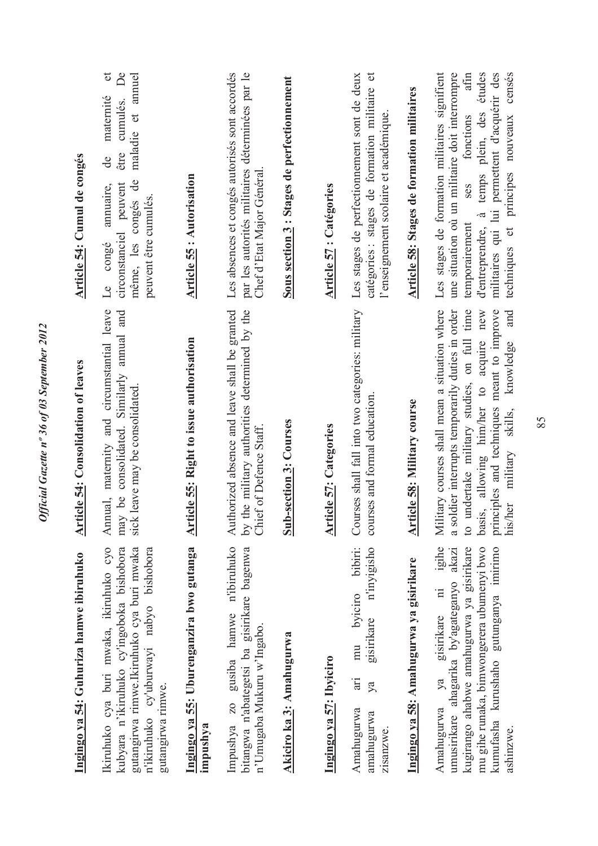| Ingingo ya 54: Guhuriza hamwe ibiruhuko                                                                                                                                                                                                     | <b>Article 54: Consolidation of leaves</b>                                                                                                                                                                                                                                            | Article 54: Cumul de congés                                                                                                                                                                                                                                                              |
|---------------------------------------------------------------------------------------------------------------------------------------------------------------------------------------------------------------------------------------------|---------------------------------------------------------------------------------------------------------------------------------------------------------------------------------------------------------------------------------------------------------------------------------------|------------------------------------------------------------------------------------------------------------------------------------------------------------------------------------------------------------------------------------------------------------------------------------------|
| Ikiruhuko cya buri mwaka, ikiruhuko cyo<br>kubyara n'ikiruhuko cy'ingoboka bishobora<br>gutangirwa rimwe.Ikiruhuko cya buri mwaka<br>n'ikiruhuko cy'uburwayi nabyo bishobora<br>gutangirwa rimwe.                                           | Annual, maternity and circumstantial leave<br>be consolidated. Similarly annual and<br>sick leave may be consolidated.<br>may                                                                                                                                                         | đ<br>$\mathsf{D}$ e<br>maladie et annuel<br>maternité<br>cumulés.<br>être<br>de<br>$\mathbf{d}$ e<br>peuvent<br>annuaire,<br>même, les congés<br>peuvent être cumulés.<br>circonstanciel<br>Le congé                                                                                     |
| Ingingo ya 55: Uburenganzira bwo gutanga<br>impushya                                                                                                                                                                                        | <b>Article 55: Right to issue authorisation</b>                                                                                                                                                                                                                                       | <b>Article 55: Autorisation</b>                                                                                                                                                                                                                                                          |
| gusiba hamwe n'ibiruhuko<br>bitangwa n'abategetsi ba gisirikare bagenwa<br>n'Umugaba Mukuru w'Ingabo.<br><b>ZO</b><br>Impushya                                                                                                              | Authorized absence and leave shall be granted<br>by the military authorities determined by the<br>Chief of Defence Staff.                                                                                                                                                             | par les autorités militaires déterminées par le<br>Les absences et congés autorisés sont accordés<br>Chef d'Etat Major Général                                                                                                                                                           |
| Akiciro ka 3: Amahugurwa                                                                                                                                                                                                                    | <b>Sub-section 3: Courses</b>                                                                                                                                                                                                                                                         | Sous section 3 : Stages de perfectionnement                                                                                                                                                                                                                                              |
| Ingingo ya 57: Ibyiciro                                                                                                                                                                                                                     | <b>Article 57: Categories</b>                                                                                                                                                                                                                                                         | <b>Article 57: Catégories</b>                                                                                                                                                                                                                                                            |
| byiciro bibiri:<br>n'inyigisho<br>gisirikare<br>mu<br>ίË<br>ya<br>Amahugurwa<br>amahugurwa<br>zisanzwe                                                                                                                                      | Courses shall fall into two categories: military<br>courses and formal education                                                                                                                                                                                                      | catégories : stages de formation militaire et<br>Les stages de perfectionnement sont de deux<br>l'enseignement scolaire et académique                                                                                                                                                    |
| Ingingo ya 58: Amahugurwa ya gisirikare                                                                                                                                                                                                     | Article 58: Military course                                                                                                                                                                                                                                                           | <b>Article 58: Stages de formation militaires</b>                                                                                                                                                                                                                                        |
| igihe<br>kugirango ahabwe amahugurwa ya gisirikare<br>mu gihe runaka, bimwongerera ubumenyi bwo<br>kumufasha kurushaho gutunganya imirimo<br>akazi<br>umusirikare ahagarika by'agateganyo<br>gisirikare ni<br>ya<br>Amahugurwa<br>ashinzwe. | Military courses shall mean a situation where<br>to undertake military studies, on full time<br>basis, allowing him/her to acquire new<br>principles and techniques meant to improve<br>a soldier interrupts temporarily duties in order<br>knowledge and<br>his/her military skills, | atin<br>Les stages de formation militaires signifient<br>à temps plein, des études<br>militaires qui lui permettent d'acquérir des<br>une situation où un militaire doit interrompre<br>techniques et principes nouveaux censés<br>fonctions<br>Ses<br>temporairement<br>d'entreprendre, |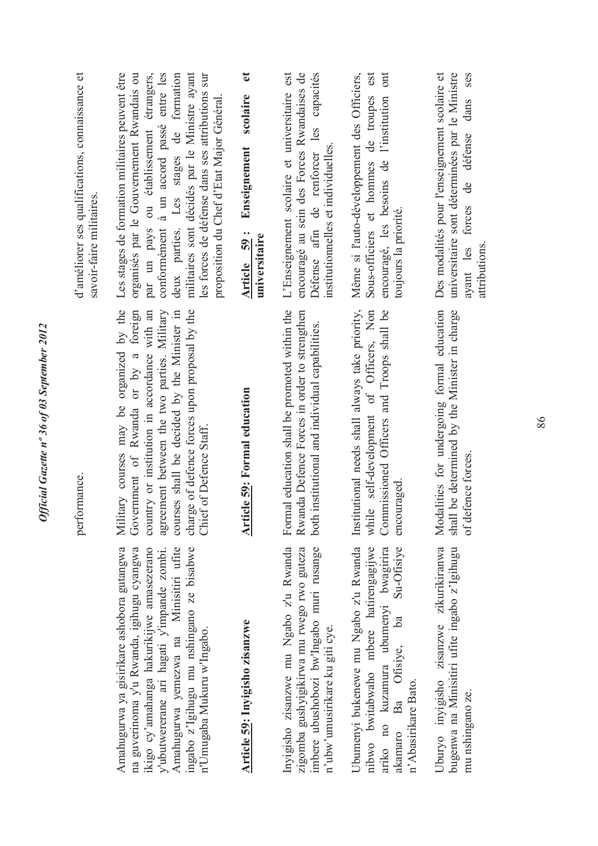| d'améliorer ses qualifications, connaissance et<br>savoir-faire militaires. | Les stages de formation militaires peuvent être<br>organisés par le Gouvernement Rwandais ou<br>militaires sont décidés par le Ministre ayant<br>conformément à un accord passé entre les<br>deux parties. Les stages de formation<br>les forces de défense dans ses attributions sur<br>par un pays ou établissement étrangers,<br>proposition du Chef d'Etat Major Général. | $\bullet$<br>scolaire<br>Enseignement<br>Article 59:<br>universitaire | L'Enseignement scolaire et universitaire est<br>encouragé au sein des Forces Rwandaises de<br>Défense afin de renforcer les capacités<br>institutionnelles et individuelles | ont<br>Sous-officiers et hommes de troupes est<br>Même si l'auto-développement des Officiers,<br>encouragé, les besoins de l'institution<br>toujours la priorité.                        | universitaire sont déterminées par le Ministre<br>Des modalités pour l'enseignement scolaire et<br><b>Ses</b><br>dans<br>ayant les forces de défense<br>attributions |
|-----------------------------------------------------------------------------|-------------------------------------------------------------------------------------------------------------------------------------------------------------------------------------------------------------------------------------------------------------------------------------------------------------------------------------------------------------------------------|-----------------------------------------------------------------------|-----------------------------------------------------------------------------------------------------------------------------------------------------------------------------|------------------------------------------------------------------------------------------------------------------------------------------------------------------------------------------|----------------------------------------------------------------------------------------------------------------------------------------------------------------------|
| performance.                                                                | Military courses may be organized by the<br>charge of defence forces upon proposal by the<br>Government of Rwanda or by a foreign<br>country or institution in accordance with an<br>agreement between the two parties. Military<br>courses shall be decided by the Minister in<br>Chief of Defence Staff.                                                                    | <b>Article 59: Formal education</b>                                   | Formal education shall be promoted within the<br>Rwanda Defence Forces in order to strengthen<br>both institutional and individual capabilities.                            | Institutional needs shall always take priority,<br>while self-development of Officers, Non<br>Commissioned Officers and Troops shall be<br>encouraged                                    | Modalities for undergoing formal education<br>shall be determined by the Minister in charge<br>of defence forces.                                                    |
|                                                                             | Amahugurwa ya gisirikare ashobora gutangwa<br>Amahugurwa yemezwa na Minisitiri ufite<br>ingabo z'lgihugu mu nshingano ze bisabwe<br>na guverinoma y'u Rwanda, igihugu cyangwa<br>ikigo cy'amahanga hakurikijwe amasezerano<br>y'ubutwererane ari hagati y'impande zombi.<br>n'Umugaba Mukuru w'Ingabo.                                                                        | Article 59: Inyigisho zisanzwe                                        | Inyigisho zisanzwe mu Ngabo z'u Rwanda<br>zigomba gushyigikirwa mu rwego rwo guteza<br>imbere ubushobozi bw'Ingabo muri rusange<br>n'ubw'umusirikare ku giti cye.           | Ubumenyi bukenewe mu Ngabo z'u Rwanda<br>nibwo bwitabwaho mbere hatirengagijwe<br>Su-Ofisiye<br>ariko no kuzamura ubumenyi bwagirira<br>ba<br>akamaro Ba Ofisiye,<br>n'Abasirikare Bato. | Uburyo inyigisho zisanzwe zikurikiranwa<br>bugenwa na Minisitiri ufite ingabo z'Igihugu<br>mu nshingano ze.                                                          |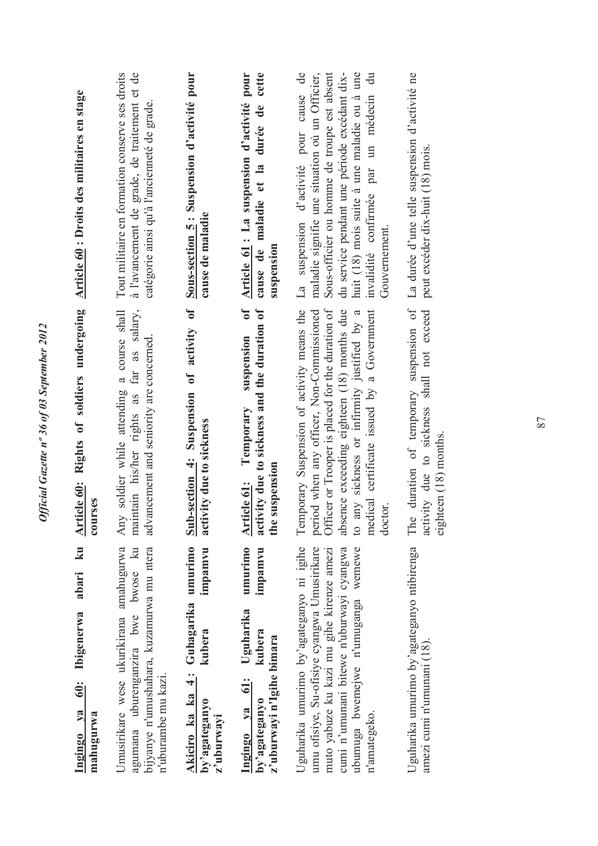| Article 60 : Droits des militaires en stage<br>Article 60: Rights of soldiers undergoing      | Tout militaire en formation conserve ses droits<br>à l'avancement de grade, de traitement et de<br>catégorie ainsi qu'à l'ancienneté de grade.<br>maintain his/her rights as far as salary,<br>soldier while attending a course shall<br>advancement and seniority are concerned. | Sous-section 5 : Suspension d'activité pour<br>cause de maladie<br>Sub-section 4: Suspension of activity of | cette<br>Article 61 : La suspension d'activité pour<br>cause de maladie et la durée de<br>suspension<br>$\mathfrak{h}$<br>activity due to sickness and the duration of<br>suspension<br>Temporary | La suspension d'activité pour cause de<br>du service pendant une période excédant dix-<br>huit (18) mois suite à une maladie ou à une<br>maladie signifie une situation où un Officier,<br>Sous-officier ou homme de troupe est absent<br>invalidité confirmée par un médecin du<br>Gouvernement.<br>Officer or Trooper is placed for the duration of<br>absence exceeding eighteen (18) months due<br>Temporary Suspension of activity means the<br>period when any officer, Non-Commissioned<br>medical certificate issued by a Government<br>to any sickness or infirmity justified by a | La durée d'une telle suspension d'activité ne<br>peut excéder dix-huit (18) mois.<br>duration of temporary suspension of<br>activity due to sickness shall not exceed |
|-----------------------------------------------------------------------------------------------|-----------------------------------------------------------------------------------------------------------------------------------------------------------------------------------------------------------------------------------------------------------------------------------|-------------------------------------------------------------------------------------------------------------|---------------------------------------------------------------------------------------------------------------------------------------------------------------------------------------------------|---------------------------------------------------------------------------------------------------------------------------------------------------------------------------------------------------------------------------------------------------------------------------------------------------------------------------------------------------------------------------------------------------------------------------------------------------------------------------------------------------------------------------------------------------------------------------------------------|-----------------------------------------------------------------------------------------------------------------------------------------------------------------------|
| 'ses<br>cour                                                                                  | Any                                                                                                                                                                                                                                                                               | activity due to sickness                                                                                    | the suspension<br>Article 61:                                                                                                                                                                     | doctor.                                                                                                                                                                                                                                                                                                                                                                                                                                                                                                                                                                                     | eighteen (18) months.<br>The                                                                                                                                          |
| $\overline{\mathbf{z}}$<br>abari<br>Ibigenerwa<br>$\ddot{\bullet}$<br>Ingingo ya<br>mahugurwa | agumana uburenganzira bwe bwose ku<br>bijyanye n'umushahara, kuzamurwa mu ntera<br>Umusirikare wese ukurikirana amahugurwa<br>n'uburambe mu kazi.                                                                                                                                 | umurimo<br>impamvu<br>4: Guhagarika<br>kubera<br>Akiciro ka ka<br>by'agateganyo<br>z'uburwayi               | umurimo<br>impamvu<br>Uguharika<br>kubera<br>z'uburwayi n'Igihe bimara<br>$\ddot{5}$<br>by'agateganyo<br>Ingingo ya                                                                               | Jguharika umurimo by'agateganyo ni igihe<br>umu ofisiye, Su-ofisiye cyangwa Umusirikare<br>ubumuga bwemejwe n'umuganga wemewe<br>cumi n'umunani bitewe n'uburwayi cyangwa<br>muto yabuze ku kazi mu gihe kirenze amezi<br>n'amategeko.                                                                                                                                                                                                                                                                                                                                                      | Uguharika umurimo by'agateganyo ntibirenga<br>amezi cumi n'umunani (18).                                                                                              |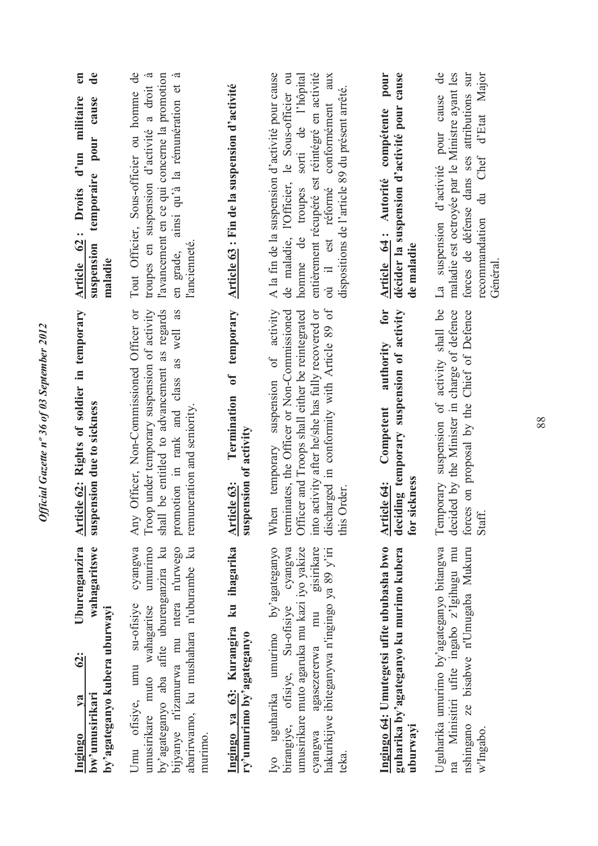| Ingingo ya 63: Kurangira ku ihagarika Article 63:<br>Ingingo 64: Umutegetsi ufite ububasha bwo<br>wahagaritswe<br>cyangwa<br>Uburenganzira<br>Iyo uguharika umurimo by'agateganyo<br>umurimo<br>by'agateganyo aba afite uburenganzira ku<br>abarirwamo, ku mushahara n'uburambe ku<br>birangiye, ofisiye, Su-ofisiye cyangwa<br>umusirikare muto agaruka mu kazi iyo yakize<br>gisirikare<br>bijyanye n'izamurwa mu ntera n'urwego<br>hakurikijwe ibiteganywa n'ingingo ya 89 y'iri<br>cyangwa agasezererwa mu<br>Umu ofisiye, umu su-ofisiye<br>umusirikare muto wahagaritse<br>by'agateganyo kubera uburwayi<br>ry'umurimo by'agateganyo<br><u>62:</u><br>bw'umusirikari<br>$1$ | When temporary suspension of activity<br>discharged in conformity with Article 89 of<br>Article 62: Rights of soldier in temporary<br>Troop under temporary suspension of activity<br>terminates, the Officer or Non-Commissioned<br>for<br>Officer, Non-Commissioned Officer or<br>be entitled to advancement as regards<br>as<br>into activity after he/she has fully recovered or<br>Officer and Troops shall either be reintegrated<br>promotion in rank and class as well<br>suspension due to sickness<br>remuneration and seniority<br>suspension of activity<br>Order.<br>Any<br>shall<br>this | en<br>$\mathbf{d}\mathbf{e}$<br>Tout Officier, Sous-officier ou homme de<br>A la fin de la suspension d'activité pour cause<br>l'avancement en ce qui concerne la promotion<br>en grade, ainsi qu'à la rémunération et à<br>de maladie, l'Officier, le Sous-officier ou<br>entièrement récupéré est réintégré en activité<br>pour<br>troupes en suspension d'activité a droit à<br>où il est réformé conformément aux<br>troupes sorti de l'hôpital<br>Termination of temporary Article 63 : Fin de la suspension d'activité<br>dispositions de l'article 89 du présent arrêté.<br>d'un militaire<br>temporaire pour cause<br>Article 64: Autorité compétente<br>Article 62: Droits<br>homme de<br>l'ancienneté.<br>suspension<br>maladie |
|-----------------------------------------------------------------------------------------------------------------------------------------------------------------------------------------------------------------------------------------------------------------------------------------------------------------------------------------------------------------------------------------------------------------------------------------------------------------------------------------------------------------------------------------------------------------------------------------------------------------------------------------------------------------------------------|--------------------------------------------------------------------------------------------------------------------------------------------------------------------------------------------------------------------------------------------------------------------------------------------------------------------------------------------------------------------------------------------------------------------------------------------------------------------------------------------------------------------------------------------------------------------------------------------------------|-------------------------------------------------------------------------------------------------------------------------------------------------------------------------------------------------------------------------------------------------------------------------------------------------------------------------------------------------------------------------------------------------------------------------------------------------------------------------------------------------------------------------------------------------------------------------------------------------------------------------------------------------------------------------------------------------------------------------------------------|
| guharika by'agateganyo ku murimo kubera                                                                                                                                                                                                                                                                                                                                                                                                                                                                                                                                                                                                                                           | deciding temporary suspension of activity<br>authority<br>Article 64: Competent<br>for sickness                                                                                                                                                                                                                                                                                                                                                                                                                                                                                                        | décider la suspension d'activité pour cause<br>de maladie                                                                                                                                                                                                                                                                                                                                                                                                                                                                                                                                                                                                                                                                                 |
| Uguharika umurimo by'agateganyo bitangwa<br>na Minisitiri ufite ingabo z'Igihugu mu<br>nshingano ze bisabwe n'Umugaba Mukuru                                                                                                                                                                                                                                                                                                                                                                                                                                                                                                                                                      | Temporary suspension of activity shall be<br>decided by the Minister in charge of defence<br>forces on proposal by the Chief of Defence<br>Staff.                                                                                                                                                                                                                                                                                                                                                                                                                                                      | La suspension d'activité pour cause de<br>forces de défense dans ses attributions sur<br>recommandation du Chef d'Etat Major<br>maladie est octroyée par le Ministre ayant les<br>Général                                                                                                                                                                                                                                                                                                                                                                                                                                                                                                                                                 |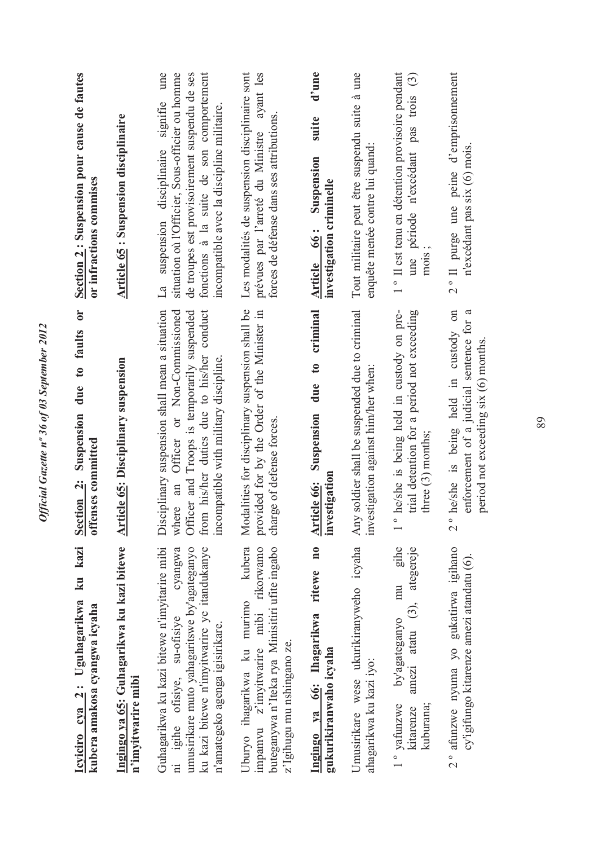| ku kazi<br>Icyiciro cya 2: Uguhagarikwa<br>kubera amakosa cyangwa icyaha                                                                                                                                                 | $\overline{\mathbf{C}}$<br>due to faults<br>Suspension<br>offenses committed<br>Section 2:                                                                                                                                    | Section 2: Suspension pour cause de fautes<br>or infractions commises                                                                                                                                                                        |
|--------------------------------------------------------------------------------------------------------------------------------------------------------------------------------------------------------------------------|-------------------------------------------------------------------------------------------------------------------------------------------------------------------------------------------------------------------------------|----------------------------------------------------------------------------------------------------------------------------------------------------------------------------------------------------------------------------------------------|
| Ingingo ya 65: Guhagarikwa ku kazi bitewe<br>n'imyitwarire mibi                                                                                                                                                          | <b>Article 65: Disciplinary suspension</b>                                                                                                                                                                                    | <b>Article 65: Suspension disciplinaire</b>                                                                                                                                                                                                  |
| Guhagarikwa ku kazi bitewe n'imyitarire mibi<br>cyangwa<br>ku kazi bitewe n'imyitwarire ye itandukanye<br>umusirikare muto yahagaritswe by'agateganyo<br>ni igihe ofisiye, su-ofisiye<br>n'amategeko agenga igisirikare. | from his/her duties due to his/her conduct<br>Disciplinary suspension shall mean a situation<br>where an Officer or Non-Commissioned<br>Officer and Troops is temporarily suspended<br>incompatible with military discipline. | une<br>fonctions à la suite de son comportement<br>situation où l'Officier, Sous-officier ou homme<br>de troupes est provisoirement suspendu de ses<br>suspension disciplinaire signifie<br>incompatible avec la discipline militaire.<br>La |
| kubera<br>impamvu z'imyitwarire mibi rikorwamo<br>buteganywa n'Iteka rya Minisitiri ufite ingabo<br>Uburyo ihagarikwa ku murimo<br>z'lgihugu mu nshingano ze.                                                            | Modalities for disciplinary suspension shall be<br>provided for by the Order of the Minister in<br>ge of defense forces.<br>char                                                                                              | Les modalités de suspension disciplinaire sont<br>prévues par l'arreté du Ministre ayant les<br>forces de défense dans ses attributions                                                                                                      |
| $\mathbf{n}$ 0<br>ritewe<br>Ingingo ya 66: Ihagarikwa<br>gukurikiranwaho icyaha                                                                                                                                          | criminal<br>$\mathfrak{g}$<br>due<br>Suspension<br>stigation<br>Article 66:<br>inve                                                                                                                                           | d'une<br>suite<br>Suspension<br>investigation criminelle<br>Article 66 :                                                                                                                                                                     |
| Umusirikare wese ukurikiranyweho icyaha<br>ahagarikwa ku kazi iyo:                                                                                                                                                       | soldier shall be suspended due to criminal<br>stigation against him/her when<br>Any<br><b>inve</b>                                                                                                                            | Tout militaire peut être suspendu suite à une<br>enquête menée contre lui quand:                                                                                                                                                             |
| gihe<br>$(3)$ , ategereje<br>mu<br>by'agateganyo<br>atatu<br>amezi<br>kuburana;<br>1° vafunzwe<br>kitarenze                                                                                                              | he/she is being held in custody on pre-<br>trial detention for a period not exceeding<br>three (3) months;<br>$\overline{\phantom{a}}$                                                                                        | <sup>o</sup> Il est tenu en détention provisoire pendant<br>une période n'excédant pas trois (3)<br>mons;                                                                                                                                    |
| 2° afunzwe nyuma yo gukatirwa igihano<br>cy'igifungo kitarenze amezi atandatu (6).                                                                                                                                       | he/she is being held in custody on<br>enforcement of a judicial sentence for a<br>period not exceeding six (6) months<br>$\frac{1}{2}$                                                                                        | 2° Il purge une peine d'emprisonnement<br>n'excédant pas six (6) mois.                                                                                                                                                                       |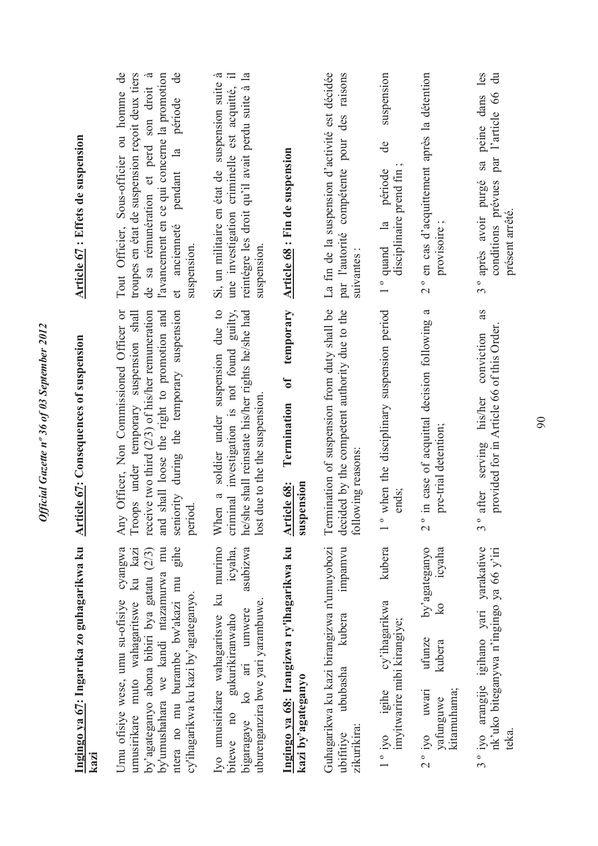| Article 67 : Effets de suspension                         | troupes en état de suspension reçoit deux tiers<br>$\mathsf{d}\mathsf{e}$<br>Tout Officier, Sous-officier ou homme de<br>l'avancement en ce qui concerne la promotion<br>de sa rémunération et perd son droit<br>ancienneté pendant la période<br>suspension.<br>et | Si, un militaire en état de suspension suite à<br>reintégre les droit qu'il avait perdu suite à la<br>une investigation criminelle est acquitté, il<br>suspension.             | <b>Article 68</b> : Fin de suspension                                     | La fin de la suspension d'activité est décidée<br>raisons<br>par l'autorité compétente pour des<br>suivantes:      | suspension<br>de<br>disciplinaire prend fin<br>1° quand la période       | 2° en cas d'acquittement après la détention<br>provisoire                                                                   | sa peine dans les<br>$\ddot{\vec{a}}$<br>conditions prévues par l'article 66<br>3° après avoir purgé<br>présent arrêté |
|-----------------------------------------------------------|---------------------------------------------------------------------------------------------------------------------------------------------------------------------------------------------------------------------------------------------------------------------|--------------------------------------------------------------------------------------------------------------------------------------------------------------------------------|---------------------------------------------------------------------------|--------------------------------------------------------------------------------------------------------------------|--------------------------------------------------------------------------|-----------------------------------------------------------------------------------------------------------------------------|------------------------------------------------------------------------------------------------------------------------|
| <b>Article 67: Consequences of suspension</b>             | Officer, Non Commissioned Officer or<br>seniority during the temporary suspension<br>Troops under temporary suspension shall<br>receive two third (2/3) of his/her remuneration<br>shall loose the right to promotion and<br>period.<br>Any<br>and                  | a soldier under suspension due to<br>criminal investigation is not found guilty,<br>he/she shall reinstate his/her rights he/she had<br>lost due to the the suspension<br>When | temporary<br>$\mathbf{d}$<br>Termination<br>Article 68:<br>ension<br>susp | Termination of suspension from duty shall be<br>decided by the competent authority due to the<br>following reasons | when the disciplinary suspension period<br>ends;<br>$\frac{1}{\sqrt{2}}$ | $\mathfrak{a}$<br>in case of acquittal decision following<br>pre-trial detention;<br>$\frac{1}{2}$                          | as<br>provided for in Article 66 of this Order<br>conviction<br>his/her<br>serving<br>after<br>ე<br>ე                  |
| <u>Ingingo ya 67: Ing</u> aruka zo guhagarikwa ku<br>kazi | ntera no mu burambe bw'akazi mu gihe<br>cyangwa<br>by'umushahara we kandi ntazamurwa mu<br>umusirikare muto wahagaritswe ku kazi<br>by'agateganyo abona bibiri bya gatatu (2/3)<br>cy'ihagarikwa ku kazi by'agateganyo.<br>Umu ofisiye wese, umu su-ofisiye         | Iyo umusirikare wahagaritswe ku murimo<br>asubizwa<br>icyaha,<br>uburenganzira bwe yari yarambuwe.<br>ko ari umwere<br>gukurikiranwaho<br>bitewe no<br>bigaragaye              | Ingingo ya 68: Irangizwa ry'ihagarikwa ku<br>kazi by'agateganyo           | Guhagarikwa ku kazi birangizwa n'umuyobozi<br>mpamvu<br>kubera<br>ububasha<br>zikurikira:<br>ubifitiye             | kubera<br>cy'ihagarikwa<br>imyitwarire mibi kirangiye;<br>1° iyo igihe   | by'agateganyo<br>icyaha<br>$\overline{\mathbf{k}}$<br>ufunze<br>kubera<br>kitamuhama;<br>$2^{\circ}$ iyo uwari<br>yafunguwe | 3° iyo arangije igihano yari yarakatiwe<br>nk'uko biteganywa n'ingingo ya 66 y'iri<br>teka.                            |

Official Gazette nº 36 of 03 September 2012 *Official Gazette nº 36 of 03 September 2012*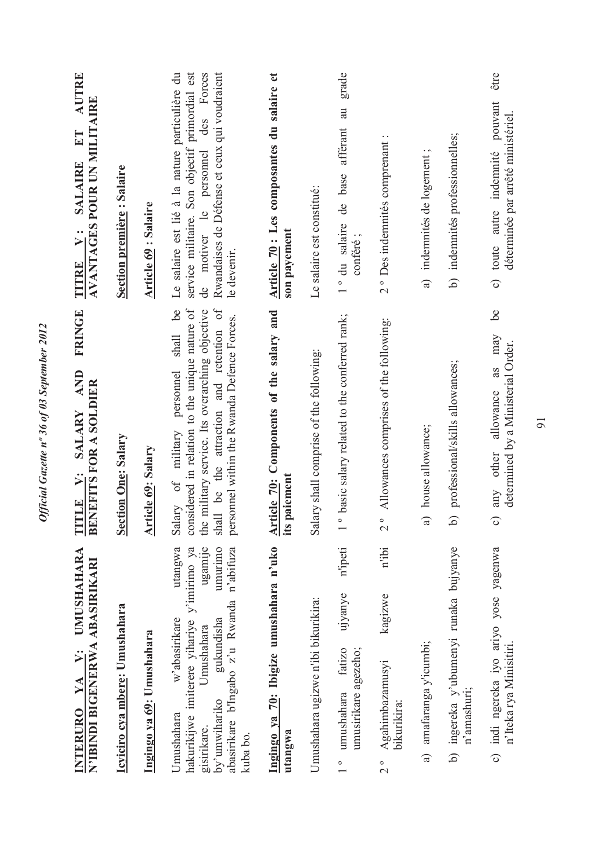| <b>UMUSHAHARA</b><br>N'IBINDI BIGENERWA ABASIRIKARI<br>$\ddot{v}$ :<br>INTERURO YA                                                                                                                                                  | <b>FRINGE</b><br><b>AND</b><br><b>BENEFITS FOR A SOLDIER</b><br><b>SALARY</b><br>LE V:<br>Ë                                                                                                                                                       | AUTRE<br><b>AVANTAGES POUR UN MILITAIRE</b><br>$E\Gamma$<br><b>SALAIRE</b><br>$\ddot{v}$ :<br>TITRE                                                                                                         |
|-------------------------------------------------------------------------------------------------------------------------------------------------------------------------------------------------------------------------------------|---------------------------------------------------------------------------------------------------------------------------------------------------------------------------------------------------------------------------------------------------|-------------------------------------------------------------------------------------------------------------------------------------------------------------------------------------------------------------|
| Icyiciro cya mbere: Umushahara                                                                                                                                                                                                      | <b>Section One: Salary</b>                                                                                                                                                                                                                        | <b>Section première: Salaire</b>                                                                                                                                                                            |
| Ingingo ya 69: Umushahara                                                                                                                                                                                                           | <b>Article 69: Salary</b>                                                                                                                                                                                                                         | <b>Article 69: Salaire</b>                                                                                                                                                                                  |
| hakurikijwe imiterere yihariye y'imirimo ya<br>umurimo<br>utangwa<br>ugamije<br>n'abifuza<br>abasirikare b'Ingabo z'u Rwanda<br>w'abasirikare<br>gukundisha<br>Umushahara<br>by'umwihariko<br>Umushahara<br>gisirikare.<br>kuba bo. | considered in relation to the unique nature of<br>6e<br>be the attraction and retention of<br>the military service. Its overarching objective<br>personnel within the Rwanda Defence Forces.<br>shall<br>personnel<br>Salary of military<br>shall | Le salaire est lié à la nature particulière du<br>primordial est<br>des Forces<br>Rwandaises de Défense et ceux qui voudraient<br>service militaire. Son objectif<br>de motiver le personnel<br>le devenir. |
| Ingingo ya 70: Ibigize umushahara n'uko<br>utangwa                                                                                                                                                                                  | Article 70: Components of the salary and<br>its paiement                                                                                                                                                                                          | Article 70 : Les composantes du salaire et<br>son payement                                                                                                                                                  |
| Umushahara ugizwe n'ibi bikurikira:                                                                                                                                                                                                 | Salary shall comprise of the following:                                                                                                                                                                                                           | Le salaire est constitué:                                                                                                                                                                                   |
| n'ipeti<br>ujyanye<br>umusirikare agezeho;<br>fatizo<br>umushahara<br>$\frac{1}{1}$                                                                                                                                                 | basic salary related to the conferred rank;<br>$\circ$                                                                                                                                                                                            | grade<br>au<br>afférant<br>de base<br>1° du salaire<br>conféré;                                                                                                                                             |
| n'ibi<br>kagizwe<br>Agahimbazamusyi<br>bikurikira:<br>$\frac{1}{2}$                                                                                                                                                                 | Allowances comprises of the following:<br>$\frac{1}{2}$                                                                                                                                                                                           | 2° Des indemnités comprenant :                                                                                                                                                                              |
| amafaranga y'icumbi;<br>$\widehat{a}$                                                                                                                                                                                               | house allowance;<br>a                                                                                                                                                                                                                             | a) indemnités de logement;                                                                                                                                                                                  |
| ingereka y'ubumenyi runaka bujyanye<br>n'amashuri;<br>6                                                                                                                                                                             | professional/skills allowances;<br>6                                                                                                                                                                                                              | b) indemnités professionnelles;                                                                                                                                                                             |
| c) indi ngereka iyo ariyo yose yagenwa<br>n'Iteka rya Minisitiri                                                                                                                                                                    | be<br>may<br>determined by a Ministerial Order.<br>as<br>allowance<br>any other<br>$\widehat{\circ}$                                                                                                                                              | être<br>pouvant<br>déterminée par arrêté ministériel<br>c) toute autre indemnité                                                                                                                            |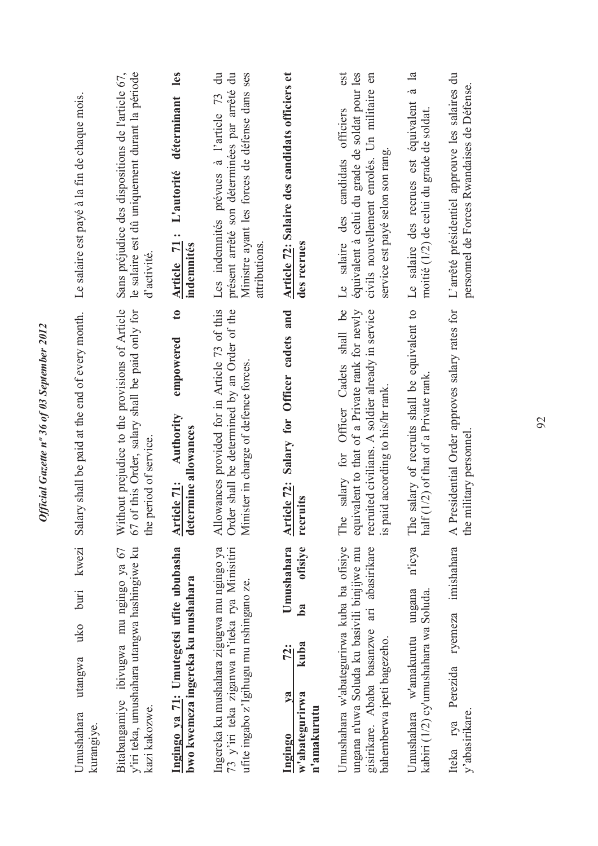| kwezi<br>buti<br>uko<br>utangwa<br>Umushahara                                                                                                                        | ary shall be paid at the end of every month.<br>S <sub>al</sub>                                                                                                                       | Le salaire est payé à la fin de chaque mois.                                                                                                                                      |
|----------------------------------------------------------------------------------------------------------------------------------------------------------------------|---------------------------------------------------------------------------------------------------------------------------------------------------------------------------------------|-----------------------------------------------------------------------------------------------------------------------------------------------------------------------------------|
| kurangiye.                                                                                                                                                           |                                                                                                                                                                                       |                                                                                                                                                                                   |
| y'iri teka, umushahara utangwa hashingiwe ku<br>Bitabangamiye ibivugwa mu ngingo ya 67<br>kazi kakozwe.                                                              | Without prejudice to the provisions of Article<br>67 of this Order, salary shall be paid only for<br>period of service.<br>the                                                        | le salaire est dû uniquement durant la période<br>Sans préjudice des dispositions de l'article 67,<br>d'activité                                                                  |
| Ingingo ya 71: Umutegetsi ufite ububasha<br>bwo kwemeza ingereka ku mushahara                                                                                        | $\mathbf{c}$<br>empowered<br>Authority<br>determine allowances<br>Article 71:                                                                                                         | les<br>déterminant<br>L'autorité<br>Article 71:<br>indemnités                                                                                                                     |
| Ingereka ku mushahara zigugwa mu ngingo ya<br>73 y'iri teka ziganwa n'iteka rya Minisitiri<br>ufite ingabo z'Igihugu mu nshingano ze.                                | Allowances provided for in Article 73 of this<br>Order shall be determined by an Order of the<br>Minister in charge of defence forces                                                 | $\frac{1}{\sqrt{2}}$<br>présent arrêté son déterminées par arrêté du<br>Ministre ayant les forces de défense dans ses<br>Les indemnités prévues à l'article 73<br>attributions    |
| Umushahara<br>ofisiye<br>b <sub>a</sub><br>kuba<br>72:<br>w'abategurirwa<br>$2$<br>n'amakurutu<br>Ingingo                                                            | Salary for Officer cadets and<br>Article 72:<br>recruits                                                                                                                              | Article 72: Salaire des candidats officiers et<br>des recrues                                                                                                                     |
| Umushahara w'abategurirwa kuba ba ofisiye<br>gisirikare. Ababa basanzwe ari abasirikare<br>ungana n'uwa Soluda ku basivili binjijwe mu<br>bahemberwa ipeti bagezeho. | salary for Officer Cadets shall be<br>equivalent to that of a Private rank for newly<br>recruited civilians. A soldier already in service<br>is paid according to his/hr rank.<br>The | est<br>équivalent à celui du grade de soldat pour les<br>civils nouvellement enrolés. Un militaire en<br>officiers<br>service est payé selon son rang<br>Le salaire des candidats |
| n'icya<br>ungana<br>kabiri (1/2) cy'umushahara wa Soluda.<br>Umushahara w'amakurutu                                                                                  | salary of recruits shall be equivalent to<br>$f(1/2)$ of that of a Private rank<br>The<br>hal                                                                                         | $\ddot{a}$<br>Le salaire des recrues est équivalent<br>moitié (1/2) de celui du grade de soldat                                                                                   |
| imishahara<br>ryemeza<br>Perezida<br>y'abasirikare.<br>rya<br>Iteka                                                                                                  | Presidential Order approves salary rates for<br>the military personnel<br>$\overline{A}$ I                                                                                            | L'arrêté présidentiel approuve les salaires du<br>personnel de Forces Rwandaises de Défense                                                                                       |
|                                                                                                                                                                      |                                                                                                                                                                                       |                                                                                                                                                                                   |

Official Gazette nº 36 of 03 September 2012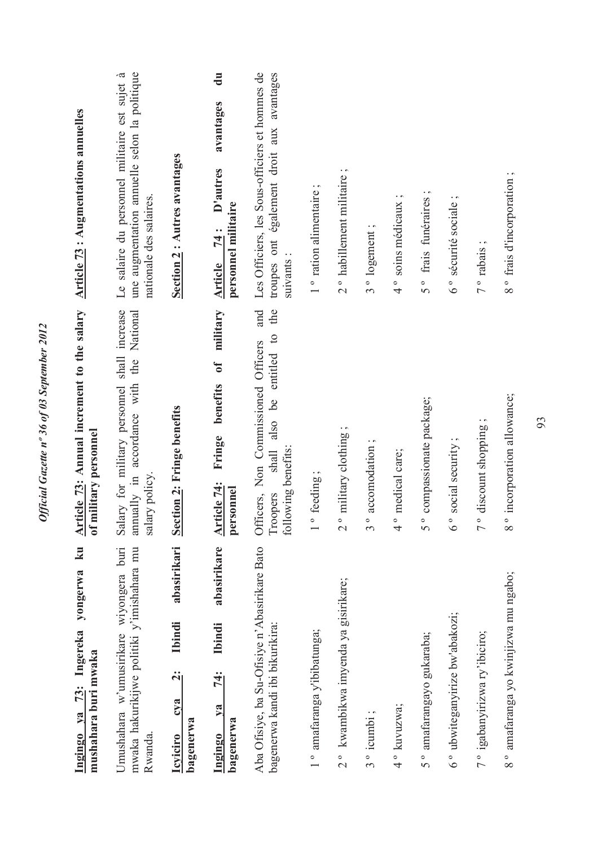| <b>Article 73: Augmentations annuelles</b>                                    | une augmentation annuelle selon la politique<br>Le salaire du personnel militaire est sujet à<br>nationale des salaires. | Section 2 : Autres avantages                                                               | $\overline{d}$<br>avantages<br>D'autres<br>personnel militaire<br><u>74</u> :<br><b>Article</b> | Les Officiers, les Sous-officiers et hommes de<br>aux avantages<br>troupes ont également droit<br>suivants:<br>and<br>the          | 1 <sup>°</sup> ration alimentaire | 2° habillement militaire;                         | 3° logement               | 4° soins médicaux;             | $\cdot$ $\sim$<br>frais funéraires<br>$\frac{1}{2}$ | 6° sécurité sociale;                | $\cdot$ $\sim$<br>7 <sup>°</sup> rabais   | 8° frais d'incorporation;                 |
|-------------------------------------------------------------------------------|--------------------------------------------------------------------------------------------------------------------------|--------------------------------------------------------------------------------------------|-------------------------------------------------------------------------------------------------|------------------------------------------------------------------------------------------------------------------------------------|-----------------------------------|---------------------------------------------------|---------------------------|--------------------------------|-----------------------------------------------------|-------------------------------------|-------------------------------------------|-------------------------------------------|
| Article 73: Annual increment to the salary<br>of military personnel           | shall increase<br>National<br>annually in accordance with the<br>Salary for military personnel<br>salary policy.         | Section 2: Fringe benefits                                                                 | military<br>$\mathfrak{h}$<br>benefits<br>Fringe<br>Article 74:<br>personnel                    | $\overline{c}$<br>Officers, Non Commissioned Officers<br>entitled<br><u>be</u><br>also<br>following benefits:<br>shall<br>Troopers | feeding;                          | military clothing;<br>$\frac{1}{2}$               | accomodation;<br>$\infty$ | medical care;<br>$\frac{1}{4}$ | compassionate package;<br>$5^{\circ}$               | social security<br>$\delta$ $\circ$ | discount shopping<br>$\frac{1}{\sqrt{2}}$ | incorporation allowance;<br>$\frac{1}{8}$ |
| $\mathbf{k}$ u<br>yongerwa<br>Ingingo ya 73: Ingereka<br>mushahara buri mwaka | mwaka hakurikijwe politiki y'imishahara mu<br>Umushahara w'umusirikare wiyongera buri<br>Rwanda.                         | abasirikari<br><b>Ibindi</b><br>$\ddot{\mathbf{c}}$<br>cya<br>bagenerwa<br><b>Icviciro</b> | abasirikare<br><b>Ibindi</b><br>74:<br>$\sqrt{a}$<br>bagenerwa<br>Ingingo                       | Aba Ofisiye, ba Su-Ofisiye n'Abasirikare Bato<br>bagenerwa kandi ibi bikurikira:                                                   | 1° amafaranga y'ibibatunga;       | kwambikwa imyenda ya gisirikare;<br>$\frac{1}{2}$ | 3° icumbi;                | 4° kuvuzwa;                    | amafarangayo gukaraba;<br>$5^{\circ}$               | 6° ubwiteganyirize bw'abakozi;      | 7° igabanyirizwa ry'ibiciro;              | 8° amafaranga yo kwinjizwa mu ngabo;      |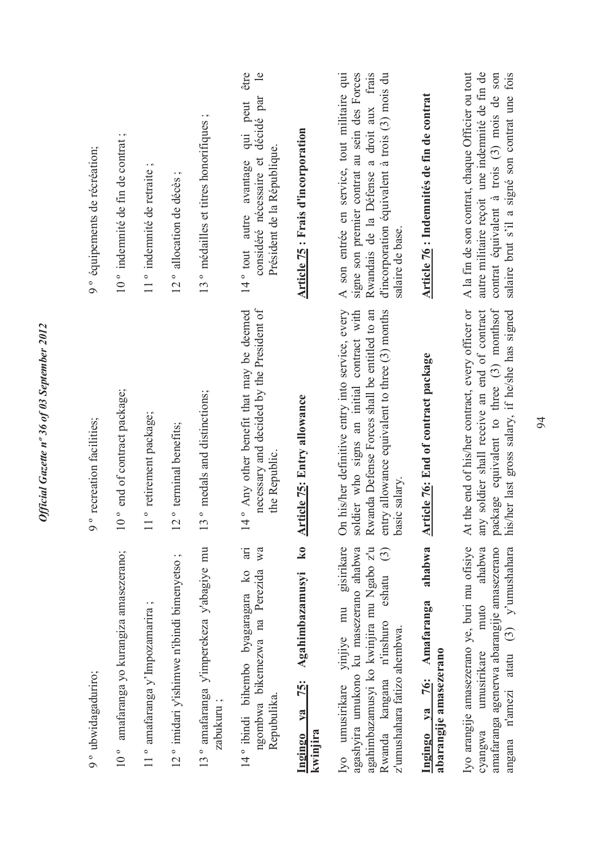| 9° équipements de récréation;<br>recreation facilities; | 10° indemnité de fin de contrat;<br>end of contract package; | 11° indemnité de retraite;<br>retirement package; | 12° allocation de décès;<br>terminal benefits; | 13° médailles et titres honorifiques;<br>medals and distinctions; | considéré nécessaire et décidé par<br>qui peut<br>Président de la République.<br>avantage<br>autre<br>$14°$ tout<br>necessary and decided by the President of<br>Any other benefit that may be deemed<br>the Republic | Article 75 : Frais d'incorporation<br><b>Article 75: Entry allowance</b> | signe son premier contrat au sein des Forces<br>son entrée en service, tout militaire qui<br>Rwandais de la Défense a droit aux frais<br>d'incorporation équivalent à trois (3) mois du<br>salaire de base.<br>$\prec$<br>his/her definitive entry into service, every<br>soldier who signs an initial contract with<br>Rwanda Defense Forces shall be entitled to an<br>entry allowance equivalent to three (3) months | Article 76 : Indemnités de fin de contrat<br><b>Article 76: End of contract package</b> | autre militaire reçoit une indemnité de fin de<br>contrat équivalent à trois (3) mois de son<br>A la fin de son contrat, chaque Officier ou tout<br>salaire brut s'il a signé son contrat une fois<br>package equivalent to three (3) monthsof<br>At the end of his/her contract, every officer or<br>soldier shall receive an end of contract<br>his/her last gross salary, if he/she has signed |
|---------------------------------------------------------|--------------------------------------------------------------|---------------------------------------------------|------------------------------------------------|-------------------------------------------------------------------|-----------------------------------------------------------------------------------------------------------------------------------------------------------------------------------------------------------------------|--------------------------------------------------------------------------|-------------------------------------------------------------------------------------------------------------------------------------------------------------------------------------------------------------------------------------------------------------------------------------------------------------------------------------------------------------------------------------------------------------------------|-----------------------------------------------------------------------------------------|---------------------------------------------------------------------------------------------------------------------------------------------------------------------------------------------------------------------------------------------------------------------------------------------------------------------------------------------------------------------------------------------------|
| $\circ$                                                 | $10^{\circ}$                                                 |                                                   | $12^{\circ}$                                   | 13                                                                | $\frac{14}{1}$<br>$\ddot{a}$<br>W <sub>a</sub>                                                                                                                                                                        | $\overline{\mathbf{k}}$ 0                                                | salary.<br>basic:<br>$\overline{\text{On}}$<br>$\widehat{c}$                                                                                                                                                                                                                                                                                                                                                            |                                                                                         | any                                                                                                                                                                                                                                                                                                                                                                                               |
| 9° ubwidagaduriro;                                      | amafaranga yo kurangiza amasezerano;<br>$10^{\circ}$         | 11° amafaranga y'Impozamarira;                    | 12° imidari y'ishimwe n'ibindi bimenyetso;     | 13° amafaranga y'imperekeza y'abagiye mu<br>zabukuru;             | ngombwa bikemezwa na Perezida<br>14° ibindi bihembo byagaragara ko<br>Repubulika.                                                                                                                                     | Agahimbazamusyi<br>$\overline{25}$ :<br>$ya$<br>kwinjira<br>Ingingo      | gisirikare<br>agashyira umukono ku masezerano ahabwa<br>agahimbazamusyi ko kwinjira mu Ngabo z'u<br>eshatu<br>yinjiye mu<br>Rwanda kangana n'inshuro<br>z'umushahara fatizo ahembwa.<br>umusirikare<br>I <sub>V</sub> O                                                                                                                                                                                                 | ahabwa<br>Amafaranga<br>abarangije amasezerano<br>76:<br>$v_{\mathbf{a}}$<br>Ingingo    | Iyo arangije amasezerano ye, buri mu ofisiye<br>amafaranga agenerwa abarangije amasezerano<br>ahabwa<br>y'umushahara<br>muto<br>atatu $(3)$<br>umusirikare<br>n'amezi<br>cyangwa<br>angana                                                                                                                                                                                                        |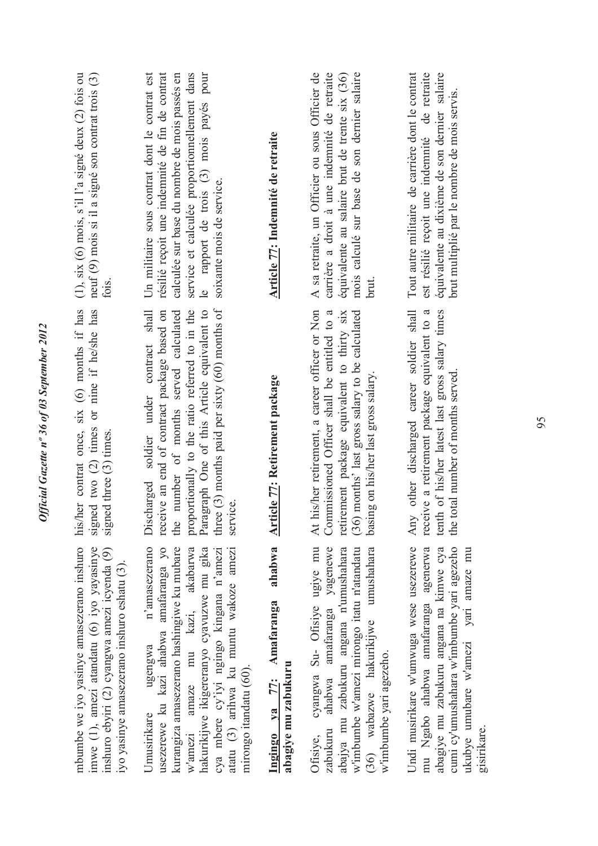| $(1)$ , six $(6)$ mois, s'il l'a signé deux $(2)$ fois ou<br>neuf (9) mois si il a signé son contrat trois (3)<br>fois.<br>his/her contrat once, six (6) months if has<br>signed two (2) times or nine if he/she has<br>signed three (3) times. | le rapport de trois (3) mois payés pour<br>résilié reçoit une indemnité de fin de contrat<br>service et calculée proportionnellement dans<br>Un militaire sous contrat dont le contrat est<br>calculée sur base du nombre de mois passés en<br>soixante mois de service.<br>three $(3)$ months paid per sixty $(60)$ months of<br>proportionally to the ratio referred to in the<br>Paragraph One of this Article equivalent to<br>receive an end of contract package based on<br>number of months served calculated<br>Discharged soldier under contract shall | Article 77: Indemnité de retraite<br>Article 77: Retirement package | A sa retraite, un Officier ou sous Officier de<br>carrière a droit à une indemnité de retraite<br>mois calculé sur base de son dernier salaire<br>équivalente au salaire brut de trente six (36)<br>brut.<br>At his/her retirement, a career officer or Non<br>Commissioned Officer shall be entitled to a<br>retirement package equivalent to thirty six<br>(36) months' last gross salary to be calculated<br>basing on his/her last gross salary. | équivalente au dixième de son dernier salaire<br>Tout autre militaire de carrière dont le contrat<br>est résilié reçoit une indemnité de retraite<br>brut multiplié par le nombre de mois servis.<br>other discharged career soldier shall<br>tenth of his/her latest last gross salary times<br>receive a retirement package equivalent to a<br>the total number of months served. |
|-------------------------------------------------------------------------------------------------------------------------------------------------------------------------------------------------------------------------------------------------|-----------------------------------------------------------------------------------------------------------------------------------------------------------------------------------------------------------------------------------------------------------------------------------------------------------------------------------------------------------------------------------------------------------------------------------------------------------------------------------------------------------------------------------------------------------------|---------------------------------------------------------------------|------------------------------------------------------------------------------------------------------------------------------------------------------------------------------------------------------------------------------------------------------------------------------------------------------------------------------------------------------------------------------------------------------------------------------------------------------|-------------------------------------------------------------------------------------------------------------------------------------------------------------------------------------------------------------------------------------------------------------------------------------------------------------------------------------------------------------------------------------|
|                                                                                                                                                                                                                                                 | service<br>the<br>n'amasezerano                                                                                                                                                                                                                                                                                                                                                                                                                                                                                                                                 | ahabwa                                                              | umushahara                                                                                                                                                                                                                                                                                                                                                                                                                                           | Any                                                                                                                                                                                                                                                                                                                                                                                 |
| mbumbe we iyo yasinye amasezerano inshuro<br>imwe (1), amezi atandatu (6) iyo yayasinye<br>inshuro ebyiri (2) cyangwa amezi icyenda (9)<br>iyo yasinye amasezerano inshuro eshatu (3)                                                           | usezerewe ku kazi ahabwa amafaranga yo<br>kurangiza amasezerano hashingiwe ku mubare<br>w'amezi amaze mu kazi, akabarwa<br>hakurikijwe ikigereranyo cyavuzwe mu gika<br>atatu (3) arihwa ku muntu wakoze amezi<br>cya mbere cy'iyi ngingo kingana n'amezi<br>ugengwa<br>mirongo itandatu (60).<br>Umusirikare                                                                                                                                                                                                                                                   | Ingingo ya 77: Amafaranga<br>abagiye mu zabukuru                    | cyangwa Su- Ofisiye ugiye mu<br>ahabwa amafaranga yagenewe<br>w'imbumbe w'amezi mirongo itatu n'atandatu<br>abajya mu zabukuru angana n'umushahara<br>$(36)$ wabazwe hakurikijwe<br>w'imbumbe yari agezeho.<br>zabukuru<br>Ofisiye,                                                                                                                                                                                                                  | Undi musirikare w'umwuga wese usezerewe<br>abagiye mu zabukuru angana na kimwe cya<br>cumi cy'umushahara w'imbumbe yari agezeho<br>mu Ngabo ahabwa amafaranga agenerwa                                                                                                                                                                                                              |

Official Gazette nº 36 of 03 September 2012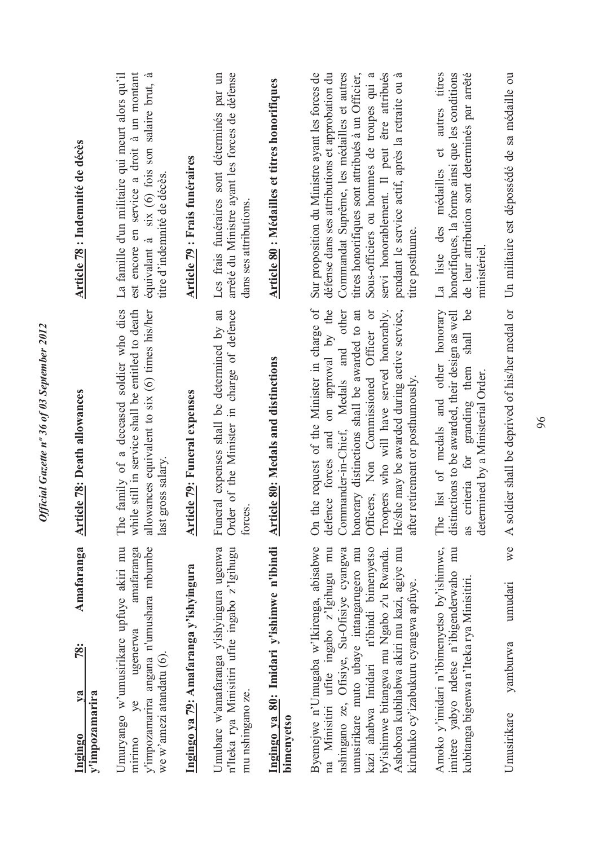| forces.<br>The<br>whil<br>last<br>$\delta$<br>Ingingo ya 80: Imidari y'ishimwe n'ibindi<br>Byemejwe n'Umugaba w'Ikirenga, abisabwe<br>Umuryango w'umusirikare upfuye akiri mu<br>amafaranga<br>y'impozamarira angana n'umushara mbumbe<br>Umubare w'amafaranga y'ishyingura ugenwa<br>n'Iteka rya Minisitiri ufite ingabo z'Igihugu<br>na Minisitiri ufite ingabo z'lgihugu mu<br>nshingano ze, Ofisiye, Su-Ofisiye cyangwa<br>umusirikare muto ubaye intangarugero mu<br>Ingingo ya 79: Amafaranga y'ishyingura<br>ugenerwa<br>we w'amezi atandatu $(6)$ .<br>mu nshingano ze.<br>ye<br>bimenyetso<br>muruno | the request of the Minister in charge of<br>family of a deceased soldier who dies<br>on approval by the<br>le still in service shall be entitled to death<br>Funeral expenses shall be determined by an<br>Order of the Minister in charge of defence<br>Commander-in-Chief, Medals and other<br>allowances equivalent to six (6) times his/her<br>honorary distinctions shall be awarded to an<br><b>Article 80: Medals and distinctions</b><br><b>Article 79: Funeral expenses</b><br>defence forces and<br>gross salary. | est encore en service a droit à un montant<br>Sur proposition du Ministre ayant les forces de<br>défense dans ses attributions et approbation du<br>Commandat Suprême, les médailles et autres<br>titres honorifiques sont attribués à un Officier,<br>équivalant à six (6) fois son salaire brut, à<br>Les frais funéraires sont déterminés par un<br>arrêté du Ministre ayant les forces de défense<br>La famille d'un militaire qui meurt alors qu'il<br><b>Article 80: Médailles et titres honorifiques</b><br><b>Article 79 : Frais funéraires</b><br>titre d'indemnité de décès.<br>dans ses attributions. |
|---------------------------------------------------------------------------------------------------------------------------------------------------------------------------------------------------------------------------------------------------------------------------------------------------------------------------------------------------------------------------------------------------------------------------------------------------------------------------------------------------------------------------------------------------------------------------------------------------------------|-----------------------------------------------------------------------------------------------------------------------------------------------------------------------------------------------------------------------------------------------------------------------------------------------------------------------------------------------------------------------------------------------------------------------------------------------------------------------------------------------------------------------------|------------------------------------------------------------------------------------------------------------------------------------------------------------------------------------------------------------------------------------------------------------------------------------------------------------------------------------------------------------------------------------------------------------------------------------------------------------------------------------------------------------------------------------------------------------------------------------------------------------------|
| The<br>as<br>mu<br>Ashobora kubihabwa akiri mu kazi, agiye mu<br>kazi ahabwa Imidari n'ibindi bimenyetso<br>Amoko y'imidari n'ibimenyetso by'ishimwe,<br>by'ishimwe bitangwa mu Ngabo z'u Rwanda.<br>imitere vabyo ndetse n'ibigenderwaho<br>kubitanga bigenwa n'Iteka rya Minisitiri.<br>kiruhuko cy'izabukuru cyangwa apfuye.<br>umudari<br>yamburwa<br>Umusirikare                                                                                                                                                                                                                                         | we A soldier shall be deprived of his/her medal or<br>list of medals and other honorary<br>be<br>Troopers who will have served honorably.<br>He/she may be awarded during active service,<br>Officers, Non Commissioned Officer or<br>distinctions to be awarded, their design as well<br>criteria for granding them shall<br>determined by a Ministerial Order.<br>after retirement or posthumously.                                                                                                                       | servi honorablement. Il peut être attribués<br>pendant le service actif, après la retraite ou à<br>honorifiques, la forme ainsi que les conditions<br>de leur attribution sont determinés par arrêté<br>La liste des médailles et autres titres<br>Un militaire est dépossédé de sa médaille ou<br>Sous-officiers ou hommes de troupes qui a<br>titre posthume.<br>ministériel                                                                                                                                                                                                                                   |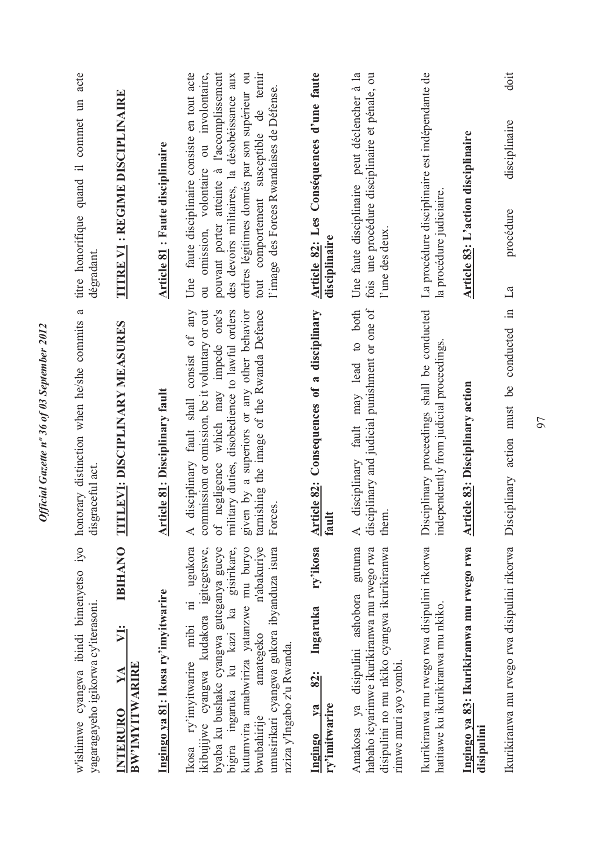| w'ishimwe cyangwa ibindi bimenyetso iyo<br>yagaragayeho igikorwa cy'iterasoni.                                                                                                                                                                                                                                                                      | $\mathfrak{a}$<br>honorary distinction when he/she commits<br>disgraceful act.                                                                                                                                                                                                              | titre honorifique quand il commet un acte<br>dégradant.                                                                                                                                                                                                                                                                                            |
|-----------------------------------------------------------------------------------------------------------------------------------------------------------------------------------------------------------------------------------------------------------------------------------------------------------------------------------------------------|---------------------------------------------------------------------------------------------------------------------------------------------------------------------------------------------------------------------------------------------------------------------------------------------|----------------------------------------------------------------------------------------------------------------------------------------------------------------------------------------------------------------------------------------------------------------------------------------------------------------------------------------------------|
| <b>IBIHANO</b><br>У <u>і</u> :<br>BW'IMYITWARIRE<br>YA<br><b>INTERURO</b>                                                                                                                                                                                                                                                                           | <b>LEVI: DISCIPLINARY MEASURES</b><br>E                                                                                                                                                                                                                                                     | <b>TITRE VI : REGIME DISCIPLINAIRE</b>                                                                                                                                                                                                                                                                                                             |
| Ingingo ya 81: Ikosa ry'imyitwarire                                                                                                                                                                                                                                                                                                                 | <b>Article 81: Disciplinary fault</b>                                                                                                                                                                                                                                                       | Article 81 : Faute disciplinaire                                                                                                                                                                                                                                                                                                                   |
| ni ugukora<br>ikibujijwe cyangwa kudakora igitegetswe,<br>byaba ku bushake cyangwa guteganya gucye<br>n'abakuriye<br>umusirikari cyangwa gukora ibyanduza isura<br>kutumvira amabwiriza yatanzwe mu buryo<br>gisirikare,<br>bigira ingaruka ku kazi ka<br>mibi<br>amategeko<br>nziza y'Ingabo z'u Rwanda.<br>ry'imyitwarire<br>bwubahirije<br>lkosa | A disciplinary fault shall consist of any<br>of negligence which may impede one's<br>military duties, disobedience to lawful orders<br>tarnishing the image of the Rwanda Defence<br>commission or omission, be it voluntary or out<br>given by a superiors or any other behavior<br>Forces | faute disciplinaire consiste en tout acte<br>omission, volontaire ou involontaire,<br>pouvant porter atteinte à l'accomplissement<br>tout comportement susceptible de ternir<br>ordres légitimes donnés par son supérieur ou<br>des devoirs militaires, la désobéissance aux<br>l'image des Forces Rwandaises de Défense.<br>Une<br>$\overline{c}$ |
| ry'ikosa<br>Ingaruka<br>82:<br>ry'imitwarire<br>$1$<br>Ingingo                                                                                                                                                                                                                                                                                      | Article 82: Consequences of a disciplinary<br>fault                                                                                                                                                                                                                                         | Article 82: Les Conséquences d'une faute<br>disciplinaire                                                                                                                                                                                                                                                                                          |
| gutuma<br>disipulini no mu nkiko cyangwa ikurikiranwa<br>habaho icyarimwe ikurikiranwa mu rwego rwa<br>Amakosa ya disipulini ashobora<br>rimwe muri ayo yombi.                                                                                                                                                                                      | disciplinary and judicial punishment or one of<br>may lead to both<br>fault<br>A disciplinary<br>them                                                                                                                                                                                       | peut déclencher à la<br>fois une procédure disciplinaire et pénale, ou<br>Une faute disciplinaire<br>l'une des deux                                                                                                                                                                                                                                |
| Ikurikiranwa mu rwego rwa disipulini rikorwa<br>hatitawe ku ikurikiranwa mu nkiko.                                                                                                                                                                                                                                                                  | Disciplinary proceedings shall be conducted<br>independently from judicial proceedings.                                                                                                                                                                                                     | La procédure disciplinaire est indépendante de<br>la procédure judiciaire.                                                                                                                                                                                                                                                                         |
| Ingingo ya 83: Ikurikiranwa mu rwego rwa<br>disipulini                                                                                                                                                                                                                                                                                              | <b>Article 83: Disciplinary action</b>                                                                                                                                                                                                                                                      | Article 83: L'action disciplinaire                                                                                                                                                                                                                                                                                                                 |
| Ikurikiranwa mu rwego rwa disipulini rikorwa                                                                                                                                                                                                                                                                                                        | Disciplinary action must be conducted in La                                                                                                                                                                                                                                                 | doit<br>disciplinaire<br>procédure                                                                                                                                                                                                                                                                                                                 |

Official Gazette nº 36 of 03 September 2012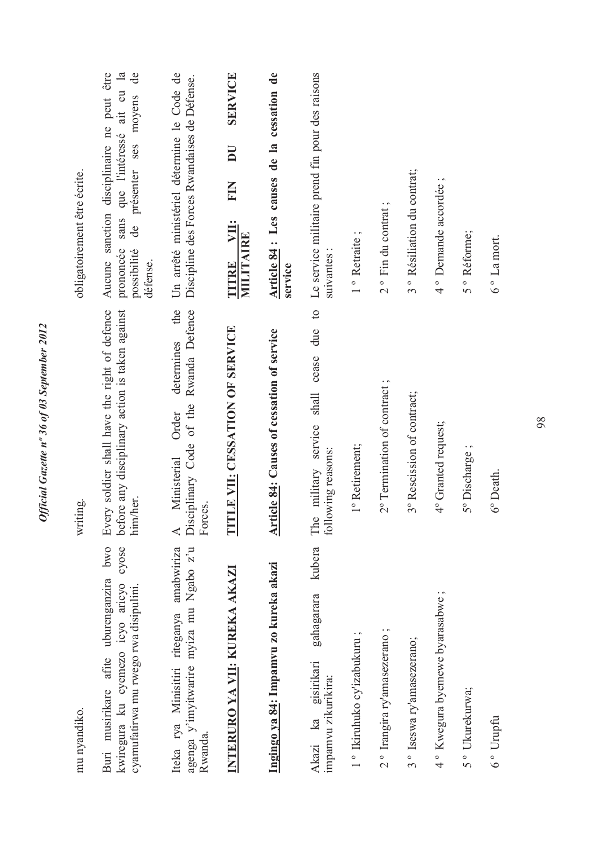| mu nyandiko.                                                                                                                  | writing.                                                                                                     | obligatoirement être écrite.                                                                                                                                                 |
|-------------------------------------------------------------------------------------------------------------------------------|--------------------------------------------------------------------------------------------------------------|------------------------------------------------------------------------------------------------------------------------------------------------------------------------------|
| Buri musirikare afite uburenganzira bwo<br>cyose<br>kwiregura ku cyemezo icyo aricyo<br>cyamufatirwa mu rwego rwa disipulini. | Every soldier shall have the right of defence<br>before any disciplinary action is taken against<br>him/her. | Aucune sanction disciplinaire ne peut être<br>sans que l'intéressé ait eu la<br>$\mathbf{d}\mathbf{e}$<br>moyens<br>de présenter ses<br>prononcée<br>possibilité<br>défense. |
| agenga y'imyitwarire myiza mu Ngabo z'u<br>Iteka rya Minisitiri riteganya amabwiriza<br>Rwanda.                               | the<br>Rwanda Defence<br>determines<br>Disciplinary Code of the<br>Order<br>Ministerial<br>Forces.           | Un arrêté ministériel détermine le Code de<br>Discipline des Forces Rwandaises de Défense.                                                                                   |
| INTERURO YA VII: KUREKA AKAZI                                                                                                 | <b>TLE VII: CESSATION OF SERVICE</b><br>E                                                                    | <b>SERVICE</b><br>$\overline{\mathbf{D}}$<br><b>KIN</b><br>VII:<br>MILITAIRE<br>TITRE                                                                                        |
| Ingingo ya 84: Impamvu zo kureka akazi                                                                                        | <b>Article 84: Causes of cessation of service</b>                                                            | Article 84 : Les causes de la cessation de<br>service                                                                                                                        |
| kubera<br>gahagarara<br>gisirikari<br>impamvu zikurikira:<br>Akazi ka                                                         | $\circ$<br>due<br>cease<br>military service shall<br>owing reasons:<br>The<br>$\overline{10}$                | Le service militaire prend fin pour des raisons<br>suivantes:                                                                                                                |
| 1° Ikiruhuko cy'izabukuru;                                                                                                    | 1º Retirement;                                                                                               | 1 <sup>°</sup> Retraite                                                                                                                                                      |
| 2° Irangira ry'amasezerano;                                                                                                   | 2° Termination of contract;                                                                                  | 2° Fin du contrat;                                                                                                                                                           |
| 3° Iseswa ry'amasezerano;                                                                                                     | 3º Rescission of contract;                                                                                   | 3° Résiliation du contrat;                                                                                                                                                   |
| 4° Kwegura byemewe byarasabwe;                                                                                                | 4° Granted request;                                                                                          | 4° Demande accordée;                                                                                                                                                         |
| 5° Ukurekurwa;                                                                                                                | 5° Discharge                                                                                                 | 5° Réforme;                                                                                                                                                                  |
| 6° Urupfu                                                                                                                     | 6° Death.                                                                                                    | 6 <sup>°</sup> La mort.                                                                                                                                                      |

Official Gazette nº 36 of 03 September 2012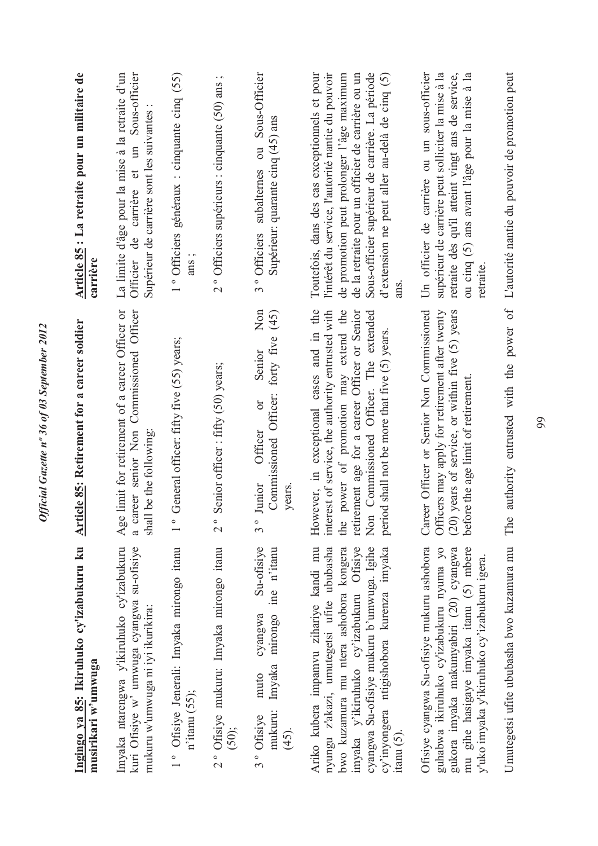| Ingingo ya 85: Ikiruhuko cy'izabukuru ku<br>musirikari w'umwuga                                                                                                                                                                                                                            | icle 85: Retirement for a career soldier<br><b>Arti</b>                                                                                                                                                                                                                                      | Article 85 : La retraite pour un militaire de<br>carrière                                                                                                                                                                                                                                                        |
|--------------------------------------------------------------------------------------------------------------------------------------------------------------------------------------------------------------------------------------------------------------------------------------------|----------------------------------------------------------------------------------------------------------------------------------------------------------------------------------------------------------------------------------------------------------------------------------------------|------------------------------------------------------------------------------------------------------------------------------------------------------------------------------------------------------------------------------------------------------------------------------------------------------------------|
| Imyaka ntarengwa yikiruhuko cy'izabukuru<br>kuri Ofisiye w' umwuga cyangwa su-ofisiye<br>mukuru w'umwuga ni iyi ikurikira:                                                                                                                                                                 | limit for retirement of a career Officer or<br>a career senior Non Commissioned Officer<br>shall be the following<br>Age                                                                                                                                                                     | Officier de carrière et un Sous-officier<br>La limite d'âge pour la mise à la retraite d'un<br>Supérieur de carrière sont les suivantes                                                                                                                                                                          |
| 1° Ofisiye Jenerali: Imyaka mirongo itanu<br>$n$ <sup>'</sup> itanu (55);                                                                                                                                                                                                                  | General officer: fifty five (55) years;<br>$\overline{1}$ o                                                                                                                                                                                                                                  | 1° Officiers généraux : cinquante cinq (55)<br>ans;                                                                                                                                                                                                                                                              |
| 2° Ofisiye mukuru: Imyaka mirongo itanu<br>$(50)$ ;                                                                                                                                                                                                                                        | Senior officer: fifty (50) years;<br>$\frac{1}{2}$                                                                                                                                                                                                                                           | $\cdot$ $\,$ $\,$ $\,$<br>2° Officiers supérieurs : cinquante (50) ans                                                                                                                                                                                                                                           |
| Su-ofisiye<br>ine n'itanu<br>cyangwa<br>mirongo<br>Imyaka<br>muto<br>mukuru:<br>3° Ofisive<br>$(45)$ .                                                                                                                                                                                     | Non<br>(45)<br>forty five<br>Senior<br>Commissioned Officer:<br>$\sigma$<br>Officer<br>Junior<br>years.<br>$3^{\circ}$                                                                                                                                                                       | 3° Officiers subalternes ou Sous-Officier<br>Supérieur: quarante cinq (45) ans                                                                                                                                                                                                                                   |
| Ariko kubera impamvu zihariye kandi mu<br>cyangwa Su-ofisiye mukuru b'umwuga. Igihe<br>imyaka y'ikiruhuko cy'izabukuru Ofisiye<br>cy'inyongera ntigishobora kurenza imyaka<br>nyungu z'akazi, umutegetsi ufite ububasha<br>bwo kuzamura mu ntera ashobora kongera<br>$\tan(\frac{5}{5})$ . | However, in exceptional cases and in the<br>interest of service, the authority entrusted with<br>power of promotion may extend the<br>Commissioned Officer. The extended<br>ement age for a career Officer or Senior<br>period shall not be more that five (5) years.<br>retir<br>Non<br>the | Toutefois, dans des cas exceptionnels et pour<br>Sous-officier supérieur de carrière. La période<br>d'extension ne peut aller au-delà de cinq (5)<br>l'intérêt du service, l'autorité nantie du pouvoir<br>de promotion peut prolonger l'âge maximum<br>de la retraite pour un officier de carrière ou un<br>ans |
| Ofisiye cyangwa Su-ofisiye mukuru ashobora<br>guhabwa ikiruhuko cy'izabukuru nyuma yo<br>mu gihe hasigaye imyaka itanu (5) mbere<br>gukora imyaka makumyabiri (20) cyangwa<br>y'uko imyaka y'ikiruhuko cy'izabukuru igera.                                                                 | Career Officer or Senior Non Commissioned<br>Officers may apply for retirement after twenty<br>$(20)$ years of service, or within five $(5)$ years<br>before the age limit of retirement.                                                                                                    | Un officier de carrière ou un sous-officier<br>retraite dès qu'il atteint vingt ans de service,<br>supérieur de carrière peut solliciter la mise à la<br>ou cinq (5) ans avant l'âge pour la mise à la<br>retraite                                                                                               |
| Umutegetsi ufite ububasha bwo kuzamura mu                                                                                                                                                                                                                                                  | authority entrusted with the power of<br>The                                                                                                                                                                                                                                                 | L'autorité nantie du pouvoir de promotion peut                                                                                                                                                                                                                                                                   |

Official Gazette nº 36 of 03 September 2012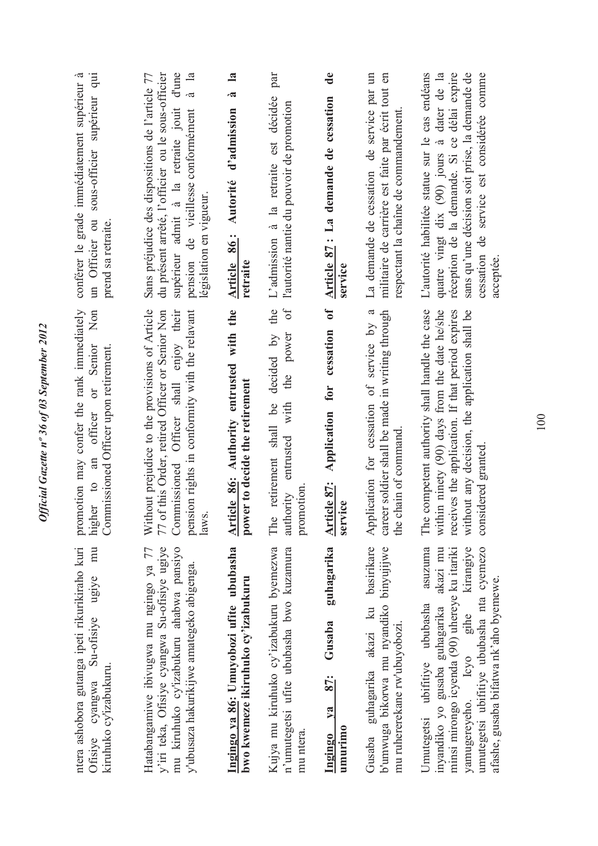| conférer le grade immédiatement supérieur à<br>sous-officier supérieur qui<br>un Officier ou<br>prend sa retraite.         | du présent arrêté, l'officier ou le sous-officier<br>supérieur admit à la retraite jouit d'une<br>$\overline{\mathbf{a}}$<br>Sans préjudice des dispositions de l'article 77<br>.ದ<br>pension de vieillesse conformément<br>législation en vigueur. | $\mathbf{a}$<br>à<br>d'admission<br>Article 86: Autorité<br>retraite           | par<br>L'admission à la retraite est décidée<br>l'autorité nantie du pouvoir de promotion                                 | $\mathbf{d}\mathbf{e}$<br>Article 87 : La demande de cessation<br>service            | La demande de cessation de service par un<br>militaire de carrière est faite par écrit tout en<br>respectant la chaîne de commandement | cessation de service est considérée comme<br>quatre vingt dix (90) jours à dater de la<br>réception de la demande. Si ce délai expire<br>sans qu'une décision soit prise, la demande de<br>L'autorité habilitée statue sur le cas endéans<br>acceptée.                 |
|----------------------------------------------------------------------------------------------------------------------------|-----------------------------------------------------------------------------------------------------------------------------------------------------------------------------------------------------------------------------------------------------|--------------------------------------------------------------------------------|---------------------------------------------------------------------------------------------------------------------------|--------------------------------------------------------------------------------------|----------------------------------------------------------------------------------------------------------------------------------------|------------------------------------------------------------------------------------------------------------------------------------------------------------------------------------------------------------------------------------------------------------------------|
| promotion may confer the rank immediately<br>higher to an officer or Senior North<br>Commissioned Officer upon retirement. | Without prejudice to the provisions of Article<br>pension rights in conformity with the relavant<br>Commissioned Officer shall enjoy their<br>77 of this Order, retired Officer or Senior Non<br>laws                                               | Article 86: Authority entrusted with the<br>er to decide the retirement<br>pow | the<br>$\sigma$ f<br>the power<br>decided by<br>retirement shall be<br>with<br>entrusted<br>promotion<br>authority<br>The | $\mathbf{d}$<br>cessation<br>for<br>Application<br>Article 87:<br><b>Tce</b><br>serv | career soldier shall be made in writing through<br>Application for cessation of service by a<br>the chain of command                   | within ninety (90) days from the date he/she<br>competent authority shall handle the case<br>receives the application. If that period expires<br>without any decision, the application shall be<br>considered granted<br>The                                           |
| ntera ashobora gutanga ipeti rikurikiraho kuri<br>mu<br>ugiye<br>Su-ofisiye<br>kiruhuko cy'izabukuru.<br>Ofisiye cyangwa   | y'iri teka, Ofisiye cyangwa Su-ofisiye ugiye<br>mu kiruhuko cy'izabukuru ahabwa pansiyo<br>Hatabangamiwe ibivugwa mu ngingo ya 77<br>y'ubusaza hakurikijwe amategeko abigenga.                                                                      | Ingingo ya 86: Umuyobozi ufite ububasha<br>bwo kwemeze ikiruhuko cy'izabukuru  | Kujya mu kiruhuko cy'izabukuru byemezwa<br>n'umutegetsi ufite ububasha bwo kuzamura<br>mu ntera.                          | guhagarika<br>Gusaba<br><u>87:</u><br>$Y$ a<br>umurimo<br>Ingingo                    | guhagarika akazi ku basirikare<br>b'umwuga bikorwa mu nyandiko binyujijwe<br>mu ruhererekane rw'ubuyobozi.<br>Gusaba                   | inyandiko yo gusaba guhagarika akazi mu<br>kirangiye<br>umutegetsi ubifitiye ububasha nta cyemezo<br>asuzuma<br>minsi mirongo icyenda (90) uhereye ku itariki<br>afashe, gusaba bifatwa nk'aho byemewe.<br>gihe<br>Umutegetsi ubifitiye ububasha<br>yamugereyeho. Icyo |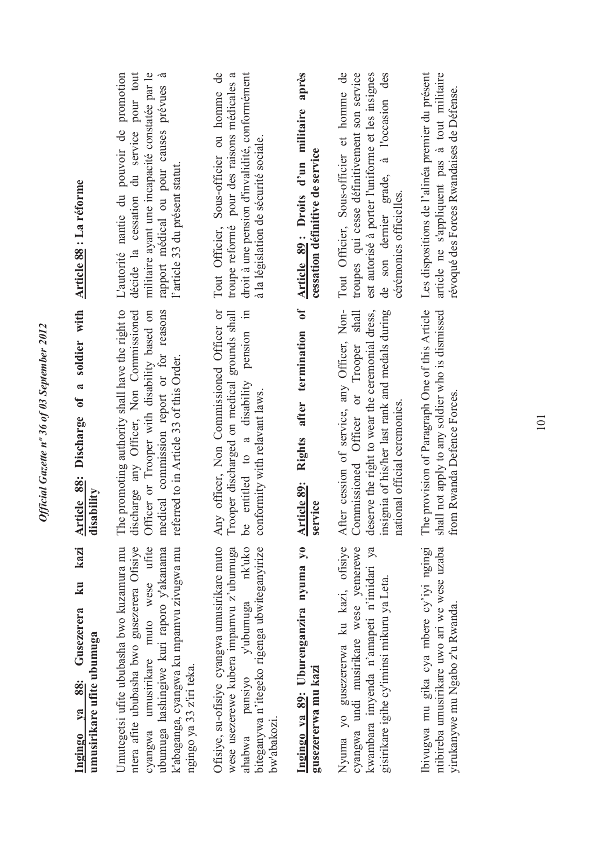| Article 88 : La réforme                                              | L'autorité nantie du pouvoir de promotion<br>militaire ayant une incapacité constatée par le<br>décide la cessation du service pour tout<br>$\tilde{a}$<br>rapport médical ou pour causes prévues<br>l'article 33 du présent statut.                | droit à une pension d'invalidité, conformément<br>Tout Officier, Sous-officier ou homme de<br>troupe reformé pour des raisons médicales a<br>à la législation de sécurité sociale.          | après<br>Article 89: Droits d'un militaire<br>cessation définitive de service | Tout Officier, Sous-officier et homme de<br>troupes qui cesse définitivement son service<br>est autorisé à porter l'uniforme et les insignes<br>de son dernier grade, à l'occasion des<br>cérémonies officielles.           | Les dispositions de l'alinéa premier du présent<br>article ne s'appliquent pas à tout militaire<br>révoqué des Forces Rwandaises de Défense. |
|----------------------------------------------------------------------|-----------------------------------------------------------------------------------------------------------------------------------------------------------------------------------------------------------------------------------------------------|---------------------------------------------------------------------------------------------------------------------------------------------------------------------------------------------|-------------------------------------------------------------------------------|-----------------------------------------------------------------------------------------------------------------------------------------------------------------------------------------------------------------------------|----------------------------------------------------------------------------------------------------------------------------------------------|
| Article 88: Discharge of a soldier with<br>disability                | promoting authority shall have the right to<br>discharge any Officer, Non Commissioned<br>Officer or Trooper with disability based on<br>medical commission report or for reasons<br>referred to in Article 33 of this Order.<br>The                | officer, Non Commissioned Officer or<br>pension in<br>Trooper discharged on medical grounds shall<br>entitled to a disability<br>conformity with relavant laws.<br>Any<br>ತಿ                | $\mathbf{f}$<br>termination<br>after<br>Rights<br>Article 89:<br>service      | After cession of service, any Officer, Non-<br>deserve the right to wear the ceremonial dress,<br>Commissioned Officer or Trooper shall<br>insignia of his/her last rank and medals during<br>national official ceremonies. | The provision of Paragraph One of this Article<br>shall not apply to any soldier who is dismissed<br>from Rwanda Defence Forces.             |
| ku kazi<br>Gusezerera<br>umusirikare ufite ubumuga<br>Ingingo ya 88: | Umutegetsi ufite ububasha bwo kuzamura mu<br>ntera afite ububasha bwo gusezerera Ofisiye<br>cyangwa umusirikare muto wese ufite<br>k'abaganga, cyangwa ku mpamvu zivugwa mu<br>ubumuga hashingiwe kuri raporo y'akanama<br>ngingo ya 33 z'iri teka. | Ofisiye, su-ofisiye cyangwa umusirikare muto<br>wese usezerewe kubera impamvu z'ubumuga<br>biteganywa n'itegeko rigenga ubwiteganyirize<br>nk'uko<br>ahabwa pansiyo y'ubumuga<br>bw'abakozi | Ingingo ya 89: Uburenganzira nyuma yo<br>gusezererwa mu kazi                  | Nyuma yo gusezererwa ku kazi, ofisiye<br>cyangwa undi musirikare wese yemerewe<br>kwambara imyenda n'amapeti n'imidari ya<br>gisirikare igihe cy'iminsi mikuru ya Leta.                                                     | ntibireba umusirikare uwo ari we wese uzaba<br>Ibivugwa mu gika cya mbere cy'iyi ngingi<br>yirukanywe mu Ngabo z'u Rwanda.                   |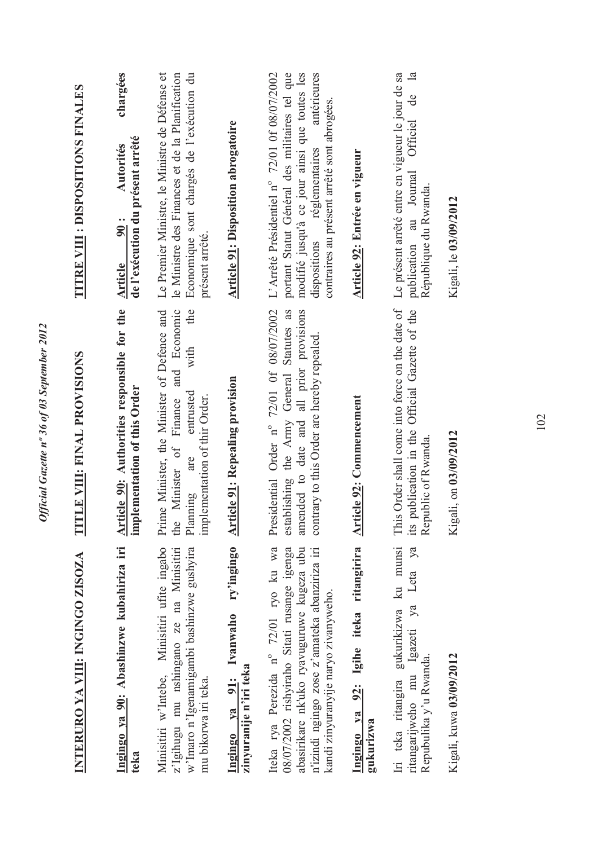| INTERURO YA VIII: INGINGO ZISOZA                                                                                                                                                                                           | LE VIII: FINAL PROVISIONS<br>E                                                                                                                                                    | <b>TITRE VIII : DISPOSITIONS FINALES</b>                                                                                                                                                                                                   |
|----------------------------------------------------------------------------------------------------------------------------------------------------------------------------------------------------------------------------|-----------------------------------------------------------------------------------------------------------------------------------------------------------------------------------|--------------------------------------------------------------------------------------------------------------------------------------------------------------------------------------------------------------------------------------------|
| Ingingo ya 90: Abashinzwe kubahiriza iri<br>teka                                                                                                                                                                           | Article 90: Authorities responsible for the<br>implementation of this Order                                                                                                       | chargées<br>de l'exécution du présent arrêté<br>Autorités<br>90:<br>Article                                                                                                                                                                |
| Minisitiri w'Intebe, Minisitiri ufite ingabo<br>w'Imaro n'Igenamigambi bashinzwe gushyira<br>z'lgihugu mu nshingano ze na Minisitiri<br>mu bikorwa iri teka.                                                               | the<br>and Economic<br>Prime Minister, the Minister of Defence and<br>with<br>entrusted<br>implementation of thir Order.<br>Finance<br>Minister of<br>are<br>Planning<br>the      | Le Premier Ministre, le Ministre de Défense et<br>Economique sont chargés de l'exécution du<br>le Ministre des Finances et de la Planification<br>présent arrêté.                                                                          |
| ry'ingingo<br>Ivanwaho<br>zinyuranije n'iri teka<br>Ingingo va 91:                                                                                                                                                         | <b>Article 91: Repealing provision</b>                                                                                                                                            | <b>Article 91: Disposition abrogatoire</b>                                                                                                                                                                                                 |
| Iteka rya Perezida nº 72/01 ryo ku wa<br>08/07/2002 rishyiraho Sitati rusange igenga<br>abasirikare nk'uko ryavuguruwe kugeza ubu<br>n'izindi ngingo zose z'amateka abanziriza iri<br>kandi zinyuranyije naryo zivanyweho. | Presidential Order nº 72/01 Of 08/07/2002<br>establishing the Army General Statutes as<br>amended to date and all prior provisions<br>contrary to this Order are hereby repealed. | portant Statut Général des militaires tel que<br>modifié jusqu'à ce jour ainsi que toutes les<br>antérieures<br>L'Arrêté Présidentiel n° 72/01 0f 08/07/2002<br>contraires au présent arrêté sont abrogées.<br>dispositions réglementaires |
| Ingingo ya 92: Igihe iteka ritangirira<br>gukurizwa                                                                                                                                                                        | <b>Article 92: Commencement</b>                                                                                                                                                   | Article 92: Entrée en vigueur                                                                                                                                                                                                              |
| Iri teka ritangira gukurikizwa ku munsi<br>Leta ya<br>$y$ a<br>Igazeti<br>Repubulika y'u Rwanda.<br>ritangarijweho mu                                                                                                      | This Order shall come into force on the date of<br>its publication in the Official Gazette of the<br>Republic of Rwanda.                                                          | $\mathbf{a}$<br>Le présent arrêté entre en vigueur le jour de sa<br>de<br>Officiel<br>publication au Journal<br>République du Rwanda.                                                                                                      |
| Kigali, kuwa 03/09/2012                                                                                                                                                                                                    | Kigali, on 03/09/2012                                                                                                                                                             | Kigali, le 03/09/2012                                                                                                                                                                                                                      |
|                                                                                                                                                                                                                            |                                                                                                                                                                                   |                                                                                                                                                                                                                                            |